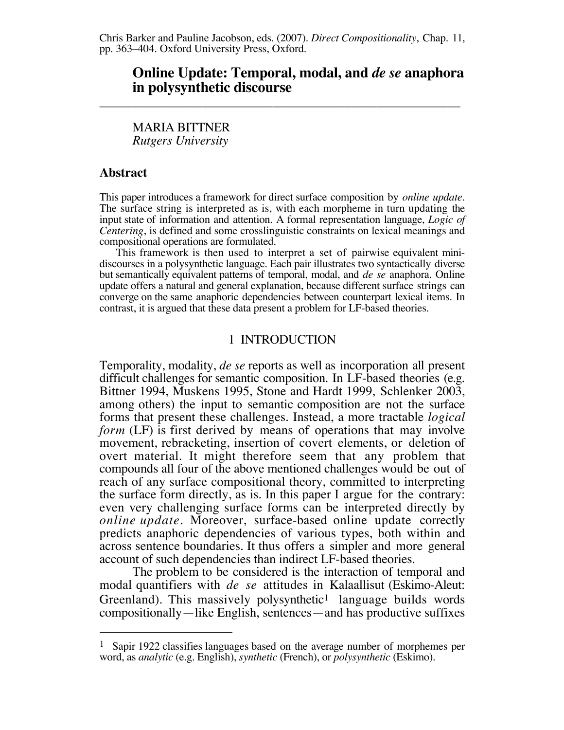Chris Barker and Pauline Jacobson, eds. (2007). *Direct Compositionality*, Chap. 11, pp. 363–404. Oxford University Press, Oxford.

\_\_\_\_\_\_\_\_\_\_\_\_\_\_\_\_\_\_\_\_\_\_\_\_\_\_\_\_\_\_\_\_\_\_\_\_\_\_\_\_\_\_\_\_\_\_\_\_\_\_\_\_\_\_\_\_

# **Online Update: Temporal, modal, and** *de se* **anaphora in polysynthetic discourse**

MARIA BITTNER *Rutgers University*

#### **Abstract**

 $\overline{a}$ 

This paper introduces a framework for direct surface composition by *online update.* The surface string is interpreted as is, with each morpheme in turn updating the input state of information and attention. A formal representation language, *Logic of Centering*, is defined and some crosslinguistic constraints on lexical meanings and compositional operations are formulated.

This framework is then used to interpret a set of pairwise equivalent minidiscourses in a polysynthetic language. Each pair illustrates two syntactically diverse but semantically equivalent patterns of temporal, modal, and *de se* anaphora. Online update offers a natural and general explanation, because different surface strings can converge on the same anaphoric dependencies between counterpart lexical items. In contrast, it is argued that these data present a problem for LF-based theories.

#### 1 INTRODUCTION

Temporality, modality, *de se* reports as well as incorporation all present difficult challenges for semantic composition. In LF-based theories (e.g. Bittner 1994, Muskens 1995, Stone and Hardt 1999, Schlenker 2003, among others) the input to semantic composition are not the surface forms that present these challenges. Instead, a more tractable *logical form* (LF) is first derived by means of operations that may involve movement, rebracketing, insertion of covert elements, or deletion of overt material. It might therefore seem that any problem that compounds all four of the above mentioned challenges would be out of reach of any surface compositional theory, committed to interpreting the surface form directly, as is. In this paper I argue for the contrary: even very challenging surface forms can be interpreted directly by *online update*. Moreover, surface-based online update correctly predicts anaphoric dependencies of various types, both within and across sentence boundaries. It thus offers a simpler and more general account of such dependencies than indirect LF-based theories.

The problem to be considered is the interaction of temporal and modal quantifiers with *de se* attitudes in Kalaallisut (Eskimo-Aleut: Greenland). This massively polysynthetic<sup>1</sup> language builds words compositionally—like English, sentences—and has productive suffixes

<sup>1</sup> Sapir 1922 classifies languages based on the average number of morphemes per word, as *analytic* (e.g. English), *synthetic* (French), or *polysynthetic* (Eskimo).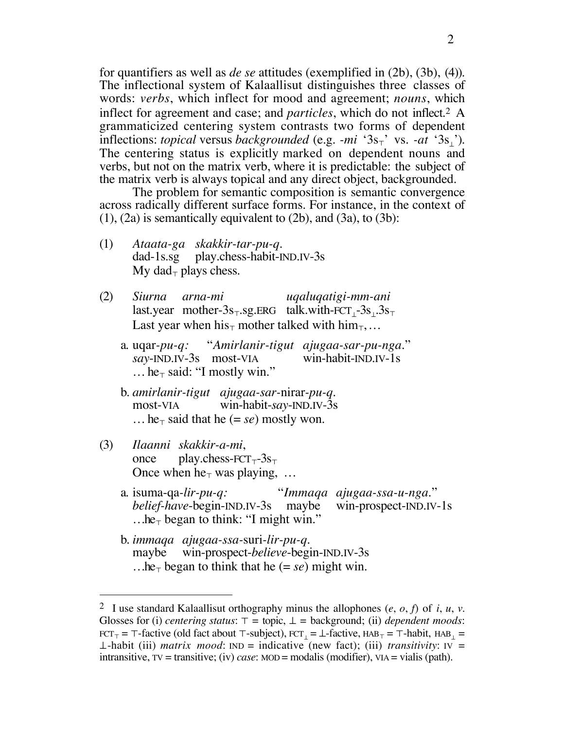for quantifiers as well as *de se* attitudes (exemplified in (2b), (3b), (4)). The inflectional system of Kalaallisut distinguishes three classes of words: *verbs*, which inflect for mood and agreement; *nouns*, which inflect for agreement and case; and *particles*, which do not inflect.2 A grammaticized centering system contrasts two forms of dependent inflections: *topical* versus *backgrounded* (e.g. *-mi*  $3s<sub>τ</sub>$ ' vs. *-at* '3s<sub>⊥</sub>'). The centering status is explicitly marked on dependent nouns and verbs, but not on the matrix verb, where it is predictable: the subject of the matrix verb is always topical and any direct object, backgrounded.

The problem for semantic composition is semantic convergence across radically different surface forms. For instance, in the context of  $(1)$ ,  $(2a)$  is semantically equivalent to  $(2b)$ , and  $(3a)$ , to  $(3b)$ :

- (1) *Ataata-ga skakkir-tar-pu-q.* dad-1s.sg play.chess-habit-IND.IV-3s  $Mv$  dad<sub> $\tau$ </sub> plays chess.
- (2) *Siurna arna-mi uqaluqatigi-mm-ani* last.year mother-3s<sub>T</sub>.sg.ERG talk.with-FCT<sub>⊥</sub>-3s<sub>⊥</sub>.3s<sub>T</sub> Last year when his<sub> $\tau$ </sub> mother talked with him $_{\tau}$ ,...
	- a. uqar*-pu-q:* "*Amirlanir-tigut ajugaa-sar-pu-nga*." *say*-IND.IV-3s most-VIA win-habit-IND.IV-1s  $\ldots$  he<sub> $\tau$ </sub> said: "I mostly win."
	- b. *amirlanir-tigut ajugaa-sar-*nirar*-pu-q*. most-VIA win-habit-*say*-IND.IV-3s ... he<sub> $\tau$ </sub> said that he (= *se*) mostly won.
- (3) *Ilaanni skakkir-a-mi*, once play.chess- $\text{FCT}_{\tau}$ -3s<sub> $\tau$ </sub> Once when he<sub> $<sub>τ</sub>$  was playing, ...</sub></sub>

 $\overline{a}$ 

- a. isuma-qa*-lir-pu-q:* "*Immaqa ajugaa-ssa-u-nga*." *belief-have*-begin-IND.IV-3s maybe win-prospect-IND.IV-1s  $...$ he<sub> $\tau$ </sub> began to think: "I might win."
- b. *immaqa ajugaa-ssa-*suri*-lir-pu-q.* maybe win-prospect-*believe*-begin-IND.IV-3s ... he<sub> $\tau$ </sub> began to think that he (= *se*) might win.

<sup>2</sup> I use standard Kalaallisut orthography minus the allophones (*e*, *o*, *f*) of *i*, *u*, *v*. Glosses for (i) *centering status*:  $\tau =$  topic,  $\bot =$  background; (ii) *dependent moods*:  $FCT_T = T$ -factive (old fact about  $T$ -subject),  $FCT_1 = \perp$ -factive,  $HAB_T = T$ -habit,  $HAB_1 = T$ ⊥-habit (iii) *matrix mood*: IND = indicative (new fact); (iii) *transitivity*: IV = intransitive, TV = transitive; (iv) *case*: MOD = modalis (modifier), VIA = vialis (path).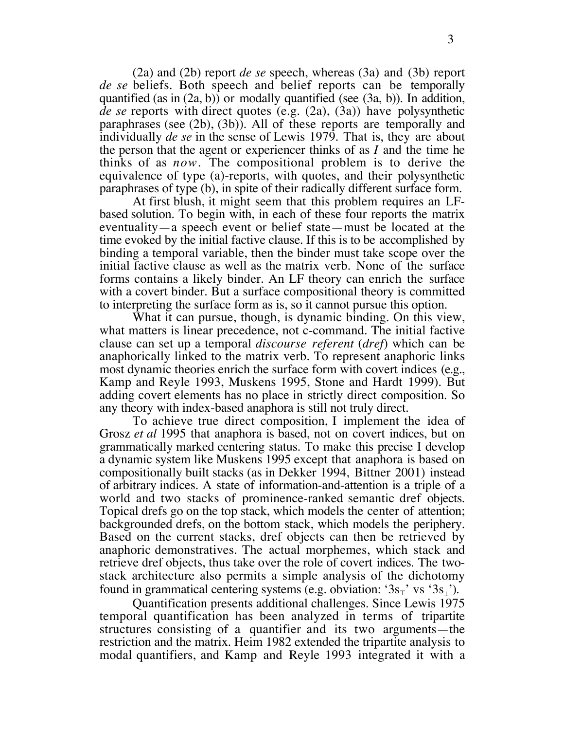(2a) and (2b) report *de se* speech, whereas (3a) and (3b) report *de se* beliefs. Both speech and belief reports can be temporally quantified (as in  $(2a, b)$ ) or modally quantified (see  $(3a, b)$ ). In addition, *de se* reports with direct quotes (e.g. (2a), (3a)) have polysynthetic paraphrases (see (2b), (3b)). All of these reports are temporally and individually *de se* in the sense of Lewis 1979. That is, they are about the person that the agent or experiencer thinks of as *I* and the time he thinks of as *now.* The compositional problem is to derive the equivalence of type (a)-reports, with quotes, and their polysynthetic paraphrases of type (b), in spite of their radically different surface form.

At first blush, it might seem that this problem requires an LFbased solution. To begin with, in each of these four reports the matrix eventuality—a speech event or belief state—must be located at the time evoked by the initial factive clause. If this is to be accomplished by binding a temporal variable, then the binder must take scope over the initial factive clause as well as the matrix verb. None of the surface forms contains a likely binder. An LF theory can enrich the surface with a covert binder. But a surface compositional theory is committed to interpreting the surface form as is, so it cannot pursue this option.

What it can pursue, though, is dynamic binding. On this view, what matters is linear precedence, not c-command. The initial factive clause can set up a temporal *discourse referent* (*dref*) which can be anaphorically linked to the matrix verb. To represent anaphoric links most dynamic theories enrich the surface form with covert indices (e.g., Kamp and Reyle 1993, Muskens 1995, Stone and Hardt 1999). But adding covert elements has no place in strictly direct composition. So any theory with index-based anaphora is still not truly direct.

To achieve true direct composition, I implement the idea of Grosz *et al* 1995 that anaphora is based, not on covert indices, but on grammatically marked centering status. To make this precise I develop a dynamic system like Muskens 1995 except that anaphora is based on compositionally built stacks (as in Dekker 1994, Bittner 2001) instead of arbitrary indices. A state of information-and-attention is a triple of a world and two stacks of prominence-ranked semantic dref objects. Topical drefs go on the top stack, which models the center of attention; backgrounded drefs, on the bottom stack, which models the periphery. Based on the current stacks, dref objects can then be retrieved by anaphoric demonstratives. The actual morphemes, which stack and retrieve dref objects, thus take over the role of covert indices. The twostack architecture also permits a simple analysis of the dichotomy found in grammatical centering systems (e.g. obviation: ' $3s<sub>†</sub>$ ' vs ' $3s<sub>+</sub>$ ').

Quantification presents additional challenges. Since Lewis 1975 temporal quantification has been analyzed in terms of tripartite structures consisting of a quantifier and its two arguments—the restriction and the matrix. Heim 1982 extended the tripartite analysis to modal quantifiers, and Kamp and Reyle 1993 integrated it with a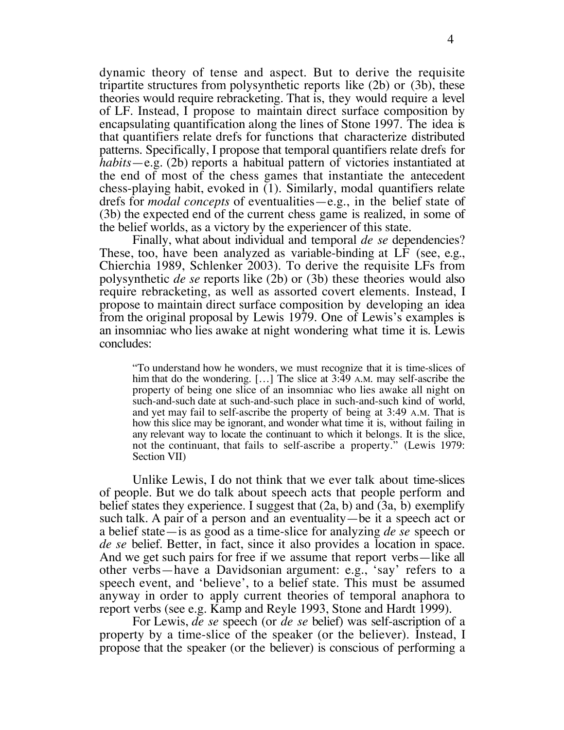dynamic theory of tense and aspect. But to derive the requisite tripartite structures from polysynthetic reports like (2b) or (3b), these theories would require rebracketing. That is, they would require a level of LF. Instead, I propose to maintain direct surface composition by encapsulating quantification along the lines of Stone 1997. The idea is that quantifiers relate drefs for functions that characterize distributed patterns. Specifically, I propose that temporal quantifiers relate drefs for *habits*—e.g. (2b) reports a habitual pattern of victories instantiated at the end of most of the chess games that instantiate the antecedent chess-playing habit, evoked in (1). Similarly, modal quantifiers relate drefs for *modal concepts* of eventualities—e.g., in the belief state of (3b) the expected end of the current chess game is realized, in some of the belief worlds, as a victory by the experiencer of this state. Finally, what about individual and temporal *de se* dependencies?

These, too, have been analyzed as variable-binding at LF (see, e.g., Chierchia 1989, Schlenker 2003). To derive the requisite LFs from polysynthetic *de se* reports like (2b) or (3b) these theories would also require rebracketing, as well as assorted covert elements. Instead, I propose to maintain direct surface composition by developing an idea from the original proposal by Lewis 1979. One of Lewis's examples is an insomniac who lies awake at night wondering what time it is. Lewis concludes:

"To understand how he wonders, we must recognize that it is time-slices of him that do the wondering. [...] The slice at 3:49 A.M. may self-ascribe the property of being one slice of an insomniac who lies awake all night on such-and-such date at such-and-such place in such-and-such kind of world, and yet may fail to self-ascribe the property of being at 3:49 A.M. That is how this slice may be ignorant, and wonder what time it is, without failing in any relevant way to locate the continuant to which it belongs. It is the slice, not the continuant, that fails to self-ascribe a property." (Lewis 1979: Section VII)

Unlike Lewis, I do not think that we ever talk about time-slices of people. But we do talk about speech acts that people perform and belief states they experience. I suggest that  $(2a, b)$  and  $(3a, b)$  exemplify such talk. A pair of a person and an eventuality—be it a speech act or a belief state—is as good as a time-slice for analyzing *de se* speech or *de se* belief. Better, in fact, since it also provides a location in space. And we get such pairs for free if we assume that report verbs—like all other verbs—have a Davidsonian argument: e.g., 'say' refers to a speech event, and 'believe', to a belief state. This must be assumed anyway in order to apply current theories of temporal anaphora to report verbs (see e.g. Kamp and Reyle 1993, Stone and Hardt 1999).

For Lewis, *de se* speech (or *de se* belief) was self-ascription of a property by a time-slice of the speaker (or the believer). Instead, I propose that the speaker (or the believer) is conscious of performing a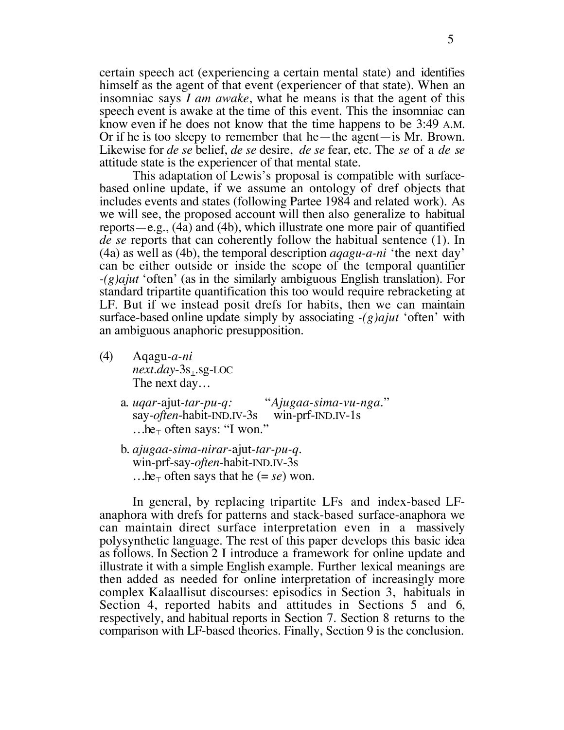certain speech act (experiencing a certain mental state) and identifies himself as the agent of that event (experiencer of that state). When an insomniac says *I am awake*, what he means is that the agent of this speech event is awake at the time of this event. This the insomniac can know even if he does not know that the time happens to be 3:49 A.M. Or if he is too sleepy to remember that he—the agent—is Mr. Brown. Likewise for *de se* belief, *de se* desire, *de se* fear, etc. The *se* of a *de se* attitude state is the experiencer of that mental state.

This adaptation of Lewis's proposal is compatible with surfacebased online update, if we assume an ontology of dref objects that includes events and states (following Partee 1984 and related work). As we will see, the proposed account will then also generalize to habitual reports—e.g., (4a) and (4b), which illustrate one more pair of quantified *de se* reports that can coherently follow the habitual sentence (1). In (4a) as well as (4b), the temporal description *aqagu-a-ni* 'the next day' can be either outside or inside the scope of the temporal quantifier *-(g)ajut* 'often' (as in the similarly ambiguous English translation). For standard tripartite quantification this too would require rebracketing at LF. But if we instead posit drefs for habits, then we can maintain surface-based online update simply by associating *-(g)ajut* 'often' with an ambiguous anaphoric presupposition.

- (4) Aqagu*-a-ni next.day*-3s<sub>⊥</sub>.sg-LOC The next day…
	- a. *uqar-*ajut*-tar-pu-q:* "*Ajugaa-sima-vu-nga*." say-*often*-habit-IND.IV-3s win-prf-IND.IV-1s  $\dots$ he<sub> $\tau$ </sub> often says: "I won."
	- b. *ajugaa-sima-nirar-*ajut*-tar-pu-q.* win-prf-say-*often*-habit-IND.IV-3s ... he<sub> $\tau$ </sub> often says that he (= *se*) won.

In general, by replacing tripartite LFs and index-based LFanaphora with drefs for patterns and stack-based surface-anaphora we can maintain direct surface interpretation even in a massively polysynthetic language. The rest of this paper develops this basic idea as follows. In Section 2 I introduce a framework for online update and illustrate it with a simple English example. Further lexical meanings are then added as needed for online interpretation of increasingly more complex Kalaallisut discourses: episodics in Section 3, habituals in Section 4, reported habits and attitudes in Sections 5 and 6, respectively, and habitual reports in Section 7. Section 8 returns to the comparison with LF-based theories. Finally, Section 9 is the conclusion.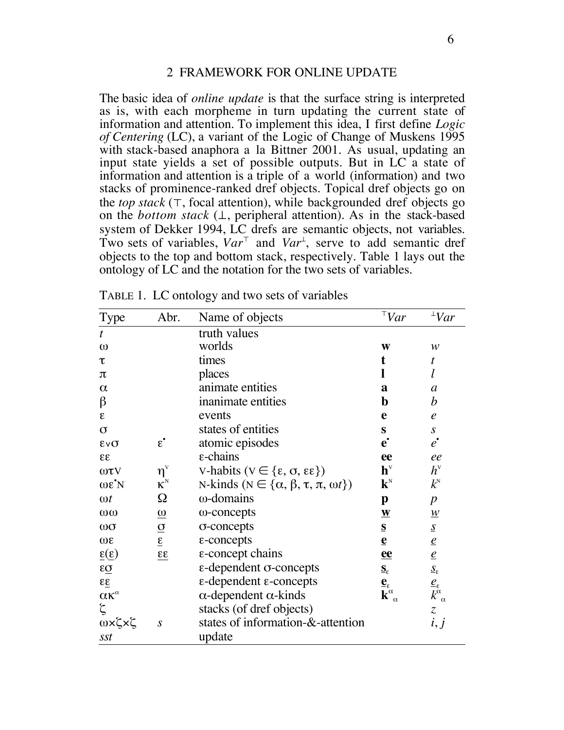### 2 FRAMEWORK FOR ONLINE UPDATE

The basic idea of *online update* is that the surface string is interpreted as is, with each morpheme in turn updating the current state of information and attention. To implement this idea, I first define *Logic of Centering* (LC), a variant of the Logic of Change of Muskens 1995 with stack-based anaphora a la Bittner 2001. As usual, updating an input state yields a set of possible outputs. But in LC a state of information and attention is a triple of a world (information) and two stacks of prominence-ranked dref objects. Topical dref objects go on the *top stack* ( $\top$ , focal attention), while backgrounded dref objects go on the *bottom stack*  $(L,$  peripheral attention). As in the stack-based system of Dekker 1994, LC drefs are semantic objects, not variables. Two sets of variables,  $Var^{\dagger}$  and  $Var^{\dagger}$ , serve to add semantic dref objects to the top and bottom stack, respectively. Table 1 lays out the ontology of LC and the notation for the two sets of variables.

| <b>Type</b>                                            | Abr.                       | Name of objects                                          | $\tau_{\textit{Var}}$                            | $\perp$ Var                              |
|--------------------------------------------------------|----------------------------|----------------------------------------------------------|--------------------------------------------------|------------------------------------------|
| t                                                      |                            | truth values                                             |                                                  |                                          |
| $\omega$                                               |                            | worlds                                                   | W                                                | $\boldsymbol{\mathcal{W}}$               |
| τ                                                      |                            | times                                                    | t                                                | $\boldsymbol{t}$                         |
| π                                                      |                            | places                                                   |                                                  | l                                        |
| $\alpha$                                               |                            | animate entities                                         | a                                                | $\boldsymbol{a}$                         |
| β                                                      |                            | inanimate entities                                       | $\bf{b}$                                         | $\boldsymbol{b}$                         |
| $\pmb{\epsilon}$                                       |                            | events                                                   | e                                                | $\boldsymbol{\ell}$                      |
| $\sigma$                                               |                            | states of entities                                       | S                                                | $\boldsymbol{S}$                         |
| $E\vee\sigma$                                          | $\varepsilon$ <sup>*</sup> | atomic episodes                                          | $\mathbf{e}^{\bullet}$                           | $e^{\bullet}$                            |
| $\epsilon$                                             |                            | ε-chains                                                 | ee                                               | ee                                       |
| $\omega \tau V$                                        | $\eta^v$                   | V-habits ( $V \in \{\epsilon, \sigma, \epsilon\}$ )      | $\mathbf{h}^{\mathrm{v}}$                        | $h^{\rm v}$                              |
| $\omega \varepsilon$ <sup>'</sup> N                    | $K^N$                      | N-kinds ( $N \in {\alpha, \beta, \tau, \pi, \omega t}$ ) | $\mathbf{k}^N$                                   | $k^{\scriptscriptstyle{{\rm N}}}$        |
| $\omega t$                                             | $\Omega$                   | $\omega$ -domains                                        | $\mathbf{p}$                                     | $\boldsymbol{p}$                         |
| $\omega\omega$                                         |                            | $\omega$ -concepts                                       | $\underline{\mathbf{W}}$                         | $\underline{w}$                          |
| $\omega\sigma$                                         | $\frac{\omega}{\sigma}$    | $\sigma$ -concepts                                       | $\underline{\mathbf{S}}$                         | $\overline{2}$                           |
| $\omega\varepsilon$                                    |                            | ε-concepts                                               | $\underline{\mathbf{e}}$                         |                                          |
| $\underline{\epsilon}(\underline{\epsilon})$           | $\underline{\mathfrak{E}}$ | ε-concept chains                                         | $e$                                              | $\frac{e}{e}$                            |
|                                                        |                            | $\varepsilon$ -dependent $\sigma$ -concepts              | $\underline{\mathbf{S}}_{\boldsymbol{\epsilon}}$ | $\underline{S}_\epsilon$                 |
| $rac{\varepsilon_0}{\varepsilon_0}$<br>ακ <sup>α</sup> |                            | ε-dependent ε-concepts                                   | $\underline{\mathbf{e}}_\epsilon$                | $\frac{e_{\varepsilon}}{k^{\alpha}}$     |
|                                                        |                            | $\alpha$ -dependent $\alpha$ -kinds                      | $\overline{\mathbf{k}}_{\ \alpha}^{\alpha}$      |                                          |
| ζ                                                      |                            | stacks (of dref objects)                                 |                                                  |                                          |
| ωxζxζ                                                  | $\boldsymbol{S}$           | states of information-&-attention                        |                                                  | $\begin{array}{c} z \\ i, j \end{array}$ |
| sst                                                    |                            | update                                                   |                                                  |                                          |

TABLE 1. LC ontology and two sets of variables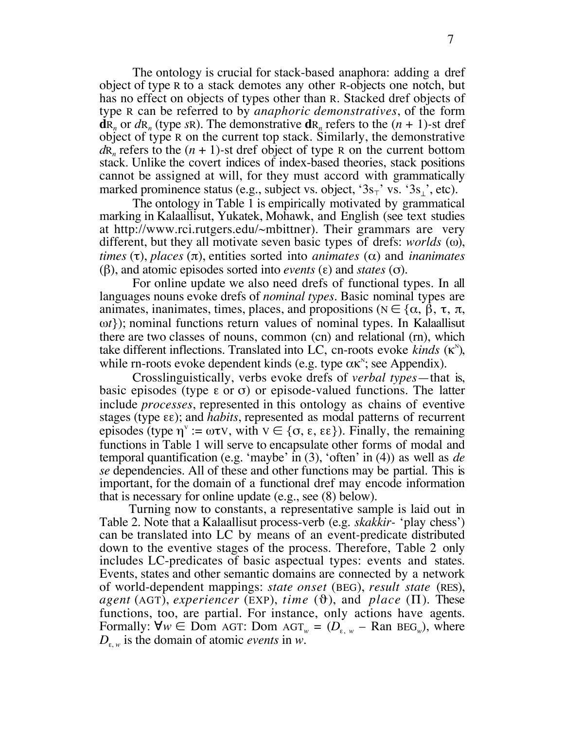The ontology is crucial for stack-based anaphora: adding a dref object of type R to a stack demotes any other R-objects one notch, but has no effect on objects of types other than R. Stacked dref objects of type R can be referred to by *anaphoric demonstratives*, of the form  $dR_n$  or  $dR_n$  (type *s*R). The demonstrative  $dR_n$  refers to the  $(n + 1)$ -st dref object of type R on the current top stack. Similarly, the demonstrative  $dR<sub>n</sub>$  refers to the  $(n + 1)$ -st dref object of type R on the current bottom stack. Unlike the covert indices of index-based theories, stack positions cannot be assigned at will, for they must accord with grammatically marked prominence status (e.g., subject vs. object, ' $3s<sub>†</sub>$ ' vs. ' $3s<sub>+</sub>$ ', etc).

The ontology in Table 1 is empirically motivated by grammatical marking in Kalaallisut, Yukatek, Mohawk, and English (see text studies at http://www.rci.rutgers.edu/~mbittner). Their grammars are very different, but they all motivate seven basic types of drefs: *worlds* (ω), *times* (τ), *places* (π), entities sorted into *animates* (α) and *inanimates* (β), and atomic episodes sorted into *events* (ε) and *states* (σ).

For online update we also need drefs of functional types. In all languages nouns evoke drefs of *nominal types*. Basic nominal types are animates, inanimates, times, places, and propositions ( $N \in {\alpha, \beta, \tau, \pi}$ , ω*t*}); nominal functions return values of nominal types. In Kalaallisut there are two classes of nouns, common (cn) and relational (rn), which take different inflections. Translated into LC, cn-roots evoke *kinds* (κ<sup>N</sup>), while rn-roots evoke dependent kinds (e.g. type  $\alpha \kappa^N$ ; see Appendix).

Crosslinguistically, verbs evoke drefs of *verbal types*—that is, basic episodes (type  $\varepsilon$  or  $\sigma$ ) or episode-valued functions. The latter include *processes*, represented in this ontology as chains of eventive stages (type εε); and *habits*, represented as modal patterns of recurrent episodes (type  $\eta^v := \omega \tau v$ , with  $v \in {\sigma, \epsilon, \epsilon \epsilon}$ ). Finally, the remaining functions in Table 1 will serve to encapsulate other forms of modal and temporal quantification (e.g. 'maybe' in (3), 'often' in (4)) as well as *de se* dependencies. All of these and other functions may be partial. This is important, for the domain of a functional dref may encode information that is necessary for online update (e.g., see (8) below).

Turning now to constants, a representative sample is laid out in Table 2. Note that a Kalaallisut process-verb (e.g. *skakkir-* 'play chess') can be translated into LC by means of an event*-*predicate distributed down to the eventive stages of the process. Therefore, Table 2 only includes LC-predicates of basic aspectual types: events and states. Events, states and other semantic domains are connected by a network of world-dependent mappings: *state onset* (BEG), *result state* (RES), *agent* (AGT), *experiencer* (EXP), *time* (ϑ), and *place* (Π). These functions, too, are partial. For instance, only actions have agents. Formally:  $\forall w \in \text{Dom } \text{AGT}$ : Dom  $\text{AGT}_w = (D_{\varepsilon,w} - \text{Ran } \text{BEG}_w)$ , where *D*ε, *<sup>w</sup>* is the domain of atomic *events* in *w*.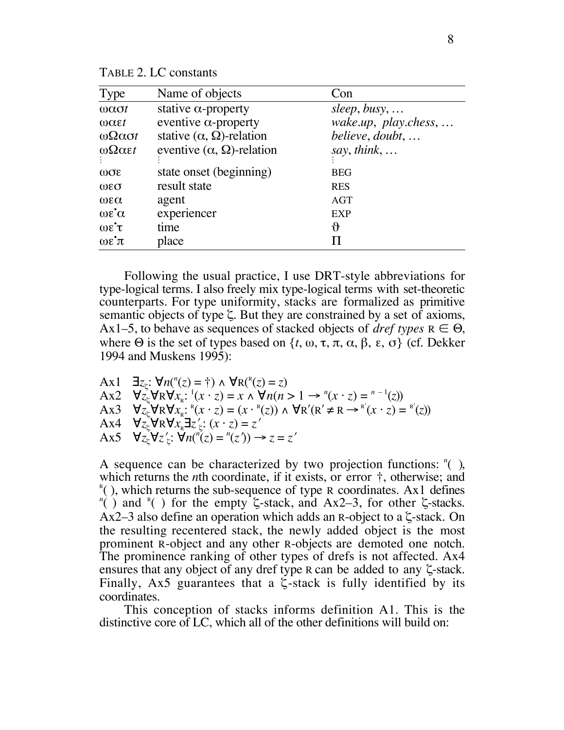TABLE 2. LC constants

| <b>Type</b>                       | Name of objects                       | Con                   |
|-----------------------------------|---------------------------------------|-----------------------|
| $\omega \alpha \sigma t$          | stative $\alpha$ -property            | sleep, busy, $\ldots$ |
| $\omega \alpha \varepsilon t$     | eventive $\alpha$ -property           | wake.up, play.chess,  |
| $\omega\Omega\alpha\sigma t$      | stative $(\alpha, \Omega)$ -relation  | believe, doubt,       |
| $\omega \Omega \alpha \epsilon t$ | eventive $(\alpha, \Omega)$ -relation | say, think, $\ldots$  |
|                                   |                                       |                       |
| $\omega\sigma\epsilon$            | state onset (beginning)               | <b>BEG</b>            |
| $\omega \epsilon \sigma$          | result state                          | <b>RES</b>            |
| $\omega \epsilon \alpha$          | agent                                 | AGT                   |
| $\omega \cdot \alpha$             | experiencer                           | <b>EXP</b>            |
| $\omega \varepsilon \tau$         | time                                  | $\theta$              |
| $\omega \varepsilon \pi$          | place                                 |                       |

Following the usual practice, I use DRT-style abbreviations for type-logical terms. I also freely mix type-logical terms with set-theoretic counterparts. For type uniformity, stacks are formalized as primitive semantic objects of type ζ. But they are constrained by a set of axioms, Ax1–5, to behave as sequences of stacked objects of *dref types*  $R \in \Theta$ , where  $\Theta$  is the set of types based on  $\{t, \omega, \tau, \pi, \alpha, \beta, \varepsilon, \sigma\}$  (cf. Dekker 1994 and Muskens 1995):

Ax1  $\exists z_{\xi} : \forall n("z) = \dagger) \land \forall R("z) = z)$ 

Ax2  $\forall z \in \forall R \forall x_R : (x \cdot z) = x \land \forall n(n > 1 \rightarrow (x \cdot z)) = (x \cdot z)(x \cdot z)$ 

Ax3  $\forall z_{\xi} \forall R \forall x_{\xi}: \Gamma(x \cdot z) = (x \cdot \Gamma(z)) \land \forall R'(R' \neq R \rightarrow \Gamma'(x \cdot z) = \Gamma'(z))$ 

 $\Delta x$ 4  $\forall z_{\xi} \forall R \forall x_{R} \exists z'_{\xi}: (x \cdot z) = z'$ 

$$
\mathbf{A}\mathbf{x}\mathbf{5} \quad \mathbf{V}z_{\xi}^{\mathbf{I}}\mathbf{V}z_{\xi}^{\prime}:\mathbf{V}n(^{n}(z)=^{n}(z^{\prime}))\rightarrow z=z^{\prime}
$$

A sequence can be characterized by two projection functions: *<sup>n</sup>* ( ), which returns the *n*th coordinate, if it exists, or error  $\dagger$ , otherwise; and  $\binom{R}{k}$ , which returns the sub-sequence of type R coordinates. Ax1 defines ( ) and  $R$  ) for the empty  $\zeta$ -stack, and Ax2–3, for other  $\zeta$ -stacks. Ax2–3 also define an operation which adds an R-object to a ζ-stack. On the resulting recentered stack, the newly added object is the most prominent R-object and any other R-objects are demoted one notch. The prominence ranking of other types of drefs is not affected. Ax4 ensures that any object of any dref type R can be added to any ζ-stack. Finally, Ax5 guarantees that a ζ-stack is fully identified by its coordinates.

This conception of stacks informs definition A1. This is the distinctive core of LC, which all of the other definitions will build on: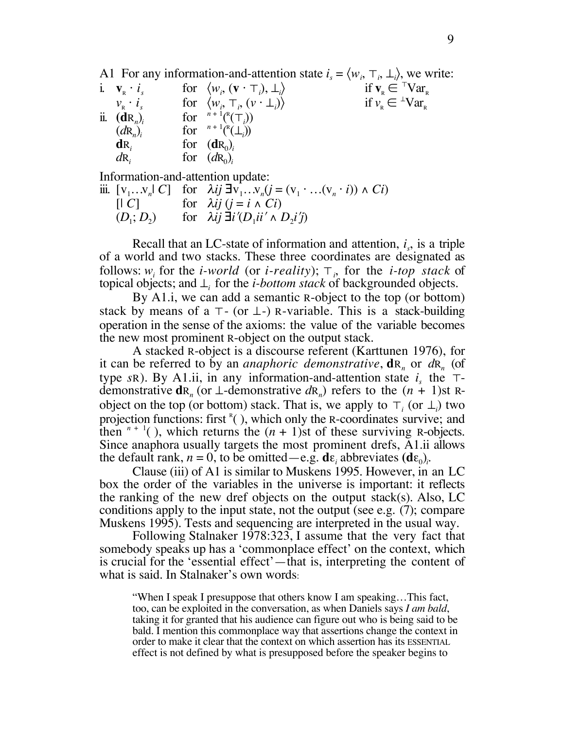|  |  | A1 For any information-and-attention state $i_s = \langle w_i, \tau_i, \bot_i \rangle$ , we write: |  |  |  |  |  |  |  |
|--|--|----------------------------------------------------------------------------------------------------|--|--|--|--|--|--|--|
|--|--|----------------------------------------------------------------------------------------------------|--|--|--|--|--|--|--|

| i $\mathbf{v}_{\rm r} \cdot \dot{\mathbf{i}}_{\rm s}$ | for $\langle w_i, (\mathbf{v} \cdot \top_i), \bot_i \rangle$ | if $\mathbf{v}_{\scriptscriptstyle{\mathrm{p}}} \in {}^{\scriptscriptstyle{\top}} \mathrm{Var}_{\scriptscriptstyle{\mathrm{p}}}$ |
|-------------------------------------------------------|--------------------------------------------------------------|----------------------------------------------------------------------------------------------------------------------------------|
| $v_{\rm p} \cdot i_{\rm s}$                           | for $\langle w_i, \top_i, (v \cdot \bot_i) \rangle$          | if $v_{R} \in {}^{\perp}Var_{R}$                                                                                                 |
| ii. $(dR_n)_i$                                        | for $^{n+1}({}^{\mathbb{R}}(\top))$                          |                                                                                                                                  |
| $(dR_n)_i$                                            | for $^{n+1}$ ( $^{R}(\perp)$ )                               |                                                                                                                                  |
| $dR_i$                                                | for $(dR_0)$                                                 |                                                                                                                                  |
| $dR_i$                                                | for $(dR_0)$                                                 |                                                                                                                                  |

Information-and-attention update:

|              | iii. $[v_1v_n]$ C for $\lambda ij$ $\exists v_1v_n (j = (v_1 \cdot  (v_n \cdot i)) \wedge Ci)$ |
|--------------|------------------------------------------------------------------------------------------------|
|              | $\lceil  C $ for $\lambda ij$ $(j = i \wedge Ci)$                                              |
| $(D_1; D_2)$ | for $\lambda ij \exists i' (D_1 ii' \wedge D_2 i' j)$                                          |

Recall that an LC-state of information and attention,  $i_s$ , is a triple of a world and two stacks. These three coordinates are designated as follows:  $w_i$  for the *i-world* (or *i-reality*);  $\top$ , for the *i-top stack* of topical objects; and ⊥*i* for the *i-bottom stack* of backgrounded objects.

By A1.i, we can add a semantic R-object to the top (or bottom) stack by means of a  $\top$ - (or  $\bot$ -) R-variable. This is a stack-building operation in the sense of the axioms: the value of the variable becomes the new most prominent R-object on the output stack.

A stacked R-object is a discourse referent (Karttunen 1976), for it can be referred to by an *anaphoric demonstrative*,  $dR_n$  or  $dR_n$  (of type sR). By A1.ii, in any information-and-attention state  $i_s$  the  $T$ demonstrative  $dR_n$  (or ⊥-demonstrative  $dR_n$ ) refers to the  $(n + 1)$ st Robject on the top (or bottom) stack. That is, we apply to  $\top_i$  (or  $\bot_i$ ) two projection functions: first  $K$  ), which only the R-coordinates survive; and then  $^{n+1}$ (), which returns the  $(n + 1)$ st of these surviving R-objects. Since anaphora usually targets the most prominent drefs, A1.ii allows the default rank,  $n = 0$ , to be omitted—e.g.  $d\varepsilon_i$  abbreviates  $(d\varepsilon_0)$ <sub>*i*</sub>.

Clause (iii) of A1 is similar to Muskens 1995. However, in an LC box the order of the variables in the universe is important: it reflects the ranking of the new dref objects on the output stack(s). Also, LC conditions apply to the input state, not the output (see e.g. (7); compare Muskens 1995). Tests and sequencing are interpreted in the usual way.

Following Stalnaker 1978:323, I assume that the very fact that somebody speaks up has a 'commonplace effect' on the context, which is crucial for the 'essential effect'—that is, interpreting the content of what is said. In Stalnaker's own words:

"When I speak I presuppose that others know I am speaking…This fact, too, can be exploited in the conversation, as when Daniels says *I am bald*, taking it for granted that his audience can figure out who is being said to be bald. I mention this commonplace way that assertions change the context in order to make it clear that the context on which assertion has its ESSENTIAL effect is not defined by what is presupposed before the speaker begins to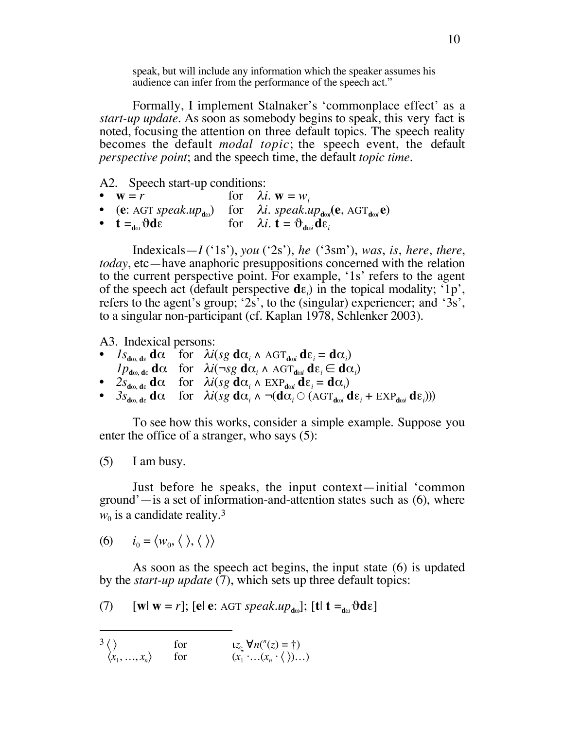speak, but will include any information which the speaker assumes his audience can infer from the performance of the speech act."

Formally, I implement Stalnaker's 'commonplace effect' as a *start-up update*. As soon as somebody begins to speak, this very fact is noted, focusing the attention on three default topics. The speech reality becomes the default *modal topic*; the speech event, the default *perspective point*; and the speech time, the default *topic time*.

- A2. Speech start-up conditions:<br>
  $\mathbf{w} = r$  for  $\lambda i. \mathbf{w} = w_i$ •  $\mathbf{w} = r$  for  $\lambda i. \mathbf{w} = w_i$
- (**e**: AGT *speak.up*<sub>dω</sub>) for  $\lambda i$ *. speak.up*<sub>dω</sub>*i*(**e**, AGT<sub>dω*i*</sub>**e**)
- $\mathbf{t} =_{d\omega} \theta \mathbf{d}\mathbf{\varepsilon}$  for  $\lambda i. \mathbf{t} = \theta_{d\omega i} \mathbf{d}\mathbf{\varepsilon}_i$

Indexicals— $I('1s')$ , *you*  $('2s')$ , *he*  $('3sm')$ , *was*, *is*, *here*, *there*, *today*, etc—have anaphoric presuppositions concerned with the relation to the current perspective point. For example, '1s' refers to the agent of the speech act (default perspective **d**ε*<sup>i</sup>* ) in the topical modality; '1p', refers to the agent's group; '2s', to the (singular) experiencer; and '3s', to a singular non-participant (cf. Kaplan 1978, Schlenker 2003).

A3. Indexical persons:

|  | • $I_{S_{\text{do de}}} \mathbf{d}\alpha$ for $\lambda i(sg \mathbf{d}\alpha_i \wedge \text{AGT}_{\text{doi}} \mathbf{d}\epsilon_i = \mathbf{d}\alpha_i$                                                   |
|--|------------------------------------------------------------------------------------------------------------------------------------------------------------------------------------------------------------|
|  | $lp_{d\omega, de} d\alpha$ for $\lambda i(\neg sg \, da_i \wedge AGT_{d\omega} \, de_i \in da_i)$                                                                                                          |
|  | • $2s_{\text{do de}} d\alpha$ for $\lambda i(sg d\alpha_i \wedge \text{EXP}_{\text{do }i} d\varepsilon_i = d\alpha_i)$                                                                                     |
|  | • $3s_{\rm do, de}$ d $\alpha$ for $\lambda i(sg \, \mathbf{d}\alpha_i \wedge \neg(\mathbf{d}\alpha_i \odot (\text{AGT}_{\rm do}) \mathbf{d}\varepsilon_i + \text{EXP}_{\rm do}(\mathbf{d}\varepsilon_i))$ |

To see how this works, consider a simple example. Suppose you enter the office of a stranger, who says (5):

(5) I am busy.

Just before he speaks, the input context—initial 'common ground'—is a set of information-and-attention states such as (6), where  $w_0$  is a candidate reality.<sup>3</sup>

$$
(6) \qquad i_0 = \langle w_0, \langle \ \rangle, \langle \ \rangle \rangle
$$

As soon as the speech act begins, the input state (6) is updated by the *start-up update* (7), which sets up three default topics:

(7)  $[\mathbf{w}|\mathbf{w}=r]$ ;  $[\mathbf{e}|\mathbf{e}: AGT \text{ } sp\text{ }eak.\text{ }up_{d\omega}]$ ;  $[\mathbf{t}|\mathbf{t}=_{d\omega} \theta d\varepsilon]$ 

| $3\langle \rangle$<br>$\langle x_1, \ldots, x_n \rangle$ | for<br>tor | $iz_{\xi} \forall n(^{n}(z) = \dagger)$<br>$(x_{1} \cdot  (x_{n} \cdot \langle \rangle) )$ |
|----------------------------------------------------------|------------|--------------------------------------------------------------------------------------------|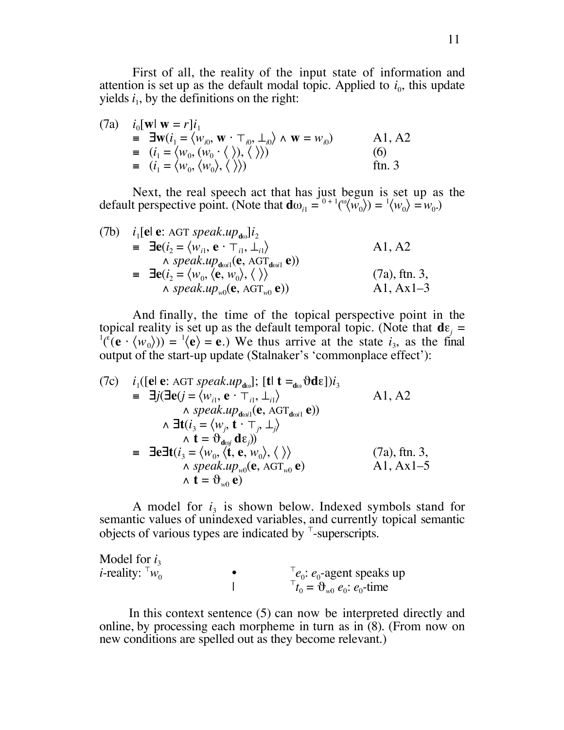First of all, the reality of the input state of information and attention is set up as the default modal topic. Applied to  $i_0$ , this update yields  $i_1$ , by the definitions on the right:

| (7a) $i_0$ [wl w = r  $i_1$                                                                 |          |
|---------------------------------------------------------------------------------------------|----------|
| = $\exists w(i_1 = \langle w_{i0}, w \cdot \top_{i0}, \bot_{i0} \rangle \wedge w = w_{i0})$ | A1, A2   |
| $=$ $(i_1 = \langle w_0, (w_0 \cdot \langle \ \rangle), \ \rangle)$                         | (6)      |
| $=$ $(i_1 = \langle w_0, \langle w_0 \rangle, \langle \rangle)$                             | ftn. $3$ |

Next, the real speech act that has just begun is set up as the default perspective point. (Note that  $\mathbf{d}\omega_{i1} = 0 + 1 \, (\omega \langle w_0 \rangle) = 1 \langle w_0 \rangle = w_0$ .)

(7b) 
$$
i_1[\mathbf{e}|\mathbf{e}: \text{AGT} \text{ } speak.up_{d\omega}]i_2
$$
  
\n
$$
\equiv \mathbf{\frac{d}{d}\mathbf{e}}(i_2 = \langle w_{i1}, \mathbf{e} \cdot \mathbf{T}_{i1}, \perp_{i1} \rangle \qquad \text{A1, A2}
$$
\n
$$
\land \text{ } speak.up_{d\omega i}(\mathbf{e}, \text{AGT}_{d\omega i} \mathbf{e}))
$$
\n
$$
\equiv \mathbf{\frac{d}{d}\mathbf{e}}(i_2 = \langle w_0, \langle \mathbf{e}, w_0 \rangle, \langle \rangle) \qquad \text{(7a), fh. 3,}
$$
\n
$$
\land \text{ } speak.up_{\omega 0}(\mathbf{e}, \text{AGT}_{\omega 0} \mathbf{e})) \qquad \text{A1, Ax1-3}
$$

And finally, the time of the topical perspective point in the topical reality is set up as the default temporal topic. (Note that  $\mathbf{d}\varepsilon_j =$  $({}^{\mathfrak{e}}(\mathbf{e} \cdot \langle w_0 \rangle)) = {}^{\mathfrak{t}}\langle \mathbf{e} \rangle = \mathbf{e}$ .) We thus arrive at the state  $i_3$ , as the final output of the start-up update (Stalnaker's 'commonplace effect'):

(7c) 
$$
i_1([e] \mathbf{e}: \text{AGT } speak.up_{d\omega}]; [\mathbf{t} \mathbf{t} =_{d\omega} \theta \mathbf{d}\mathbf{\varepsilon}])i_3
$$
  
\n
$$
\equiv \exists j(\exists e(j = \langle w_{i1}, \mathbf{e} \cdot \top_{i1}, \bot_{i1} \rangle \qquad \text{A1, A2}
$$
\n
$$
\wedge \text{ speak.up}_{d\omega i}(\mathbf{e}, \text{AGT}_{d\omega i} \mathbf{e}))
$$
\n
$$
\wedge \exists t(i_3 = \langle w_{j}, \mathbf{t} \cdot \top_{j}, \bot_{j} \rangle \qquad \wedge \mathbf{t} = \vartheta_{d\omega j} \mathbf{d}\varepsilon_{j})
$$
\n
$$
\equiv \exists e \exists t(i_3 = \langle w_{0}, \langle \mathbf{t}, \mathbf{e}, w_{0} \rangle, \langle \rangle) \qquad \qquad (7a), \text{ftn. 3,}
$$
\n
$$
\wedge \text{ speak.up}_{w0}(\mathbf{e}, \text{AGT}_{w0} \mathbf{e}) \qquad \qquad \text{A1, Ax1-5}
$$

A model for  $i_3$  is shown below. Indexed symbols stand for semantic values of unindexed variables, and currently topical semantic objects of various types are indicated by  $\bar{\ }$ -superscripts.

Model for  $i_3$ <br>*i*-reality:  $\lceil w_0 \rceil$ *i*-reality:  $\sqrt[n]{w_0}$  •  $\sqrt[n]{e_0: e_0}$ -agent speaks up  $\int_0^\tau t_0 = \mathfrak{S}_{w0} e_0 : e_0$ -time

In this context sentence (5) can now be interpreted directly and online, by processing each morpheme in turn as in (8). (From now on new conditions are spelled out as they become relevant.)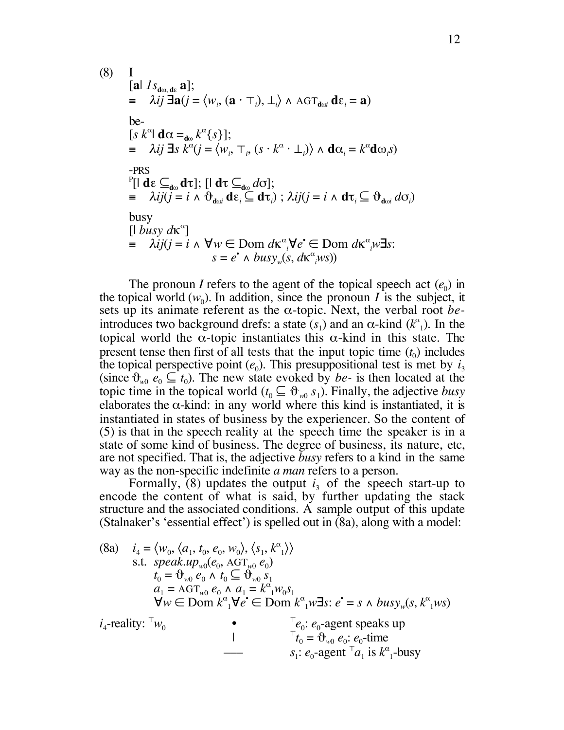(8) I  
\n[**a** 
$$
1 s_{d\omega, d\varepsilon}
$$
 **a**];  
\n $\equiv \lambda i j \exists a (j = \langle w_i, (a \cdot \top_i), \bot_i \rangle \wedge AGT_{d\omega i} d\varepsilon_i = a)$   
\nbe-  
\n[ $s k^{\alpha}$   $d\alpha =_{d\omega} k^{\alpha} \{s\}$ ];  
\n $\equiv \lambda i j \exists s k^{\alpha} (j = \langle w_i, \top_i, (s \cdot k^{\alpha} \cdot \bot_i) \rangle \wedge d\alpha_i = k^{\alpha} d\omega_i s)$   
\n-PRS  
\n $\Pr[\mathbf{d}\varepsilon \subseteq_{d\omega} d\tau]; [\mathbf{d}\tau \subseteq_{d\omega} d\sigma];$   
\n $\equiv \lambda i j (j = i \wedge \vartheta_{d\omega i} d\varepsilon_i \subseteq d\tau_i); \lambda i j (j = i \wedge d\tau_i \subseteq \vartheta_{d\omega i} d\sigma_i)$   
\nbusy  
\n[ $l b u s y d\kappa^{\alpha}$ ]  
\n $\equiv \lambda i j (j = i \wedge \forall w \in Dom d\kappa^{\alpha} i \forall e \in Dom d\kappa^{\alpha} i w \exists s:$   
\n $s = e^{\star} \wedge b u s y_w (s, d\kappa^{\alpha} i w s))$ 

The pronoun *I* refers to the agent of the topical speech act  $(e_0)$  in the topical world  $(w_0)$ . In addition, since the pronoun *I* is the subject, it sets up its animate referent as the α-topic. Next, the verbal root *be*introduces two background drefs: a state  $(s_1)$  and an  $\alpha$ -kind  $(k^{\alpha}_{1})$ . In the topical world the α-topic instantiates this α-kind in this state. The present tense then first of all tests that the input topic time  $(t_0)$  includes the topical perspective point  $(e_0)$ . This presuppositional test is met by  $i_3$ (since  $\theta_{w0}$   $e_0 \subseteq t_0$ ). The new state evoked by *be*- is then located at the topic time in the topical world ( $t_0 \subseteq \vartheta_{w0} s_1$ ). Finally, the adjective *busy* elaborates the  $\alpha$ -kind: in any world where this kind is instantiated, it is instantiated in states of business by the experiencer. So the content of (5) is that in the speech reality at the speech time the speaker is in a state of some kind of business. The degree of business, its nature, etc, are not specified. That is, the adjective *busy* refers to a kind in the same way as the non-specific indefinite *a man* refers to a person.

Formally,  $(8)$  updates the output  $i<sub>3</sub>$  of the speech start-up to encode the content of what is said, by further updating the stack structure and the associated conditions. A sample output of this update (Stalnaker's 'essential effect') is spelled out in (8a), along with a model:

(8a) 
$$
i_4 = \langle w_0, \langle a_1, t_0, e_0, w_0 \rangle, \langle s_1, k^{\alpha_1} \rangle \rangle
$$
  
\ns.t.  $speak.up_{w0}(e_0, \text{AGT}_{w0}e_0)$   
\t $t_0 = \vartheta_{w0} e_0 \wedge t_0 \subseteq \vartheta_{w0} s_1$   
\t $a_1 = \text{AGT}_{w0} e_0 \wedge a_1 = k^{\alpha_1} w_0 s_1$   
\t $\forall w \in \text{Dom } k^{\alpha_1} \forall e^{\bullet} \in \text{Dom } k^{\alpha_1} w \exists s: e^{\bullet} = s \wedge busy_w(s, k^{\alpha_1}ws)$   
\t $i_4$ -reality:  ${}^{\top}w_0$   
\t $\qquad \qquad \bullet \qquad {}^{\top}e_0: e_0$ -agent speaks up  
\t $\qquad \qquad {}^{\top}e_0 = \vartheta_{w0} e_0: e_0$ -time  
\t $s_1: e_0$ -agent  ${}^{\top}a_1$  is  $k^{\alpha_1}$ -busy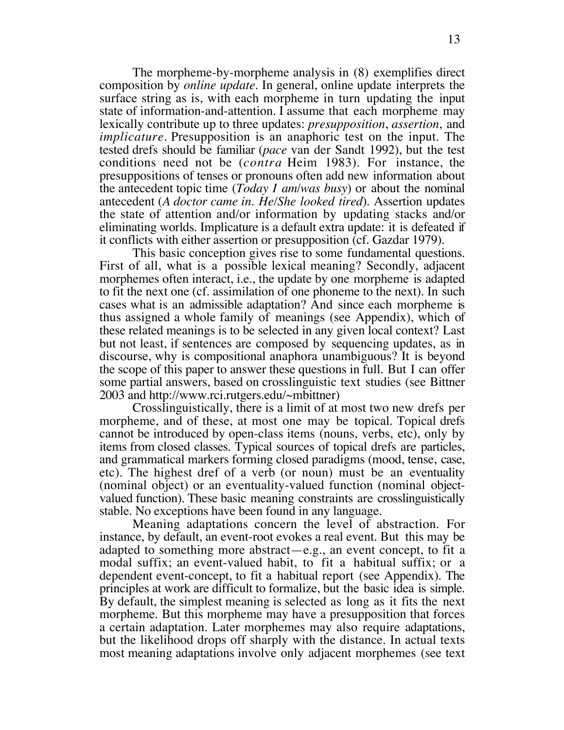The morpheme-by-morpheme analysis in (8) exemplifies direct composition by *online update*. In general, online update interprets the surface string as is, with each morpheme in turn updating the input state of information-and-attention. I assume that each morpheme may lexically contribute up to three updates: *presupposition*, *assertion*, and *implicature*. Presupposition is an anaphoric test on the input. The tested drefs should be familiar (*pace* van der Sandt 1992), but the test conditions need not be (*contra* Heim 1983). For instance, the presuppositions of tenses or pronouns often add new information about the antecedent topic time (*Today I am*/*was busy*) or about the nominal antecedent (*A doctor came in. He/She looked tired*). Assertion updates the state of attention and/or information by updating stacks and/or eliminating worlds. Implicature is a default extra update: it is defeated if it conflicts with either assertion or presupposition (cf. Gazdar 1979).

This basic conception gives rise to some fundamental questions. First of all, what is a possible lexical meaning? Secondly, adjacent morphemes often interact, i.e., the update by one morpheme is adapted to fit the next one (cf. assimilation of one phoneme to the next). In such cases what is an admissible adaptation? And since each morpheme is thus assigned a whole family of meanings (see Appendix), which of these related meanings is to be selected in any given local context? Last but not least, if sentences are composed by sequencing updates, as in discourse, why is compositional anaphora unambiguous? It is beyond the scope of this paper to answer these questions in full. But I can offer some partial answers, based on crosslinguistic text studies (see Bittner 2003 and http://www.rci.rutgers.edu/~mbittner)

Crosslinguistically, there is a limit of at most two new drefs per morpheme, and of these, at most one may be topical. Topical drefs cannot be introduced by open-class items (nouns, verbs, etc), only by items from closed classes. Typical sources of topical drefs are particles, and grammatical markers forming closed paradigms (mood, tense, case, etc). The highest dref of a verb (or noun) must be an eventuality (nominal object) or an eventuality-valued function (nominal objectvalued function). These basic meaning constraints are crosslinguistically stable. No exceptions have been found in any language.

Meaning adaptations concern the level of abstraction. For instance, by default, an event-root evokes a real event. But this may be adapted to something more abstract—e.g., an event concept, to fit a modal suffix; an event-valued habit, to fit a habitual suffix; or a dependent event-concept, to fit a habitual report (see Appendix). The principles at work are difficult to formalize, but the basic idea is simple. By default, the simplest meaning is selected as long as it fits the next morpheme. But this morpheme may have a presupposition that forces a certain adaptation. Later morphemes may also require adaptations, but the likelihood drops off sharply with the distance. In actual texts most meaning adaptations involve only adjacent morphemes (see text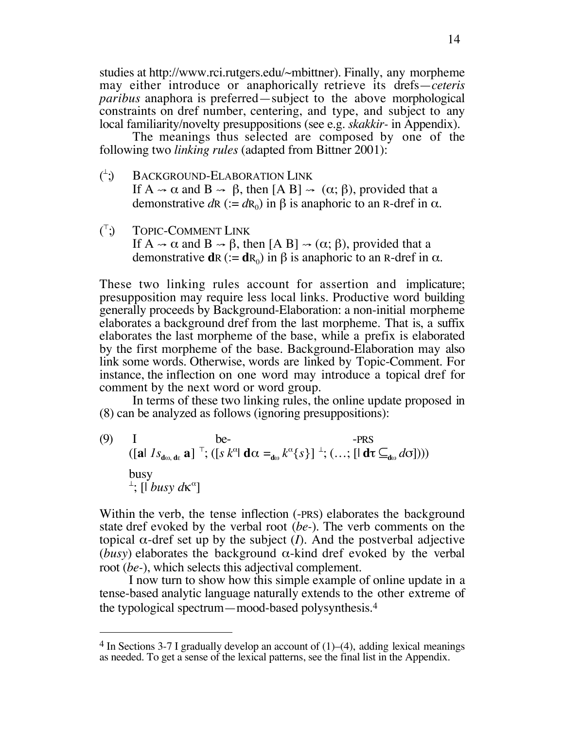studies at http://www.rci.rutgers.edu/~mbittner). Finally, any morpheme may either introduce or anaphorically retrieve its drefs—*ceteris paribus* anaphora is preferred—subject to the above morphological constraints on dref number, centering, and type, and subject to any local familiarity/novelty presuppositions (see e.g. *skakkir-* in Appendix).

The meanings thus selected are composed by one of the following two *linking rules* (adapted from Bittner 2001):

- $(\overline{\phantom{a}}% ,\overline{\phantom{a}})$ BACKGROUND-ELABORATION LINK If A  $\rightarrow \alpha$  and B  $\rightarrow \beta$ , then [A B]  $\rightarrow (\alpha; \beta)$ , provided that a demonstrative  $dR (= dR_0)$  in  $\beta$  is anaphoric to an R-dref in  $\alpha$ .
- $(\bar{f},\bar{f})$ TOPIC-COMMENT LINK If A  $\rightarrow \alpha$  and B  $\rightarrow \beta$ , then [A B]  $\rightarrow (\alpha; \beta)$ , provided that a demonstrative  $dR (= dR_0)$  in  $\beta$  is anaphoric to an R-dref in  $\alpha$ .

These two linking rules account for assertion and implicature; presupposition may require less local links. Productive word building generally proceeds by Background-Elaboration: a non-initial morpheme elaborates a background dref from the last morpheme. That is, a suffix elaborates the last morpheme of the base, while a prefix is elaborated by the first morpheme of the base. Background-Elaboration may also link some words. Otherwise, words are linked by Topic-Comment. For instance, the inflection on one word may introduce a topical dref for comment by the next word or word group.

In terms of these two linking rules, the online update proposed in (8) can be analyzed as follows (ignoring presuppositions):

(9) I  
\n
$$
\text{[a] } Is_{d\omega, d\epsilon} \mathbf{a} \text{]}^{\top}; \left( [s k^{\alpha} | \mathbf{d}\alpha =_{d\omega} k^{\alpha} \{s\} \right]^{\perp}; \dots; \left[ \left| \mathbf{d}\tau \underline{\subseteq}_{d\omega} d\sigma \right] \right) \text{)}
$$
\n
$$
\text{busy} \qquad \downarrow; \left[ \left| \text{ busy } d\kappa^{\alpha} \right] \right)
$$

Within the verb, the tense inflection (-PRS) elaborates the background state dref evoked by the verbal root (*be-*). The verb comments on the topical α-dref set up by the subject (*I*). And the postverbal adjective (*busy*) elaborates the background  $\alpha$ -kind dref evoked by the verbal root (*be-*), which selects this adjectival complement.

I now turn to show how this simple example of online update in a tense-based analytic language naturally extends to the other extreme of the typological spectrum—mood-based polysynthesis.4

 $\overline{a}$ 

<sup>&</sup>lt;sup>4</sup> In Sections 3-7 I gradually develop an account of  $(1)$ – $(4)$ , adding lexical meanings as needed. To get a sense of the lexical patterns, see the final list in the Appendix.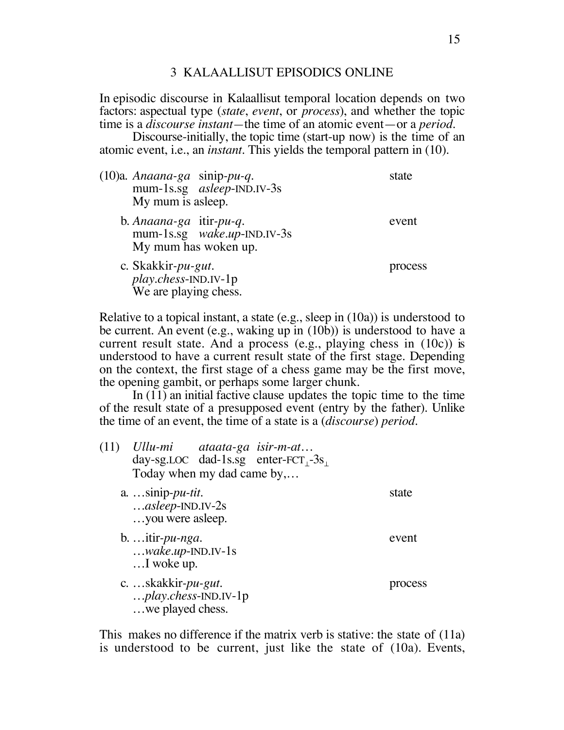### 3 KALAALLISUT EPISODICS ONLINE

In episodic discourse in Kalaallisut temporal location depends on two factors: aspectual type (*state*, *event*, or *process*), and whether the topic time is a *discourse instant—*the time of an atomic event—or a *period*. Discourse-initially, the topic time (start-up now) is the time of an

atomic event, i.e., an *instant*. This yields the temporal pattern in (10).

| $(10)a$ . Anaana-ga sinip-pu-q.<br>mum-1s.sg asleep-IND.IV-3s<br>My mum is asleep.           | state   |
|----------------------------------------------------------------------------------------------|---------|
| b. Anaana-ga itir-pu-q.<br>mum-1s.sg $\mathit{walke.up-IND}$ . IV-3s<br>My mum has woken up. | event   |
| c. Skakkir-pu-gut.<br>play.chess-IND.IV-1p<br>We are playing chess.                          | process |

Relative to a topical instant, a state (e.g., sleep in (10a)) is understood to be current. An event (e.g., waking up in  $(10\bar{b})$ ) is understood to have a current result state. And a process (e.g., playing chess in  $(10c)$ ) is understood to have a current result state of the first stage. Depending on the context, the first stage of a chess game may be the first move, the opening gambit, or perhaps some larger chunk.

In (11) an initial factive clause updates the topic time to the time of the result state of a presupposed event (entry by the father). Unlike the time of an event, the time of a state is a (*discourse*) *period*.

| $(11)$ Ullu-mi ataata-ga isir-m-at |                                         |
|------------------------------------|-----------------------------------------|
|                                    | day-sg.LOC dad-1s.sg enter- $FCT_1$ -3s |
| Today when my dad came by,         |                                         |

| $a.$ sinip- $pu$ -tit.<br>$asleep-IND.IV-2s$<br>you were asleep.         | state   |
|--------------------------------------------------------------------------|---------|
| $b.$ itir-pu-nga.<br>$$ <i>wake.up</i> -IND.IV-1s<br>I woke up.          | event   |
| c. skakkir-pu-gut.<br>$$ <i>play.chess-IND.IV-1p</i><br>we played chess. | process |

This makes no difference if the matrix verb is stative: the state of (11a) is understood to be current, just like the state of (10a). Events,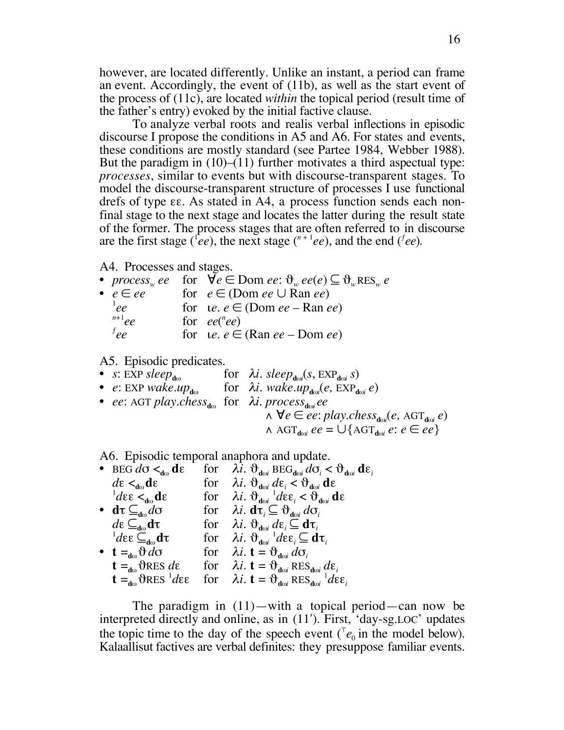however, are located differently. Unlike an instant, a period can frame an event. Accordingly, the event of (11b), as well as the start event of the process of (11c), are located *within* the topical period (result time of the father's entry) evoked by the initial factive clause.

To analyze verbal roots and realis verbal inflections in episodic discourse I propose the conditions in A5 and A6. For states and events, these conditions are mostly standard (see Partee 1984, Webber 1988). But the paradigm in  $(10)$ – $(11)$  further motivates a third aspectual type: *processes*, similar to events but with discourse-transparent stages. To model the discourse-transparent structure of processes I use functional drefs of type εε. As stated in A4, a process function sends each nonfinal stage to the next stage and locates the latter during the result state of the former. The process stages that are often referred to in discourse are the first stage ( $\int_{\alpha}^{\beta} e e$ ), the next stage ( $\int_{\alpha}^{\beta} e e$ ), and the end ( $\int_{\alpha}^{\beta} e e$ ).

A4. Processes and stages.

|                | • <i>process</i> ee for $\forall e \in \text{Dom} ee$ : $\vartheta_w ee(e) \subseteq \vartheta_w \text{RES}_w e$ |
|----------------|------------------------------------------------------------------------------------------------------------------|
| • $e \in ee$   | for $e \in (Dom ee \cup Ran ee)$                                                                                 |
| $^{1}ee$       | for $ie. e \in (Dom ee - Ran ee)$                                                                                |
| $n+1}ee$       | for $ee^{\prime\prime}ee$                                                                                        |
| $f_{\rho\rho}$ | for $ue. e \in (Ran ee - Dom ee)$                                                                                |

A5. Episodic predicates.

| • $s: EXP \, sleep_{do}$                                                      | for $\lambda i. \ sleep_{\text{div}}(s, \text{EXP}_{\text{div}}(s))$                   |
|-------------------------------------------------------------------------------|----------------------------------------------------------------------------------------|
| • $e: EXP \text{ wake.up}_{\text{do}}$                                        | for $\lambda i$ . wake.up <sub>dov</sub> (e, EXP <sub>dov</sub> e)                     |
| • ee: AGT play.chess <sub>d</sub> for $\lambda i$ . process <sub>doi</sub> ee |                                                                                        |
|                                                                               | $\wedge \forall e \in ee$ : play.chess <sub>dov</sub> $(e, \text{ AGT}_{\text{dev}}e)$ |
|                                                                               | $\wedge$ AGT <sub>doi</sub> ee = $\bigcup$ {AGT <sub>doi</sub> e: e $\in$ ee}          |

A6. Episodic temporal anaphora and update.

| • BEG $d\sigma <_{d\omega} d\varepsilon$                 | for $\lambda i. \ \vartheta_{\text{d}\omega i} \text{BEG}_{\text{d}\omega i} d\sigma_i < \vartheta_{\text{d}\omega i} \text{d}\epsilon_i$                                              |
|----------------------------------------------------------|----------------------------------------------------------------------------------------------------------------------------------------------------------------------------------------|
| $d\varepsilon <_{d\omega} d\varepsilon$                  | for $\lambda i. \ \vartheta_{\text{d}\omega i} d\varepsilon_i < \vartheta_{\text{d}\omega i} d\varepsilon$                                                                             |
| $d\varepsilon \varepsilon <_{d\varepsilon} d\varepsilon$ | for $\lambda i. \ \vartheta_{d\omega i}^{\dagger} d\varepsilon \varepsilon_i < \vartheta_{d\omega i} d\varepsilon$                                                                     |
| • $d\tau \subseteq_{d\omega} d\sigma$                    | for $\lambda i$ . $d\tau_i \subseteq \vartheta_{\text{dev}} d\sigma_i$                                                                                                                 |
| $d$ ε $\subseteq_{\text{do}}$ dτ                         | for $\lambda i. \; \vartheta_{d\omega i} d\varepsilon_i \subseteq d\tau_i$                                                                                                             |
| $d\epsilon \epsilon \subseteq_{d\omega} d\tau$           | for $\lambda i. \vartheta_{d\omega i}^{\dagger} d\varepsilon \varepsilon_i \subseteq d\tau_i$                                                                                          |
| • $t = \partial_{d} \theta d\sigma$                      | for $\lambda i$ . $\mathbf{t} = \mathbf{\vartheta}_{\text{d}\omega i} d\mathbf{\sigma}_i$                                                                                              |
| $\mathbf{t} =_{d\omega} \mathbf{\theta}$ RES $d\epsilon$ | for $\lambda i$ . $\mathbf{t} = \mathbf{\vartheta}_{\text{d}\omega i}$ RES <sub>d<math>\omega i</math></sub> $d\epsilon_i$                                                             |
|                                                          | $\mathbf{t} =_{d_{0}} \mathbf{\partial} \text{RES}^{-1} d\mathbf{\varepsilon}$ for $\lambda i. \mathbf{t} = \mathbf{\partial}_{d_{0}i} \text{RES}_{d_{0}i}^{-1} d\mathbf{\varepsilon}$ |
|                                                          |                                                                                                                                                                                        |

The paradigm in  $(11)$ —with a topical period—can now be interpreted directly and online, as in (11′). First, 'day-sg.LOC' updates the topic time to the day of the speech event  $(\bar{e}_0)$  in the model below). Kalaallisut factives are verbal definites: they presuppose familiar events.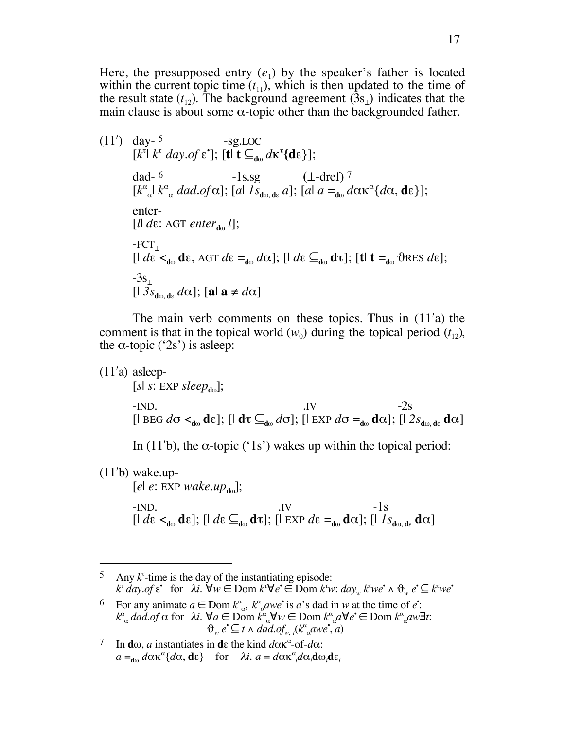Here, the presupposed entry  $(e_1)$  by the speaker's father is located within the current topic time  $(t_{11})$ , which is then updated to the time of the result state  $(t_{12})$ . The background agreement  $(3s_1)$  indicates that the main clause is about some  $\alpha$ -topic other than the backgrounded father.

(11') day-5  
\n
$$
[k^{\tau}] k^{\tau} \, d\alpha y. \text{ of } \varepsilon'; \text{ [ } \mathbf{t} \mathbf{t} \subseteq_{\text{d}\omega} d\kappa^{\tau} \{d\varepsilon\}];
$$
\n
$$
\text{dad- }^{6} \qquad \text{-1s.sg} \qquad (\perp \text{-dref}) \text{ }^{7}
$$
\n
$$
[k^{\alpha}_{\alpha}] k^{\alpha}_{\alpha} \, d\alpha d. \text{ of } \alpha]; \text{ [ } a \, 1 \, s_{\text{d}\omega, \text{d}\varepsilon} \, a]; \text{ [ } a \, 1 =_{\text{d}\omega} d\alpha \kappa^{\alpha} \{d\alpha, \text{d}\varepsilon\}];
$$
\n
$$
\text{enter-}
$$
\n
$$
[l] d\varepsilon: \text{AGT} \text{ enter}_{\text{d}\omega} \, l];
$$
\n
$$
\text{-}^{\text{FCT}} \, [\text{ } d\varepsilon <_{\text{d}\omega} \text{ } d\varepsilon, \text{ AGT} \, d\varepsilon =_{\text{d}\omega} d\alpha]; \text{ [ } d\varepsilon \subseteq_{\text{d}\omega} \text{ } d\tau]; \text{ [ } \mathbf{t} \mathbf{t} =_{\text{d}\omega} \text{ } \text{ }^{3}\text{ }^{8}\text{ }^{1}\text{ }^{1}\text{ }^{5}\text{ }^{8}\text{ }^{1}\text{ }^{1}\text{ }^{1}\text{ }^{5}\text{ }^{8}\text{ }^{1}\text{ }^{1}\text{ }^{1}\text{ }^{1}\text{ }^{1}\text{ }^{5}\text{ }^{1}\text{ }^{1}\text{ }^{1}\text{ }^{1}\text{ }^{1}\text{ }^{1}\text{ }^{1}\text{ }^{1}\text{ }^{1}\text{ }^{1}\text{ }^{1}\text{ }^{1}\text{ }^{1}\text{ }^{1}\text{ }^{1}\text{ }^{1}\text{ }^{1}\text{ }^{1}\text{ }^{1}\text{ }^{1}\text{ }^{1}\text{ }^{1}\text{ }^{1}\text{ }^{1}\text{ }^{1}\text{ }^{1}\text{ }^{1}\text{ }^{1}\text{ }^{1}\text{ }^{1}\text{ }^{1}\text{ }^{1}\text{ }^{1}\text{ }^{1}\text{ }^{1}\text{ }^{1}\text{ }
$$

The main verb comments on these topics. Thus in (11′a) the comment is that in the topical world  $(w_0)$  during the topical period  $(t_1, t_2)$ , the  $\alpha$ -topic ('2s') is asleep:

 $(11')$  as leep-

 $[s]$  *s*: EXP *sleep*<sub>dω</sub>];

 $-1ND.$   $-2s$ [| BEG *d*σ <**<sup>d</sup>**<sup>ω</sup> **d**ε]; [| **d**τ ⊆**<sup>d</sup>**<sup>ω</sup> *d*σ]; [| EXP *d*σ =**<sup>d</sup>**<sup>ω</sup> **d**α]; [| *2s***<sup>d</sup>**ω, **d**<sup>ε</sup> **d**α]

In  $(11<sup>'</sup>b)$ , the  $\alpha$ -topic  $('1s')$  wakes up within the topical period:

 $(11<sup>'</sup>b)$  wake.up-

 $\overline{a}$ 

 $[e]$  *e*: EXP *wake.up*<sub>dω</sub>];

-IND. .IV *-*1s  $[| d\epsilon \leq_{d\omega} \mathbf{d}\epsilon]$ ;  $[| d\epsilon \subseteq_{d\omega} \mathbf{d}\tau]$ ;  $[| E \text{XP } d\epsilon =_{d\omega} \mathbf{d}\alpha]$ ;  $[| I s_{d\omega, d\epsilon} \mathbf{d}\alpha]$ 

- 6 For any animate  $a \in \text{Dom } k^{\alpha}_{\alpha}$ ,  $k^{\alpha}_{\alpha}$  *awe* is *a*'s dad in *w* at the time of *e*.  $k^{\alpha}$  *dad.of*  $\alpha$  for  $\lambda i$ .  $\forall a \in \text{Dom } k^{\alpha}$   $\forall w \in \text{Dom } k^{\alpha}$   $\forall a \forall e$   $\in \text{Dom } k^{\alpha}$   $\forall a \forall x$ .  $\mathfrak{G}_{w}e^{\bullet} \subseteq t \wedge daad.of_{w, t}(k^{\alpha}_{\alpha}awe^{\bullet}, a)$
- <sup>7</sup> In **d**ω, *a* instantiates in **d**ε the kind  $d\alpha$ κ<sup>α</sup>-of-*d*α:  $a =_{d\omega} d\alpha \kappa^{\alpha} \{ d\alpha, \mathbf{d}\varepsilon \}$  for  $\lambda i. a = d\alpha \kappa^{\alpha} A \alpha_i \mathbf{d}\omega_i \mathbf{d}\varepsilon_i$

 $5$  Any  $k^2$ -time is the day of the instantiating episode:  $k^{\tau}$  *day.of*  $\varepsilon^*$  for  $\lambda i$ .  $\forall w \in \text{Dom } k^{\tau} \forall e^* \in \text{Dom } k^{\tau} w$ :  $day_w k^{\tau} we^* \wedge \vartheta_w e^* \subseteq k^{\tau} we^*$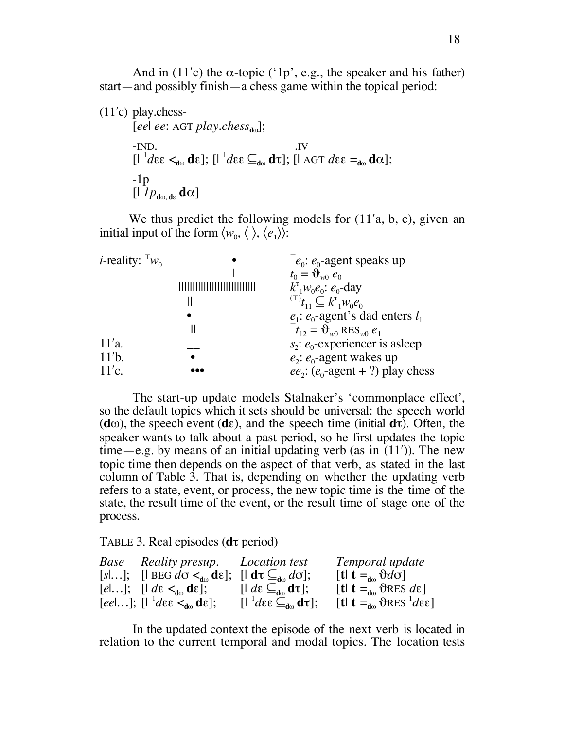And in (11'c) the  $\alpha$ -topic ('1p', e.g., the speaker and his father) start—and possibly finish—a chess game within the topical period:

(11'c) play.chess-  
\n[ee] ee: AGT play.chess<sub>do</sub>];  
\n-IND.  
\n[1<sup>1</sup>d\epsilon\epsilon <sub>do</sub> d\epsilon]; [1<sup>1</sup>d\epsilon\epsilon 
$$
\subseteq_{d_{oo}}
$$
 d\tau]; [1 AGT d\epsilon\epsilon <sub>=<sub>do</sub></sub> d\alpha];  
\n-1p  
\n[1<sup>1</sup> $p_{d_{oo},d_{\epsilon}}$  d\alpha]

We thus predict the following models for  $(11/a, b, c)$ , given an initial input of the form  $\langle w_0, \langle \rangle, \langle e_1 \rangle$ :

| <i>i</i> -reality: $w_0$ |           | $e_0$ : $e_0$ -agent speaks up                                                    |
|--------------------------|-----------|-----------------------------------------------------------------------------------|
|                          |           | $t_0 = \mathfrak{S}_{\alpha 0} e_0$                                               |
|                          |           | $k^{\tau}$ <sub>1</sub> $w_0e_0$ : $e_0$ -day                                     |
|                          |           | ${}^{(\top)}t_{11} \subseteq k^{\tau}_{1}w_{0}e_{0}$                              |
|                          | $\bullet$ | $e_1$ : $e_0$ -agent's dad enters $l_1$                                           |
|                          |           | $T_{t_{12}} = \mathbf{\vartheta}_{\mu 0}$ RES <sub><math>\mu 0</math></sub> $e_1$ |
| $11^{\prime}$ a.         |           | $s_2$ : $e_0$ -experiencer is asleep                                              |
| 11 <sup>'</sup> b.       |           | $e_2$ : $e_0$ -agent wakes up                                                     |
| $11^{\prime}$ c.         | .         | $ee_2$ : $(e_0$ -agent + ?) play chess                                            |

The start-up update models Stalnaker's 'commonplace effect', so the default topics which it sets should be universal: the speech world (**d**ω), the speech event (**d**ε), and the speech time (initial  $d\tau$ ). Often, the speaker wants to talk about a past period, so he first updates the topic time—e.g. by means of an initial updating verb (as in  $(11')$ ). The new topic time then depends on the aspect of that verb, as stated in the last column of Table  $\overline{3}$ . That is, depending on whether the updating verb refers to a state, event, or process, the new topic time is the time of the state, the result time of the event, or the result time of stage one of the process.

TABLE 3. Real episodes (**d**τ period)

| <b>Base</b> Reality presup. Location test                                                    |                                                                | Temporal update                                |
|----------------------------------------------------------------------------------------------|----------------------------------------------------------------|------------------------------------------------|
| [sl]; [I BEG $d\sigma <_{d\omega} d\varepsilon$ ]; [I $d\tau \subseteq_{d\omega} d\sigma$ ]; |                                                                | [t] $\mathbf{t} =_{d_{0}} \vartheta d\sigma$ ] |
| $[e]; \quad [d\varepsilon <_{d\varepsilon} d\varepsilon];$                                   | $\lceil \det d\varepsilon \mathsf{L}_{d\omega} d\tau \rceil$ ; | [t] $t = \frac{1}{d}$ ORES $d\varepsilon$ ]    |
| [eel]; $[  \cdot   d \varepsilon \varepsilon \leq_{d_{\Omega}} d \varepsilon ]$ ;            |                                                                | [t] $t =_{d0} \theta$ RES $^{d}$ dee]          |

In the updated context the episode of the next verb is located in relation to the current temporal and modal topics. The location tests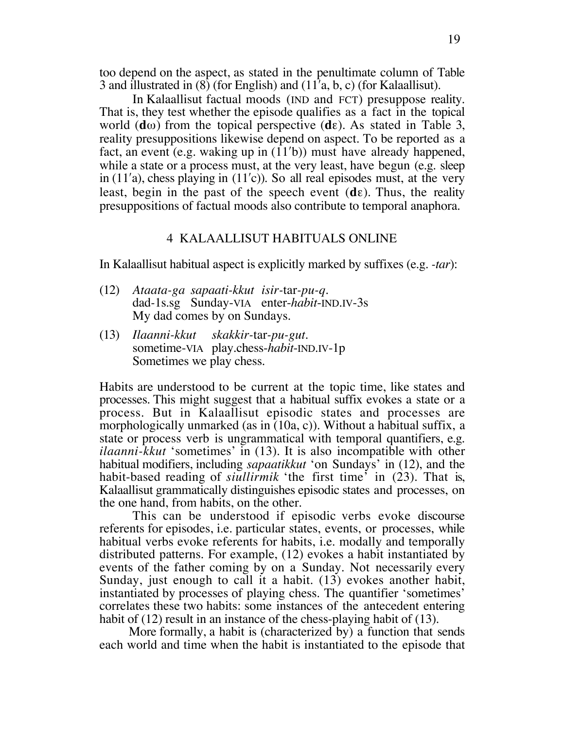too depend on the aspect, as stated in the penultimate column of Table 3 and illustrated in (8) (for English) and (11′a, b, c) (for Kalaallisut).

In Kalaallisut factual moods (IND and FCT) presuppose reality. That is, they test whether the episode qualifies as a fact in the topical world (**d**ω) from the topical perspective (**d**ε). As stated in Table 3, reality presuppositions likewise depend on aspect. To be reported as a fact, an event (e.g. waking up in (11′b)) must have already happened, while a state or a process must, at the very least, have begun (e.g. sleep in  $(11'$ a), chess playing in  $(11'$ c)). So all real episodes must, at the very least, begin in the past of the speech event (**d**ε). Thus, the reality presuppositions of factual moods also contribute to temporal anaphora.

### 4 KALAALLISUT HABITUALS ONLINE

In Kalaallisut habitual aspect is explicitly marked by suffixes (e.g. *-tar*):

- (12) *Ataata-ga sapaati-kkut isir-*tar*-pu-q.* dad*-*1s.sg Sunday-VIA enter-*habit*-IND.IV-3s My dad comes by on Sundays.
- (13) *Ilaanni-kkut skakkir-*tar*-pu-gut.* sometime-VIA play.chess-*habit*-IND.IV-1p Sometimes we play chess.

Habits are understood to be current at the topic time, like states and processes. This might suggest that a habitual suffix evokes a state or a process. But in Kalaallisut episodic states and processes are morphologically unmarked (as in (10a, c)). Without a habitual suffix, a state or process verb is ungrammatical with temporal quantifiers, e.g. *ilaanni-kkut* 'sometimes' in (13). It is also incompatible with other habitual modifiers, including *sapaatikkut* 'on Sundays' in (12), and the habit-based reading of *siullirmik* 'the first time' in (23). That is, Kalaallisut grammatically distinguishes episodic states and processes, on the one hand, from habits, on the other.

This can be understood if episodic verbs evoke discourse referents for episodes, i.e. particular states, events, or processes, while habitual verbs evoke referents for habits, i.e. modally and temporally distributed patterns. For example, (12) evokes a habit instantiated by events of the father coming by on a Sunday. Not necessarily every Sunday, just enough to call it a habit. (13) evokes another habit, instantiated by processes of playing chess. The quantifier 'sometimes' correlates these two habits: some instances of the antecedent entering habit of (12) result in an instance of the chess-playing habit of (13).

More formally, a habit is (characterized by) a function that sends each world and time when the habit is instantiated to the episode that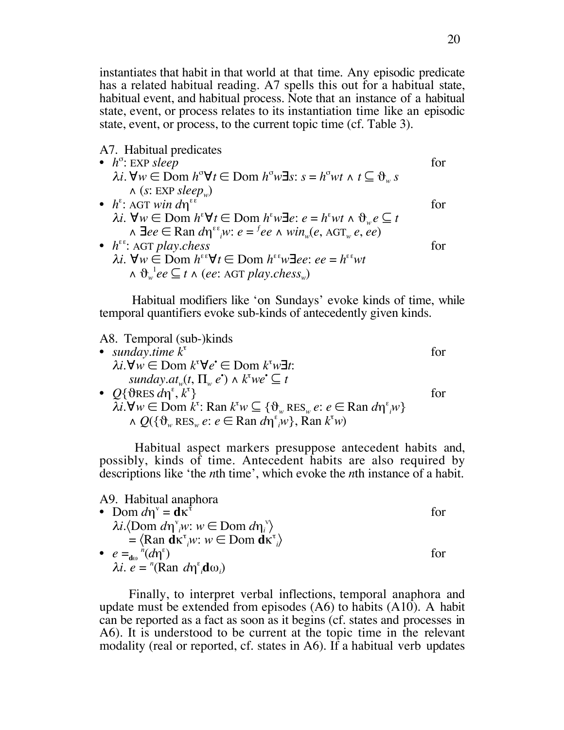instantiates that habit in that world at that time. Any episodic predicate has a related habitual reading. A7 spells this out for a habitual state, habitual event, and habitual process. Note that an instance of a habitual state, event, or process relates to its instantiation time like an episodic state, event, or process, to the current topic time (cf. Table 3).

A7. Habitual predicates

- *h*<sup>o</sup>: EXP *sleep* for  $\lambda i. \forall w \in \text{Dom } h^{\circ} \forall t \in \text{Dom } h^{\circ} w \exists s: s = h^{\circ} wt \land t \subseteq \vartheta_w s$  $\wedge$  (*s*: EXP *sleep<sub>w</sub>*) •  $h^{\epsilon}$ : AGT *win*  $d\eta^{\epsilon\epsilon}$  for
- $\lambda i$ .  $\forall w \in \text{Dom } h^{\epsilon} \forall t \in \text{Dom } h^{\epsilon} w \exists e$ :  $e = h^{\epsilon} w t \wedge \vartheta_{w} e \subseteq t$  $\wedge$   $\exists ee \in \text{Ran } d\eta^{\epsilon\epsilon}$ <sub>*i</sub>w*:  $e = {}^f ee \wedge win_w(e, \text{AGT}_w e, ee)$ </sub> •  $h^{\epsilon \epsilon}$ : AGT *play.chess* for
- $\lambda$ *i*.  $\forall$ *w* ∈ Dom *h*<sup>εε</sup> $\forall$ *t* ∈ Dom *h*<sup>εε</sup>*w*∃*ee*: *ee* = *h*<sup>εε</sup>*wt* ∧ ϑ*<sup>w</sup>* 1 *ee* ⊆ *t* ∧ (*ee*: AGT *play.chessw*)

 Habitual modifiers like 'on Sundays' evoke kinds of time, while temporal quantifiers evoke sub-kinds of antecedently given kinds.

A8. Temporal (sub-)kinds

• *sunday.time*  $k^{\tau}$  for  $\lambda i.\forall w \in \text{Dom } k^{\mathfrak{r}} \forall e \in \text{Dom } k^{\mathfrak{r}} w \exists t$ :  $sunday.at_w(t, \Pi_w e^{\bullet}) \wedge k^{\tau}we^{\bullet} \subseteq t$ •  $Q$ {θRES  $d$ η<sup>ε</sup>,  $k^{\tau}$  $\}$  for  $\lambda i.\forall w \in \text{Dom } k^{\tau}$ : Ran  $k^{\tau}w \subseteq {\theta_w \text{RES}_w e: e \in \text{Ran } d\eta^{\epsilon}w}$  $\wedge$   $Q(\{\theta_w \text{RES}_w e: e \in \text{Ran } d\eta^{\epsilon} w\}, \text{Ran } k^{\tau}w)$ 

Habitual aspect markers presuppose antecedent habits and, possibly, kinds of time. Antecedent habits are also required by descriptions like 'the *n*th time', which evoke the *n*th instance of a habit.

A9. Habitual anaphora **•** Dom  $d\eta^{\nu} = d\kappa^{\tau}$  for  $\lambda i$ . (Dom *d*η<sup>ν</sup><sub>*i</sub>w*: *w* ∈ Dom *d*η<sup>ν</sup><sub>*i*</sub></sub>  $= \langle \text{Ran} \, \mathbf{d} \kappa^{\tau}_{i} w : w \in \text{Dom} \, \mathbf{d} \kappa^{\tau}_{i} \rangle$ •  $e = \frac{h}{d\omega} \cdot \int d\omega \, d\omega$ ) for  $\lambda$ *i*. *e* = <sup>*n*</sup>(Ran *d* $η$ <sup>ε</sup><sub>*i*</sub>**d**ω<sub>*i*</sub>)

Finally, to interpret verbal inflections, temporal anaphora and update must be extended from episodes (A6) to habits (A10). A habit can be reported as a fact as soon as it begins (cf. states and processes in A6). It is understood to be current at the topic time in the relevant modality (real or reported, cf. states in A6). If a habitual verb updates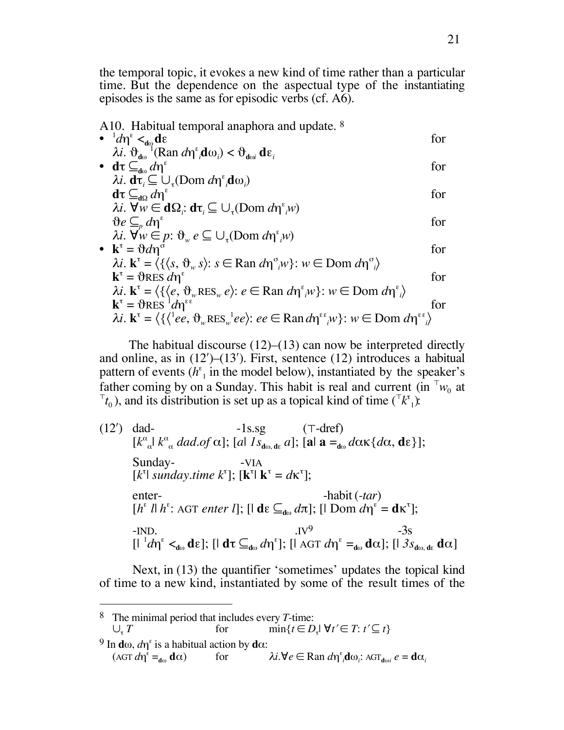the temporal topic, it evokes a new kind of time rather than a particular time. But the dependence on the aspectual type of the instantiating episodes is the same as for episodic verbs (cf. A6).

| A10. Habitual temporal anaphora and update. 8                                                                                                                                                                        |     |
|----------------------------------------------------------------------------------------------------------------------------------------------------------------------------------------------------------------------|-----|
| • $d\eta^{\epsilon} <_{d\omega} d\varepsilon$                                                                                                                                                                        | for |
| $\lambda i. \ \vartheta_{d\omega}$ <sup>1</sup> (Ran $d\eta^{\epsilon}$ , <b>d</b> $\omega_i$ ) < $\vartheta_{d\omega}$ <b>d</b> $\epsilon_i$                                                                        |     |
| • $d\tau \subseteq_{d\omega} d\eta^{\epsilon}$                                                                                                                                                                       | for |
| $\lambda i. d\tau \subseteq \cup_{\tau}(\text{Dom }d\eta^{\epsilon}, d\omega)$                                                                                                                                       |     |
| $d\tau \subseteq_{d\Omega} d\eta^{\epsilon}$                                                                                                                                                                         | for |
| $\lambda i. \ \forall w \in \mathbf{d}\Omega$ ; $\mathbf{d}\tau \subseteq \cup_{\tau}(\text{Dom }d\eta^{\epsilon},w)$                                                                                                |     |
| $\vartheta e \subseteq_{n} d\eta^{\varepsilon}$                                                                                                                                                                      | for |
| $\lambda i. \ \forall w \in p: \vartheta_w e \subseteq \bigcup_{\tau} (\text{Dom } d\eta^{\epsilon}, w)$                                                                                                             |     |
| • $\mathbf{k}^{\tau} = \vartheta d\eta^{\circ}$                                                                                                                                                                      | for |
| $\lambda i. \mathbf{k}^{\tau} = \langle \{ \langle s, \vartheta_{w} \, s \rangle : s \in \text{Ran } d\eta^{\sigma} \, w \} : w \in \text{Dom } d\eta^{\sigma} \rangle$                                              |     |
| ${\bf k}^{\tau} = \partial \text{RES} d{\eta}^{\epsilon}$                                                                                                                                                            | for |
| $\lambda i. \mathbf{k}^{\tau} = \langle \{ \langle e, \vartheta_{w} \text{RES}_{w} e \rangle : e \in \text{Ran } d\eta^{\epsilon} \rangle : w \in \text{Dom } d\eta^{\epsilon} \rangle \}$                           |     |
| ${\bf k}^{\tau} = \partial R E S^{T} d\eta^{\epsilon\epsilon}$                                                                                                                                                       | for |
| $\lambda i. \, \mathbf{k}^{\tau} = \langle \{\langle^1ee, \vartheta_{w} \text{RES}_{w}^{-1}ee \rangle : ee \in \text{Ran} \, d\eta^{\epsilon \epsilon}, w\} : w \in \text{Dom} \, d\eta^{\epsilon \epsilon} \rangle$ |     |

The habitual discourse  $(12)$ – $(13)$  can now be interpreted directly and online, as in  $(12')-(13')$ . First, sentence  $(12)$  introduces a habitual pattern of events  $(h_{1}^{\varepsilon})$  in the model below), instantiated by the speaker's father coming by on a Sunday. This habit is real and current (in  $\bar{w}_0$  at  $\tau_{t_0}$ ), and its distribution is set up as a topical kind of time  $(\tau_{t_1})$ :

 $(12')$  dad-  $-1$ s.sg  $(T-\text{dref})$  $[k^{\alpha}_{\alpha}]$   $k^{\alpha}_{\alpha}$  *dad.of*  $\alpha$ ]; [*a*| *I*s<sub>dω, dε</sub> *a*]; [**a**| **a** =<sub>dω</sub> *d*ακ{*d*α, **d**ε}]; Sunday- -VIA  $[k^{\tau}]$  *sunday.time*  $k^{\tau}$ ];  $[\mathbf{k}^{\tau}] \mathbf{k}^{\tau} = d\mathbf{k}^{\tau}$ ]; enter- -habit (*-tar*)  $[h^{\varepsilon} \mathit{l} \mathit{l} \mathit{h}^{\varepsilon}$ : AGT *enter I*];  $[\mathbf{l} \ \mathbf{d}\varepsilon \subseteq_{\mathbf{d}\omega} d\pi]$ ;  $[\mathbf{l} \ \text{Dom} \ d\eta^{\varepsilon} = \mathbf{d}\kappa^{\tau}]$ ;  $-1ND$ .  $IV^9$   $-3s$ [| <sup>1</sup> *d*ηε <**<sup>d</sup>**<sup>ω</sup> **d**ε]; [| **d**τ ⊆**<sup>d</sup>**<sup>ω</sup> *d*η<sup>ε</sup> ]; [| AGT *d*η<sup>ε</sup> =**<sup>d</sup>**<sup>ω</sup> **d**α]; [| *3s***<sup>d</sup>**ω, **d**<sup>ε</sup> **d**α]

Next, in (13) the quantifier 'sometimes' updates the topical kind of time to a new kind, instantiated by some of the result times of the

<sup>8</sup> The minimal period that includes every *T*-time:<br>  $\bigcup_{r} T$  for  $\min\{t \in D\}$  $\min\{t \in D_t | \forall t' \in T : t' \subseteq t\}$ <sup>9</sup> In **d**ω,  $dη<sup>ε</sup>$  is a habitual action by **d**α:  $(\text{AGT } d\eta^{\varepsilon} =_{d\omega} d\alpha)$  for  $\lambda i. \forall e \in \text{Ran } d\eta^{\varepsilon}{}_i d\omega_i$ :  $\text{AGT}_{d\omega i} e = d\alpha_i$ 

 $\overline{a}$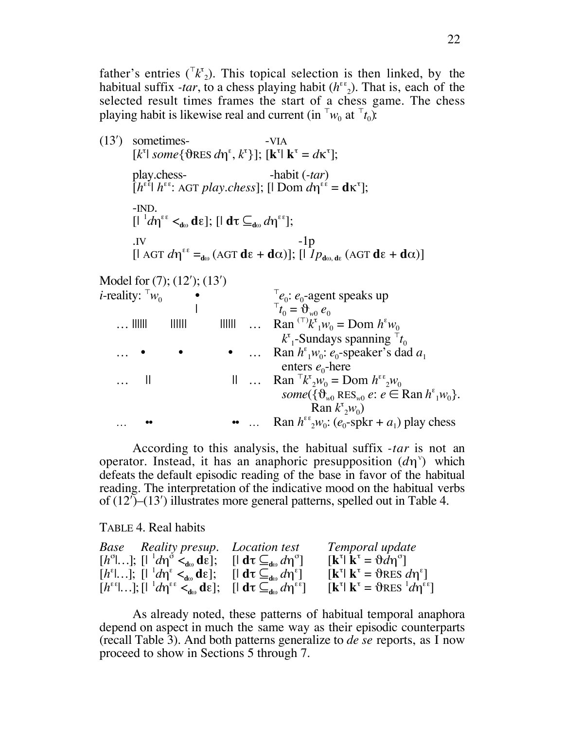father's entries  $({}^{\top}k_2^r)$ . This topical selection is then linked, by the habitual suffix *-tar*, to a chess playing habit ( $h^{\epsilon}$ <sub>2</sub>). That is, each of the selected result times frames the start of a chess game. The chess playing habit is likewise real and current (in  $\bar{w}_0$  at  $\bar{v}_0$ ):

 $(13')$  sometimes-  $-VIA$  $[k^{\tau}]$  *some*{ $\theta$ RES  $d\eta^{\epsilon}$ ,  $k^{\tau}$ }]; [**k**<sup>T</sup> | **k**<sup>T</sup> =  $d\kappa^{\tau}$ ]; play.chess- -habit (*-tar*)  $[h^{\varepsilon \varepsilon} | h^{\varepsilon \varepsilon}:$  AGT *play.chess*]; [| Dom  $d\eta^{\varepsilon \varepsilon} = \mathbf{d} \kappa^{\tau}$ ]; -IND.<br>[| <sup>1</sup>*d*η<sup>εε</sup> <<sub>dω</sub> **d**ε]; [| **d**τ ⊆<sub>dω</sub> *d*η<sup>εε</sup>];  $\mathbf{I}$   $\mathbf{I}$   $\mathbf{I}$   $\mathbf{I}$   $\mathbf{I}$   $\mathbf{I}$   $\mathbf{I}$   $\mathbf{I}$   $\mathbf{I}$   $\mathbf{I}$   $\mathbf{I}$   $\mathbf{I}$   $\mathbf{I}$   $\mathbf{I}$   $\mathbf{I}$   $\mathbf{I}$   $\mathbf{I}$   $\mathbf{I}$   $\mathbf{I}$   $\mathbf{I}$   $\mathbf{I}$   $\mathbf{I}$   $\mathbf{I}$   $\mathbf{I}$   $\mathbf{$  $[$ | AGT  $d\eta^{\varepsilon \varepsilon} =_{d\omega} ($ AGT  $d\varepsilon + d\alpha)$ ];  $[$ |  $/p_{d\omega, d\varepsilon} ($ AGT  $d\varepsilon + d\alpha)$ ] Model for (7); (12'); (13') *i*-reality:  $\mathbb{V}_{w_0}$  $w_0$  •  $\qquad \qquad \frac{1}{2}e_0$ :  $e_0$ -agent speaks up  $\int_0^\infty t_0 = \oint_{0}^\infty e_0$ ...  $\text{IIII}$   $\text{IIIII}$   $\text{IIIII}$  ...  $\text{Ran}^{(\text{t})}\vec{k}_{1}^{t}w_{0} = \text{Dom }h^{t}w_{0}$  $k^{\tau}$ <sub>1</sub>-Sundays spanning  $\bar{}^{\tau}t_0$  $\cdots$  • • • •  $\cdots$  Ran  $h^{\varepsilon}_1 w_0$ :  $e_0$ -speaker's dad  $a_1$ enters  $e_0$ -here … || || … Ran ®*k*<sup>τ</sup> <sup>2</sup>*w*<sup>0</sup> = Dom *h*ε ε <sup>2</sup>*w*<sup>0</sup>  $some({{\{\theta_{\omega 0}}\text{ RES}_{\omega 0}e: e \in \text{Ran}h^{\epsilon}_1\text{W}_0}\}$ .  $\text{Ran } k^{\dagger}_{2}w_0$  $\cdots$  ••  $\cdots$  Ran  $h^{\epsilon}$ <sub>2</sub>*w*<sub>0</sub>: (*e*<sub>0</sub>-spkr + *a*<sub>1</sub>) play chess

According to this analysis, the habitual suffix *-tar* is not an operator. Instead, it has an anaphoric presupposition  $(d\eta^{\vee})$  which defeats the default episodic reading of the base in favor of the habitual reading. The interpretation of the indicative mood on the habitual verbs of (12′)–(13′) illustrates more general patterns, spelled out in Table 4.

#### TABLE 4. Real habits

| <b>Base</b> Reality presup. Location test                                                                                                                                                                                 | Temporal update                                                                     |
|---------------------------------------------------------------------------------------------------------------------------------------------------------------------------------------------------------------------------|-------------------------------------------------------------------------------------|
| $[h^{\sigma}$ ]; $\left[\begin{array}{c}   \ {}^{\dagger}d\eta^{\sigma} \prec_{d\omega} \mathbf{d}\varepsilon \end{array}\right]; \quad \left[\begin{array}{c} d\tau \subseteq_{d\omega} d\eta^{\circ}\end{array}\right]$ | $[\mathbf{k}^{\dagger} \mathbf{k}^{\dagger} = \vartheta d\eta^{\dagger}]$           |
| $[h^{\varepsilon}$ ]; $[ {}^{\perp}d\eta^{\varepsilon}<_{d\omega}d\varepsilon]$ ; $[ {}^{\mathbf{d}}\tau\subseteq_{d\omega}d\eta^{\varepsilon}]$                                                                          | $[\mathbf{k}^{\tau} \mathbf{k}^{\tau} = \theta$ RES $d\eta^{\epsilon}]$             |
| $[h^{\epsilon\epsilon}]; [l^d\eta^{\epsilon\epsilon} <_{d\omega} d\epsilon]; [l d\tau \subseteq_{d\omega} d\eta^{\epsilon\epsilon}]$                                                                                      | $[\mathbf{k}^{\tau} \mathbf{k}^{\tau} = \theta$ RES $^{1}d\eta^{\epsilon\epsilon}]$ |

As already noted, these patterns of habitual temporal anaphora depend on aspect in much the same way as their episodic counterparts (recall Table 3). And both patterns generalize to *de se* reports, as I now proceed to show in Sections 5 through 7.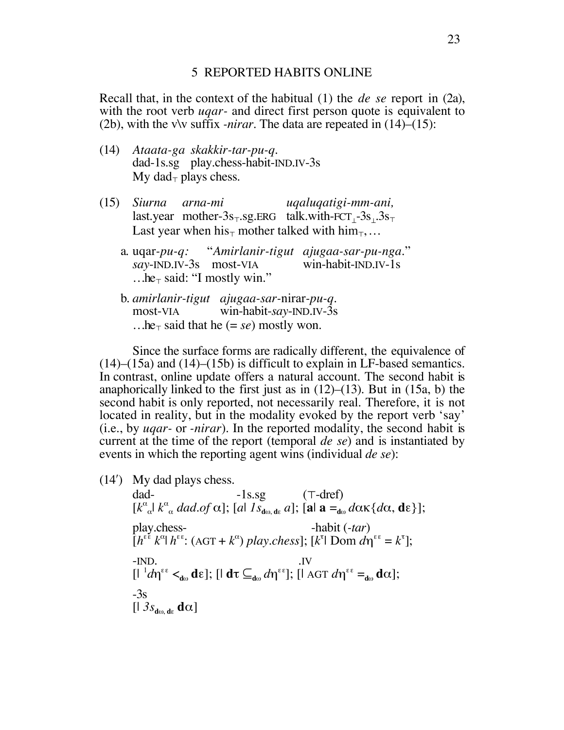#### 5 REPORTED HABITS ONLINE

Recall that, in the context of the habitual (1) the *de se* report in (2a), with the root verb *uqar-* and direct first person quote is equivalent to (2b), with the v\v suffix *-nirar*. The data are repeated in (14)–(15):

- (14) *Ataata-ga skakkir-tar-pu-q.* dad-1s.sg play.chess-habit-IND.IV-3s  $Mv$  dad<sub> $\tau$ </sub> plays chess.
- (15) *Siurna arna-mi uqaluqatigi-mm-ani,* last.year mother-3s<sub>⊤</sub>.sg.ERG talk.with-FCT<sub>⊥</sub>-3s<sub>⊥</sub>.3s<sub>⊤</sub> Last year when his<sub> $\tau$ </sub> mother talked with him $_{\tau}$ ,...
	- a. uqar*-pu-q:* "*Amirlanir-tigut ajugaa-sar-pu-nga*."  $say$ -IND.IV-3s most-VIA  $...$ he<sub>⊤</sub> said: "I mostly win."
	- b. *amirlanir-tigut ajugaa-sar-*nirar*-pu-q.* most-VIA win-habit-*say*-IND.IV-3s ...  $he_{\tau}$  said that he (= *se*) mostly won.

Since the surface forms are radically different, the equivalence of (14)–(15a) and (14)–(15b) is difficult to explain in LF-based semantics. In contrast, online update offers a natural account. The second habit is anaphorically linked to the first just as in  $(12)$ – $(13)$ . But in  $(15a, b)$  the second habit is only reported, not necessarily real. Therefore, it is not located in reality, but in the modality evoked by the report verb 'say' (i.e., by *uqar-* or *-nirar*). In the reported modality, the second habit is current at the time of the report (temporal *de se*) and is instantiated by events in which the reporting agent wins (individual *de se*):

(14′) My dad plays chess.

 $d$ ad-  $-1$ s.sg  $(\top-dref)$  $[k^{\alpha}_{\alpha}]$   $k^{\alpha}_{\alpha}$  *dad.of*  $\alpha$ ]; [*a*| *I*  $S_{d\omega, d\epsilon}$  *a*]; [**a**| **a** =<sub>d $\omega$ </sub> *d* $\alpha$ κ{*d* $\alpha$ , **d**ε}]; play.chess- -habit (*-tar*)  $[h^{\varepsilon \varepsilon} \, k^{\alpha} \vert \, h^{\varepsilon \varepsilon}$ : (AGT +  $k^{\alpha}$ ) play.chess]; [ $k^{\tau} \vert$  Dom  $d\eta^{\varepsilon \varepsilon} = k^{\tau}$ ]; -IND. .IV  $[{\bf \mathsf{I}} \ {}^{\text{1}}d{\bf \eta}^{\varepsilon\varepsilon} \prec_{\text{d}\omega} \text{d}\varepsilon];$   $[{\bf \mathsf{I}} \ d\tau \sqsubseteq_{\text{d}\omega} d{\bf \eta}^{\varepsilon\varepsilon}];$   $[{\bf \mathsf{I}} \ A\text{GT} \ d{\bf \eta}^{\varepsilon\varepsilon} \eqqcolon_{\text{d}\omega} \text{d}\alpha];$  $-3s$  $[|3s_{\text{do}}|]$ **d**α]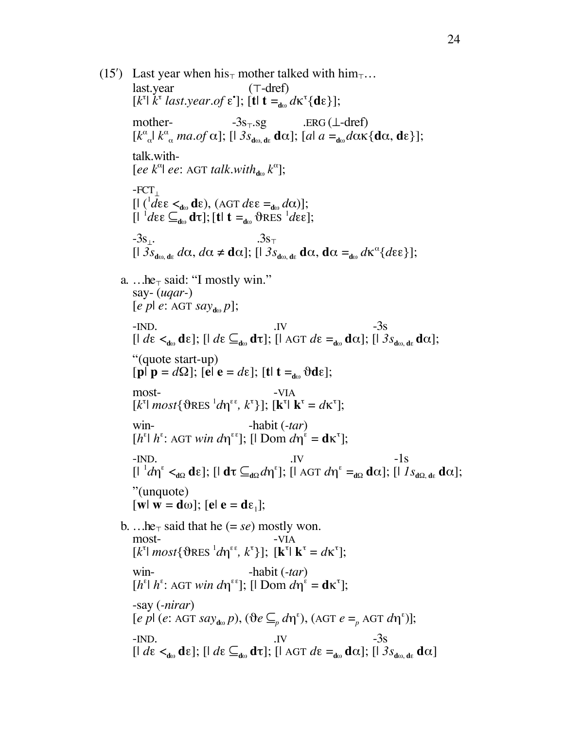(15′) Last year when his<sub> $\tau$ </sub> mother talked with him $\tau$ …  $last.$ year  $(\top$ -dref) [*k*τ | *k*<sup>τ</sup> *last.year.of* ε• ]; [**t**| **t** =**<sup>d</sup>**<sup>ω</sup> *d*κ<sup>τ</sup> {**d**ε}]; mother-  $-3s_{\tau}$ .sg .ERG ( $\perp$ -dref)  $[k^{\alpha}_{\alpha}]$ ,  $k^{\alpha}_{\alpha}$ , ma.of  $\alpha$ ]; [ $3s_{d\omega, d\epsilon}$ , **d** $\alpha$ ]; [ $a$ |  $a =_{d\omega} d\alpha$ к{**d** $\alpha$ , **d**ε}]; talk.with-  $[ee \ k^{\alpha}]$  *ee*: AGT *talk.with*<sub>dω</sub>  $k^{\alpha}$ ];  $- FCT<sub>1</sub>$  $[|$  ( ${}^{1}d\epsilon \epsilon \leq_{d\omega} d\epsilon$ ), (AGT  $d\epsilon \epsilon =_{d\omega} d\alpha$ )]; [| <sup>1</sup> *d*εε ⊆**<sup>d</sup>**<sup>ω</sup> **d**τ];[**t**| **t** =**<sup>d</sup>**<sup>ω</sup> ϑRES <sup>1</sup> *d*εε];  $-3s_1$ . .3s<sub>π</sub>  $[|3s_{d\omega, d\varepsilon} d\alpha, d\alpha \neq d\alpha];$   $[|3s_{d\omega, d\varepsilon} d\alpha, d\alpha =_{d\omega} d\kappa^{\alpha} \{d\varepsilon \varepsilon\}];$ a.  $\dots$  he<sub> $\tau$ </sub> said: "I mostly win." say- (*uqar-*)  $[e \, p \, e: \text{AGT} \, say_{\text{d} \omega} \, p];$  $-IND.$   $-3s$  $[| d \varepsilon <_{d\omega} d \varepsilon];$   $[| d \varepsilon \subseteq_{d\omega} d\tau];$   $[| AGT \, d\varepsilon =_{d\omega} d\alpha];$   $[| 3s_{d\omega, d\varepsilon} d\alpha];$ "(quote start-up)  $[\mathbf{p}|\mathbf{p} = d\Omega]$ ;  $[\mathbf{e}|\mathbf{e} = d\epsilon]$ ;  $[\mathbf{t}|\mathbf{t} =_{d\omega} \vartheta d\epsilon]$ ; most- -VIA  $[k^{\tau}]$  *most*{ $\theta$ RES<sup>1</sup> $d\eta^{\epsilon\epsilon}$ ,  $k^{\tau}$ }]; [**k**<sup>T</sup>|**k**<sup>T</sup> =  $d\kappa^{\tau}$ ]; win-<br>  $-\text{habit}(-\text{tar})$  $[h^{\varepsilon} \mid h^{\varepsilon} \text{: } AGT \text{ win } d\eta^{\varepsilon\varepsilon}]; \text{ [I Dom } d\eta^{\varepsilon} = \mathbf{d}\kappa^{\tau}];$  $-1ND.$   $-1s$  $[{\bf 1}^{-1}d{\bf \eta}^{\epsilon} <_{d\Omega} {\bf d}\epsilon]$ ;  $[{\bf 1} {\bf d}\tau \subseteq_{d\Omega} d{\bf \eta}^{\epsilon}]$ ;  $[{\bf 1} \text{ AGT } d{\bf \eta}^{\epsilon} =_{d\Omega} {\bf d}\alpha]$ ;  $[{\bf 1} \text{ } Is_{d\Omega, d\epsilon} {\bf d}\alpha]$ ; "(unquote)  $[\mathbf{w} | \mathbf{w} = \mathbf{d}\omega]$ ;  $[\mathbf{e} | \mathbf{e} = \mathbf{d}\epsilon_1]$ ; b. ... he<sub> $\tau$ </sub> said that he (= *se*) mostly won. most- -VIA  $[k^{\tau}]$  *most*{ $\theta$ RES<sup>1</sup> $d\eta^{\epsilon\epsilon}$ ,  $k^{\tau}$ }]; [**k**<sup> $\tau$ </sup>|**k** $\tau$ <sup>=</sup>  $d\kappa^{\tau}$ ]; win-<br>  $-\text{habit}(-\text{tar})$  $[h^{\varepsilon} \mid h^{\varepsilon} \text{: } AGT \text{ win } d\eta^{\varepsilon\varepsilon}]; \text{ [I Dom } d\eta^{\varepsilon} = \mathbf{d}\kappa^{\tau}];$ -say (*-nirar*)  $[e \; p \mid (e \text{: } AGT \; say_{d\omega} \; p), (\vartheta e \subseteq_p d\eta^{\varepsilon}), (\text{AGT} \; e =_p \text{AGT} \; d\eta^{\varepsilon})];$  $-IND.$   $-3s$  $[| \, d\varepsilon \, \leq_{\sf do} \, {\bf d}\varepsilon]$ ;  $[| \, d\varepsilon \, \subseteq_{\sf do} \, {\bf d}\tau]$ ;  $[| \, \text{AGT} \, d\varepsilon =_{\sf do} \, {\bf d}\alpha]$ ;  $[| \, \text{3s}_{\sf do, \, {\bf d}\varepsilon} \, {\bf d}\alpha]$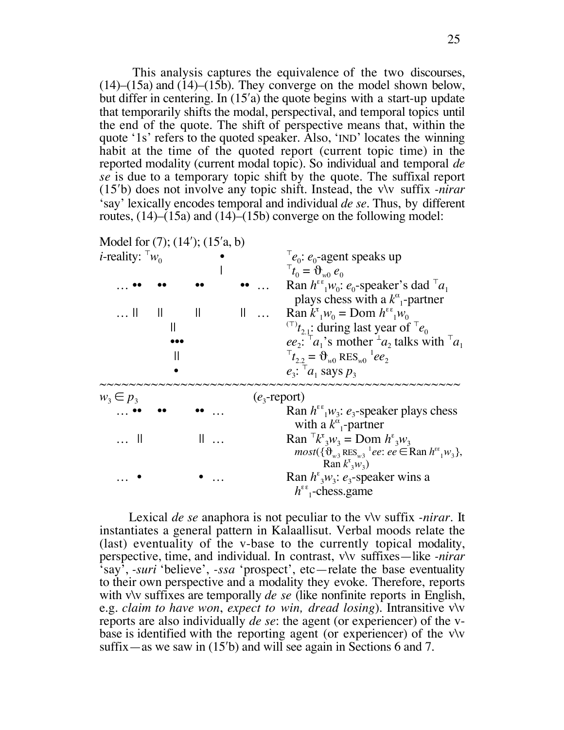This analysis captures the equivalence of the two discourses, (14)–(15a) and (14)–(15b). They converge on the model shown below, but differ in centering. In (15′a) the quote begins with a start-up update that temporarily shifts the modal, perspectival, and temporal topics until the end of the quote. The shift of perspective means that, within the quote '1s' refers to the quoted speaker. Also, 'IND' locates the winning habit at the time of the quoted report (current topic time) in the reported modality (current modal topic). So individual and temporal *de se* is due to a temporary topic shift by the quote. The suffixal report (15′b) does not involve any topic shift. Instead, the v\v suffix *-nirar* 'say' lexically encodes temporal and individual *de se*. Thus, by different routes, (14)–(15a) and (14)–(15b) converge on the following model:

|                          | Model for $(7)$ ; $(14')$ ; $(15'a, b)$ |             |                                                                                                                                                                                                    |
|--------------------------|-----------------------------------------|-------------|----------------------------------------------------------------------------------------------------------------------------------------------------------------------------------------------------|
| <i>i</i> -reality: $w_0$ |                                         |             | $\big\}$ <sub>0</sub> : $e_0$ -agent speaks up                                                                                                                                                     |
|                          |                                         |             | $t_0 = \mathfrak{v}_{\omega} e_0$                                                                                                                                                                  |
|                          |                                         |             | Ran $h^{\epsilon}$ <sub>1</sub> $w_0$ : $e_0$ -speaker's dad $a_1$                                                                                                                                 |
|                          |                                         |             | plays chess with a $k^{\alpha}_{1}$ -partner                                                                                                                                                       |
| . II                     | Ш                                       | $\parallel$ | Ran $k^{\tau}{}_{1}w_{0} =$ Dom $h^{\epsilon}{}_{1}w_{0}$                                                                                                                                          |
|                          |                                         |             | <sup>(T)</sup> t <sub>2,1</sub> : during last year of $\bar{e}_0$                                                                                                                                  |
|                          |                                         |             | <i>ee</i> <sub>2</sub> : $\overline{a_1}$ 's mother $\overline{a_2}$ talks with $\overline{a_1}$                                                                                                   |
|                          |                                         |             | $T_{t_2} = \mathbf{\vartheta}_{\text{u0}} \text{RES}_{\text{u0}}^{-1}ee_2$                                                                                                                         |
|                          |                                         |             | $e_3$ : $a_1$ says $p_3$                                                                                                                                                                           |
|                          |                                         |             |                                                                                                                                                                                                    |
| $w_3 \in p_3$            |                                         |             | $(e_3$ -report)                                                                                                                                                                                    |
|                          |                                         |             | Ran $h^{\epsilon_{1}}w_{3}: e_{3}$ -speaker plays chess                                                                                                                                            |
|                          |                                         |             | with a $k^{\alpha}_{1}$ -partner                                                                                                                                                                   |
|                          | $\mathbb{L}$                            |             | Ran $k_x^T w_3 =$ Dom $h_{3}^T w_3$<br>$most({\{\theta_{w3}\text{ RES}_{w3}}^{\perp}$ ee: ee $\in$ Ran $h^{\epsilon}$ <sub>1</sub> w <sub>3</sub> $\}$ ,<br>Ran $k^{\dagger}$ <sub>3</sub> $w_3$ ) |
|                          |                                         |             | Ran $h^{\epsilon}_{3}w_{3}$ : $e_{3}$ -speaker wins a<br>$h^{\epsilon_{\epsilon}}$ -chess.game                                                                                                     |

Lexical *de se* anaphora is not peculiar to the v\v suffix *-nirar*. It instantiates a general pattern in Kalaallisut. Verbal moods relate the (last) eventuality of the v-base to the currently topical modality, perspective, time, and individual. In contrast, v\v suffixes—like *-nirar* 'say', *-suri* 'believe', *-ssa* 'prospect', etc—relate the base eventuality to their own perspective and a modality they evoke. Therefore, reports with v\v suffixes are temporally *de se* (like nonfinite reports in English, e.g. *claim to have won*, *expect to win, dread losing*). Intransitive v\v reports are also individually *de se*: the agent (or experiencer) of the vbase is identified with the reporting agent (or experiencer) of the v\v suffix—as we saw in (15′b) and will see again in Sections 6 and 7.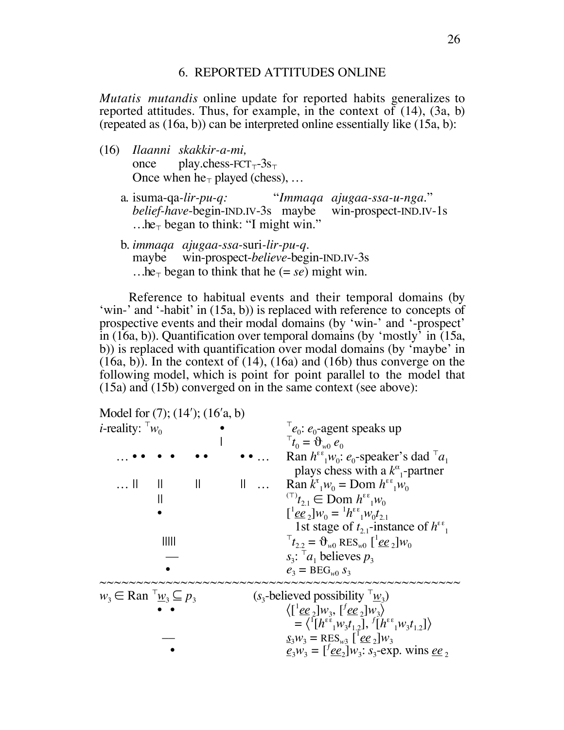### 6. REPORTED ATTITUDES ONLINE

*Mutatis mutandis* online update for reported habits generalizes to reported attitudes. Thus, for example, in the context of  $(14)$ ,  $(3a, b)$ (repeated as (16a, b)) can be interpreted online essentially like (15a, b):

- (16) *Ilaanni skakkir-a-mi,* once play.chess- $FCT_{T}$ -3s<sub>T</sub> Once when he<sub> $<sub>T</sub>$  played (chess), ...</sub></sub>
	- a. isuma-qa*-lir-pu-q:* "*Immaqa ajugaa-ssa-u-nga*." *belief-have*-begin-IND.IV-3s maybe win-prospect-IND.IV-1s  $\ldots$ he<sub> $\tau$ </sub> began to think: "I might win."
	- b. *immaqa ajugaa-ssa-*suri*-lir-pu-q*. maybe win-prospect-*believe*-begin-IND.IV-3s ... he<sub> $\tau$ </sub> began to think that he (= *se*) might win.

Reference to habitual events and their temporal domains (by 'win-' and '-habit' in (15a, b)) is replaced with reference to concepts of prospective events and their modal domains (by 'win-' and '-prospect' in  $(16a, b)$ ). Quantification over temporal domains (by 'mostly' in  $(15a,$ b)) is replaced with quantification over modal domains (by 'maybe' in  $(16a, b)$ ). In the context of  $(14)$ ,  $(16a)$  and  $(16b)$  thus converge on the following model, which is point for point parallel to the model that (15a) and (15b) converged on in the same context (see above):

| Model for $(7)$ ; $(14')$ ; $(16'a, b)$             |  |             |                                                                                                                                                      |
|-----------------------------------------------------|--|-------------|------------------------------------------------------------------------------------------------------------------------------------------------------|
| <i>i</i> -reality: $\mathbb{V}_0$                   |  |             | $\big\}$ <sub>0</sub> : $e_0$ -agent speaks up                                                                                                       |
|                                                     |  |             | $T_{t_0} = \mathfrak{G}_{\alpha 0} e_0$                                                                                                              |
|                                                     |  |             | Ran $h^{\epsilon}$ <sub>1</sub> $w_0$ : $e_0$ -speaker's dad $a_1$                                                                                   |
|                                                     |  |             | plays chess with a $k^{\alpha}_{1}$ -partner                                                                                                         |
| . II                                                |  | $\parallel$ | Ran $k^{\dagger}$ <sub>1</sub> $w_0$ = Dom $h^{\varepsilon \varepsilon}$ <sub>1</sub> $w_0$                                                          |
|                                                     |  |             | $\mathbf{L}^{(\top)} t_{2,1} \in \text{Dom } h^{\epsilon \epsilon}$ <sub>1</sub> $w_0$                                                               |
|                                                     |  |             | $\left[\frac{e}{e}e_{2}\right]w_{0}=\frac{1}{2}h^{\epsilon_{\epsilon}}{}_{1}w_{0}t_{2}$                                                              |
|                                                     |  |             | 1st stage of $t_{2,1}$ -instance of $h^{\varepsilon_{t}}$                                                                                            |
|                                                     |  |             | $T_{t_2} = \mathfrak{G}_{u0} \text{RES}_{u0} \left[ \frac{1}{2} \mathcal{E}_{2} \right] w_0$                                                         |
|                                                     |  |             | $s_3$ : $a_1$ believes $p_3$                                                                                                                         |
|                                                     |  |             | $e_3 = \text{BEG}_{u0} S_3$                                                                                                                          |
| $w_3 \in \text{Ran}$ $\overline{w}_3 \subseteq p_3$ |  |             | $(s_3$ -believed possibility $\mu_3$                                                                                                                 |
|                                                     |  |             | $\langle [\,^1 \underline{ee} \, , ] w_3, [\,^t \underline{ee} \, , ] w_3 \rangle$                                                                   |
|                                                     |  |             | $=\langle$ <sup>1</sup> [ $h^{\epsilon\epsilon}$ <sub>1</sub> $w_3t_{12}$ ], $\langle$ [ $h^{\epsilon\epsilon}$ <sub>1</sub> $w_3t_{12}$ ] $\rangle$ |
|                                                     |  |             | $S_3W_3 = \text{RES}_{w3}$ $\left[\frac{e}{e}\right]W_3$                                                                                             |
|                                                     |  |             | $\underline{e}_3w_3 = \frac{f}{e_3}w_3$ : $s_3$ -exp. wins $\underline{ee}_2$                                                                        |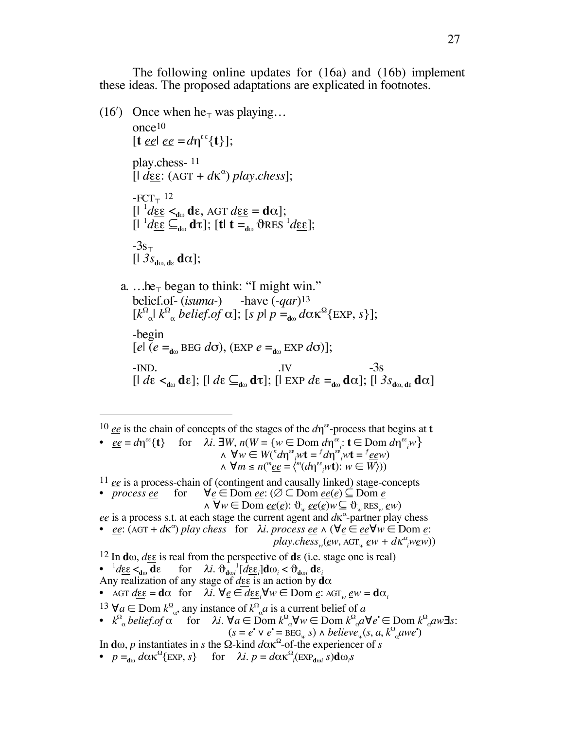The following online updates for (16a) and (16b) implement these ideas. The proposed adaptations are explicated in footnotes.

(16') Once when he<sub>τ</sub> was playing...  
\nonce<sup>10</sup>  
\n[t ee] ee = dη<sup>εε</sup>{t};  
\nplay-chess<sup>-11</sup>  
\n[l deε: (AGT + dκ<sup>α</sup>) play.chess];  
\n-FCT<sub>τ</sub><sup>-12</sup>  
\n[l <sup>1</sup>dεε 
$$
\lt_{dω}
$$
 **de**, AGT dεε = **d**α];  
\n[l <sup>1</sup>dεε  $\lt_{dω}$  **d**τ]; [t| t =<sub>dω</sub> θRES<sup>1</sup>dεl];  
\n-3s<sub>τ</sub>  
\n[l  $3s_{dω, de}$  **d**α];  
\na...he<sub>τ</sub> began to think: "I might win."  
\nbelief.of- (isuma-) -have (-qar)<sup>13</sup>  
\n[k<sup>2</sup><sub>α</sub>| k<sup>2</sup><sub>α</sub> belief.of α]; [s p| p =<sub>dω</sub> dακ<sup>Ω</sup>{EXP, s};  
\n-begin  
\n-begin  
\n-begin  
\n[ t e] e =<sub>dω</sub> BEG dσ, (EXP e =<sub>dω</sub> EXP dσ)];  
\n-IND.  
\n[l dε  $\lt_{dω}$  **d**ε]; [l dε  $\sqsubseteq_{dω}$  **d**τ]; [l EXP dε =<sub>dω</sub> dα]; [l 3s<sub>dω, de</sub> **d**α]

 $\overline{a}$ <sup>10</sup> *ee* is the chain of concepts of the stages of the  $d\eta$ <sup>E</sup>-process that begins at **t** •  $ee = d\eta^{\epsilon\epsilon} \{\mathbf{t}\}\$  for  $\lambda i. \exists W, n(W = \{w \in \text{Dom } d\eta^{\epsilon\epsilon}; \mathbf{t} \in \text{Dom } d\eta^{\epsilon\epsilon}; w\}$  $w \in W({}^n d\eta^{ss}{}_{i}wt = {}^f d\eta^{ss}{}_{i}wt = {}^f \underline{e} \underline{e}w$  $w \in W$   $\leq n(\mathbb{C} e^{\alpha}) = \langle \mathbb{C} e^{\alpha} (d\eta^{\varepsilon \varepsilon}, w\mathbf{t}) : w \in W \rangle)$ 11 *ee* is a process-chain of (contingent and causally linked) stage-concepts • *process ee* for ∀*e* ∈ Dom *ee*: (∅ ⊂ Dom *ee*(*e*) ⊆ Dom *e*  $\wedge \forall w \in \text{Dom} \underbrace{ee(e)}$ :  $\vartheta_w \underbrace{ee(e)}$ *w*⊆  $\vartheta_w \text{RES}_w \underbrace{ew}$ *ee* is a process s.t. at each stage the current agent and *d*κ<sup>α</sup>-partner play chess • *ee*: (AGT + *d* $\kappa^{\alpha}$ ) *play chess* for  $\lambda i$ *. process ee*  $\wedge$  ( $\forall e \in ee \forall w \in \text{Dom } e$ *:*  $play.chess_w(\mathcal{C}w, \text{AGT}_w \mathcal{C}w + d\kappa^a_i w \mathcal{C}w))$ 12 In **d**ω, *d*εε is real from the perspective of **d**ε (i.e. stage one is real) •  ${}^{1}d\underline{\epsilon}\underline{\epsilon} <_{d\omega} d\epsilon$  for  $\lambda i. \vartheta_{d\omega i} {}^{1}[d\underline{\epsilon}\underline{\epsilon}_{i}]d\omega_{i} < \vartheta_{d\omega i} d\epsilon_{i}$ Any realization of any stage of *d*εε is an action by **d**α • AGT  $d\underline{\epsilon}$ **ε** = **d**α for  $\lambda i$ .  $\forall$  *e* ∈  $d$  ε $\underline{\epsilon}$ <sub>*i*</sub>  $\forall$  *w* ∈ Dom *e*: AGT<sub>*w*</sub> *e w* = **d** α<sub>*i*</sub> <sup>13</sup>  $\forall a \in \text{Dom } k^{\Omega}$ <sub>α</sub>, any instance of  $k^{\Omega}$ <sub>α</sub> $a$  is a current belief of *a* •  $k^{\Omega}$ <sub>α</sub> belief.of α for λ*i*.  $\forall a \in$  Dom  $k^{\Omega}$ <sub>α</sub> $\forall w \in$  Dom  $k^{\Omega}$ <sub>α</sub> $\forall e$ <sup>*•*</sup> ∈ Dom  $k^{\Omega}$ <sub>α</sub> $aw$ ∃*s*:  $(s = e^{\bullet} \vee e^{\bullet} = \text{BEG}_{w} \text{ s}) \wedge \text{believe}_{w}(s, a, k^{2}_{a} \text{ and } e^{\bullet})$ In **d**ω, *p* instantiates in *s* the Ω-kind  $d\alpha$ κ<sup>Ω</sup>-of-the experiencer of *s* •  $p = \int_{d\omega} d\alpha \kappa^{\Omega} \{ \text{EXP}, s \}$  for  $\lambda i. p = d\alpha \kappa^{\Omega} \int_{d\alpha} (\text{EXP}_{d\omega i} s) d\omega_i s$ 

27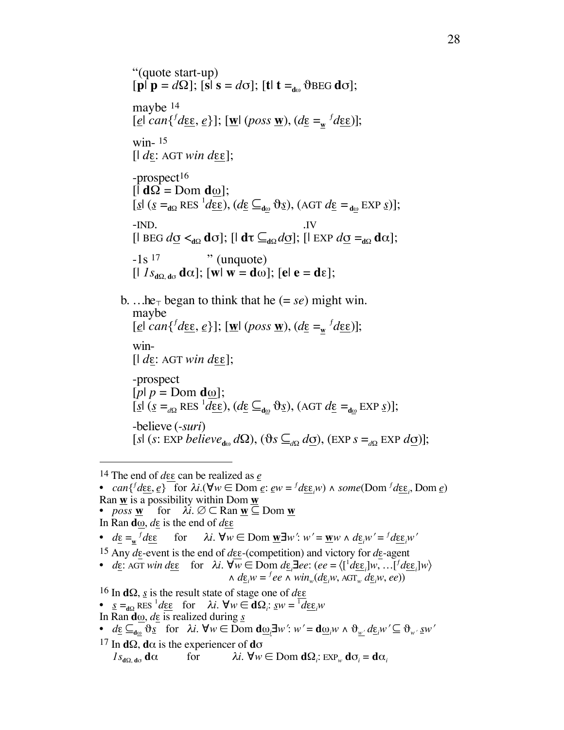"(quote start-up)  $[\mathbf{p} \mathbf{\hat{i}} \mathbf{p} = d\Omega]; [\mathbf{s} \mathbf{\hat{i}} \mathbf{s} = d\sigma]; [\mathbf{t} \mathbf{t} \mathbf{t} =_{d\omega} \vartheta \text{BEG } d\sigma];$ maybe 14  $[e]$  *can*{<sup>*f*</sup> $d$ <u>εε</u>, *e*}]; [**w**] (*poss* **w**), ( $d$ <u>ε</u> =<sub>*w*</sub><sup>*f*</sup> $d$ <u>εε</u>)]; win- 15 [| *d*ε: AGT *win d*εε]; -prospect16 [| **d**Ω = Dom **d**ω];  $[\underline{s}]$  ( $\underline{s} =_{d\Omega}$  RES <sup>1</sup> $d\underline{\epsilon}$ ), ( $d\underline{\epsilon} \subseteq_{d\omega} \vartheta$ \\var (AGT  $d\underline{\epsilon} =_{d\omega}$  EXP  $\underline{s}$ )]; -IND. .IV  $[|$  BEG  $d\underline{\sigma} <_{d\Omega} d\sigma$ ];  $[|$   $d\tau \subseteq_{d\Omega} d\underline{\sigma}$ ];  $[|$  EXP  $d\underline{\sigma} =_{d\Omega} d\alpha$ ];  $-1s$  <sup>17</sup> (unquote)  $[| Is_{dQ, dQ}, dQ];$   $[w| w = d\omega];$   $[e| e = d\varepsilon];$ b. ... he<sub> $\tau$ </sub> began to think that he (= *se*) might win. maybe  $[e]$  *can*{<sup>f</sup> d<u>εε</u>, e}]; [**w**] (*poss* **w**), (d<sub>ε</sub> =<sub>*w*</sub><sup>*f*</sup> d<sub>εε</sub>)]; win- [| *d*ε: AGT *win d*εε]; -prospect  $[p| p = \text{Dom } d\omega]$ ;  $[\underline{s}](\underline{s} =_{d\Omega} \text{RES}^{-1} d\underline{\epsilon}\underline{\epsilon})$ ,  $(d\underline{\epsilon} \subseteq_{d\Omega} \vartheta \underline{s})$ ,  $(\text{AGT } d\underline{\epsilon} =_{d\Omega} \text{EXP } \underline{s})$ ; -believe (*-suri*)  $[s]$  (*s*: EXP *believe*<sub>d $\omega$ </sub>  $d\Omega$ ), ( $\vartheta$ *s*  $\subseteq$ <sub>*d* $\Omega$ </sub>  $d\sigma$ ), (EXP *s* =<sub>*d* $\Omega$ </sub> EXP  $d\sigma$ )];

In Ran **d**ω, *d*ε is the end of *d*εε

 $\overline{a}$ 

```
• d\underline{\epsilon} = \underline{\mathbf{w}}^fdεε for \lambda i. \forall w \in \text{Dom } \underline{\mathbf{w}} \exists w': w' = \underline{\mathbf{w}} w \wedge d\underline{\mathbf{\varepsilon}}_i w' = f d\underline{\mathbf{\varepsilon}} \underline{\mathbf{\varepsilon}}_i w'
```
15 Any *d*ε-event is the end of *d*εε-(competition) and victory for *d*ε-agent

• 
$$
d\underline{\epsilon}
$$
: AGT *win*  $d\underline{\epsilon}\underline{\epsilon}$  for  $\lambda i$ .  $\forall w \in \text{Dom } d\underline{\epsilon}_i \exists ee$ :  $(ee = \langle [{}^1 d\underline{\epsilon}\underline{\epsilon}_i]w, ... [{}^f d\underline{\epsilon}\underline{\epsilon}_i]w \rangle$   
 $\wedge d\underline{\epsilon}_i w = {}^f ee \wedge win_w(d\underline{\epsilon}_i w, \text{AGT}_w d\underline{\epsilon}_i w, ee))$ 

16 In **d**Ω, *s* is the result state of stage one of *d*εε

- $\underline{s} = \underline{d\Omega} \text{RES}^{-1} d\underline{\varepsilon} \underline{\varepsilon}$  for  $\lambda i. \forall w \in \mathbf{d}\Omega_i$ :  $\underline{s}w = {}^1 d\underline{\varepsilon} \underline{\varepsilon}_i w$
- In Ran **d**ω, *d*ε is realized during *s*

• 
$$
d\underline{\epsilon} \subseteq_{d\underline{\omega}} \vartheta_{\underline{\delta}}
$$
 for  $\lambda i$ .  $\forall w \in \text{Dom } d\underline{\omega}_{i} \exists w': w' = d\underline{\omega}_{i} w \wedge \vartheta_{w'} d\underline{\epsilon}_{i} w' \subseteq \vartheta_{w'} \underline{\epsilon} w'$ 

```
<sup>17</sup> In dΩ, dα is the experiencer of dσ<br>
I_{s_{d\Omega, d\sigma}}dα for \lambda i. \forall wI_{s_{d\Omega, d\sigma}} d\alpha for \lambda i. \forall w \in \text{Dom } d\Omega_i: EXP<sub>w</sub> d\sigma_i = d\alpha_i
```
<sup>14</sup> The end of *d*εε can be realized as *e*

<sup>•</sup> *can*{<sup>*f*</sup> d<u>εε</u>, *e*} for  $\lambda i.$ (∀*w* ∈ Dom *e*: *ew* = <sup>*f*</sup> dεε<sub>*i</sub>w*) ∧ *some*(Dom <sup>*f*</sup> dεε<sub>*i*</sub>, Dom *e*)</sub> Ran **w** is a possibility within Dom **w**

<sup>•</sup>  $\overline{poss} \mathbf{w}$  for  $\lambda i. \emptyset \subset \text{Ran } \mathbf{w} \subseteq \text{Dom } \mathbf{w}$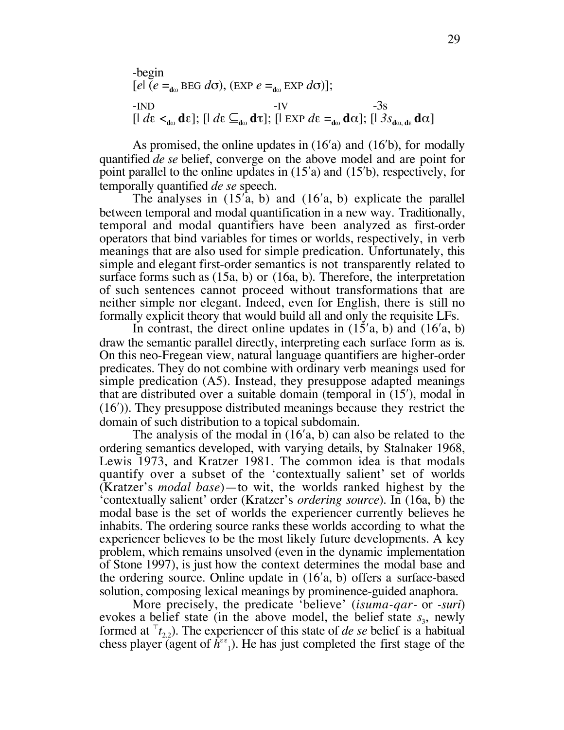-begin  
\n[*e*] (*e* =<sub>dω</sub> BEG *d*σ), (EXP *e* =<sub>dω</sub> EXP *d*σ)];  
\n-IND\n-*I*ND\n[*l d*ε 
$$
\leq_{dω}
$$
 **d**ε]; [*l d*ε  $\subseteq_{dω}$  **d**τ]; [*I* EXP *d*ε =<sub>dω</sub> **d**α]; [*l* 3s<sub>dω, de</sub> **d**α]

As promised, the online updates in (16′a) and (16′b), for modally quantified *de se* belief, converge on the above model and are point for point parallel to the online updates in (15′a) and (15′b), respectively, for temporally quantified *de se* speech.

The analyses in  $(15'a, b)$  and  $(16'a, b)$  explicate the parallel between temporal and modal quantification in a new way. Traditionally, temporal and modal quantifiers have been analyzed as first-order operators that bind variables for times or worlds, respectively, in verb meanings that are also used for simple predication. Unfortunately, this simple and elegant first-order semantics is not transparently related to surface forms such as (15a, b) or (16a, b). Therefore, the interpretation of such sentences cannot proceed without transformations that are neither simple nor elegant. Indeed, even for English, there is still no formally explicit theory that would build all and only the requisite LFs.

In contrast, the direct online updates in  $(15'a, b)$  and  $(16'a, b)$ draw the semantic parallel directly, interpreting each surface form as is. On this neo-Fregean view, natural language quantifiers are higher-order predicates. They do not combine with ordinary verb meanings used for simple predication (A5). Instead, they presuppose adapted meanings that are distributed over a suitable domain (temporal in (15′), modal in (16′)). They presuppose distributed meanings because they restrict the domain of such distribution to a topical subdomain. The analysis of the modal in (16′a, b) can also be related to the

ordering semantics developed, with varying details, by Stalnaker 1968, Lewis 1973, and Kratzer 1981. The common idea is that modals quantify over a subset of the 'contextually salient' set of worlds (Kratzer's *modal base*)—to wit, the worlds ranked highest by the 'contextually salient' order (Kratzer's *ordering source*). In (16a, b) the modal base is the set of worlds the experiencer currently believes he inhabits. The ordering source ranks these worlds according to what the experiencer believes to be the most likely future developments. A key problem, which remains unsolved (even in the dynamic implementation of Stone 1997), is just how the context determines the modal base and the ordering source. Online update in (16′a, b) offers a surface-based solution, composing lexical meanings by prominence-guided anaphora.

More precisely, the predicate 'believe' (*isuma-qar-* or *-suri*) evokes a belief state (in the above model, the belief state  $s_3$ , newly formed at  $\tau_{t_2}$ ). The experiencer of this state of *de se* belief is a habitual chess player (agent of  $\hat{h}^{\epsilon_{\epsilon}}$ ). He has just completed the first stage of the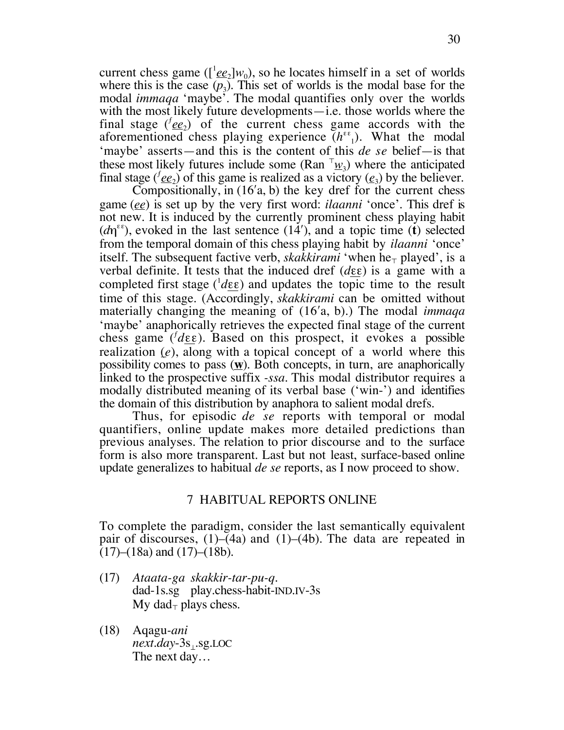current chess game  $(I<sup>1</sup>ee<sub>2</sub>]w<sub>0</sub>$ , so he locates himself in a set of worlds where this is the case  $(p_3)$ . This set of worlds is the modal base for the modal *immaqa* 'maybe'. The modal quantifies only over the worlds with the most likely future developments—i.e. those worlds where the final stage  $(\frac{fee_2}{})$  of the current chess game accords with the aforementioned chess playing experience  $(h^{\varepsilon \varepsilon})$ . What the modal 'maybe' asserts—and this is the content of this *de se* belief—is that these most likely futures include some  $(Ran \mu_3)$  where the anticipated final stage  $(\frac{fee_2}{})$  of this game is realized as a victory  $(e_3)$  by the believer.

Compositionally, in (16′a, b) the key dref for the current chess game (*ee*) is set up by the very first word: *ilaanni* 'once'. This dref is not new. It is induced by the currently prominent chess playing habit  $(d\eta^{\epsilon\epsilon})$ , evoked in the last sentence (14'), and a topic time (**t**) selected from the temporal domain of this chess playing habit by *ilaanni* 'once' itself. The subsequent factive verb, *skakkirami* 'when he<sub> $\tau$ </sub> played', is a verbal definite. It tests that the induced dref (*d*εε) is a game with a completed first stage ( $^1$ d $\underline{\epsilon}$ ) and updates the topic time to the result time of this stage. (Accordingly, *skakkirami* can be omitted without materially changing the meaning of (16′a, b).) The modal *immaqa* 'maybe' anaphorically retrieves the expected final stage of the current chess game  $({}^{f}d\varepsilon\varepsilon)$ . Based on this prospect, it evokes a possible realization (*e*), along with a topical concept of a world where this possibility comes to pass (**w**). Both concepts, in turn, are anaphorically linked to the prospective suffix *-ssa*. This modal distributor requires a modally distributed meaning of its verbal base ('win-') and identifies the domain of this distribution by anaphora to salient modal drefs. Thus, for episodic *de se* reports with temporal or modal

quantifiers, online update makes more detailed predictions than previous analyses. The relation to prior discourse and to the surface form is also more transparent. Last but not least, surface-based online update generalizes to habitual *de se* reports, as I now proceed to show.

### 7 HABITUAL REPORTS ONLINE

To complete the paradigm, consider the last semantically equivalent pair of discourses, (1)–(4a) and (1)–(4b). The data are repeated in  $(17)$ – $(18a)$  and  $(17)$ – $(18b)$ .

- (17) *Ataata-ga skakkir-tar-pu-q.* dad-1s.sg play.chess-habit-IND.IV-3s My dad<sub> $\tau$ </sub> plays chess.
- (18) Aqagu*-ani next.day*-3s⊥.sg.LOC The next day…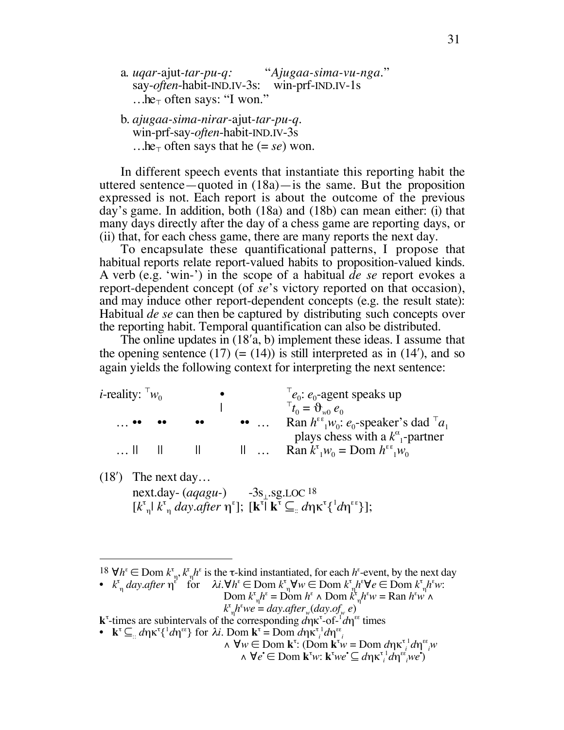- a. *uqar-*ajut*-tar-pu-q:* "*Ajugaa-sima-vu-nga*." say-*often*-habit-IND.IV-3s: win-prf-IND.IV-1s  $...$ he<sub> $\tau$ </sub> often says: "I won."
- b. *ajugaa-sima-nirar-*ajut*-tar-pu-q.* win-prf-say-*often*-habit-IND.IV-3s ... he<sub> $\tau$ </sub> often says that he (= *se*) won.

In different speech events that instantiate this reporting habit the uttered sentence—quoted in (18a)—is the same. But the proposition expressed is not. Each report is about the outcome of the previous day's game. In addition, both (18a) and (18b) can mean either: (i) that many days directly after the day of a chess game are reporting days, or (ii) that, for each chess game, there are many reports the next day.

To encapsulate these quantificational patterns, I propose that habitual reports relate report-valued habits to proposition-valued kinds. A verb (e.g. 'win-') in the scope of a habitual *de se* report evokes a report-dependent concept (of *se*'s victory reported on that occasion), and may induce other report-dependent concepts (e.g. the result state): Habitual *de se* can then be captured by distributing such concepts over the reporting habit. Temporal quantification can also be distributed.

The online updates in (18′a, b) implement these ideas. I assume that the opening sentence (17) (= (14)) is still interpreted as in (14'), and so again yields the following context for interpreting the next sentence:

| <i>i</i> -reality: $w_0$    |                  |                   | $e_0$ : $e_0$ -agent speaks up                                                              |
|-----------------------------|------------------|-------------------|---------------------------------------------------------------------------------------------|
|                             |                  |                   | $T_{t_0} = \mathfrak{v}_{\omega 0} e_0$                                                     |
| $\ldots$ . $\bullet\bullet$ | $\bullet\bullet$ | $\bullet \bullet$ | Ran $h^{\epsilon_{1}}w_{0}$ : $e_{0}$ -speaker's dad $a_{1}$                                |
|                             |                  |                   | plays chess with a $k^{\alpha}_{1}$ -partner                                                |
| $\ldots$ II                 |                  | $\mathbb{I}$      | Ran $k^{\dagger}$ <sub>1</sub> $w_0 =$ Dom $h^{\varepsilon \varepsilon}$ <sub>1</sub> $w_0$ |

(18′) The next day…

 $\overline{a}$ 

next.day- (*aqagu-*) -3s⊥.sg.LOC 18 [ $k^{\tau}$ <sub>η</sub>  $k^{\tau}$ <sub>η</sub> *day.after* η<sup>ε</sup>]; [**k**<sup>τ</sup>] **k**<sup>τ</sup>  $\subseteq$ <sub>*π*</sub> *d*ηκ<sup>τ</sup>{<sup>1</sup>*d*η<sup>εε</sup>}];

18  $\forall h^{\varepsilon} \in \text{Dom } k^{\tau}$ ,  $k^{\tau}$ ,  $h^{\varepsilon}$  is the  $\tau$ -kind instantiated, for each  $h^{\varepsilon}$ -event, by the next day

•  $k_{\eta}^{\dagger}$  *day.after*  $\eta^{\varepsilon}$  for  $\lambda i.\forall h^{\varepsilon} \in \text{Dom } k_{\eta}^{\dagger} \forall w \in \text{Dom } k_{\eta}^{\dagger} h^{\varepsilon} \forall e \in \text{Dom } k_{\eta}^{\dagger} h^{\varepsilon} w$ :  $\text{Dom } k^{\dagger}_{\eta} h^{\varepsilon} = \text{Dom } h^{\varepsilon} \wedge \text{Dom } k^{\dagger}_{\eta} h^{\varepsilon} w = \text{Ran } h^{\varepsilon} w \wedge$  $k^{\text{t}}_{\text{w}} h^{\text{t}}$ *we* = *day.after*<sub>*w*</sub>(*day.of<sub>w</sub> e*)

**k**<sup>τ</sup>-times are subintervals of the corresponding  $d\eta \kappa^{\tau}$ -of-<sup>1</sup> $d\eta^{\epsilon\epsilon}$  times

•  $\mathbf{k}^{\tau} \subseteq_{\pi} d\eta \kappa^{\tau} \{^1 d\eta^{\epsilon\epsilon}\}$  for  $\lambda i$ . Dom  $\mathbf{k}^{\tau} =$  Dom  $d\eta \kappa^{\tau}$  $^1$ *d*η<sup>εε</sup><sub>*i*</sub>

 $\mathbf{v} \in \text{Dom } \mathbf{k}^{\mathsf{T}}$ : (Dom  $\mathbf{k}^{\mathsf{T}} w$  = Dom *d*ηκ<sup>τ</sup><sub>*i*</sub>  $\int d\eta$ <sup>εε</sup><sub>*i</sub>w*</sub>

∧ ∀*e*• ∈ Dom **k**<sup>τ</sup> *w*: **k**<sup>τ</sup> *we•* ⊆ *d*ηκτ *i* <sup>1</sup> $dη^{\varepsilon \varepsilon}$ <sub>*i</sub>we*<sup>•</sup>)</sub>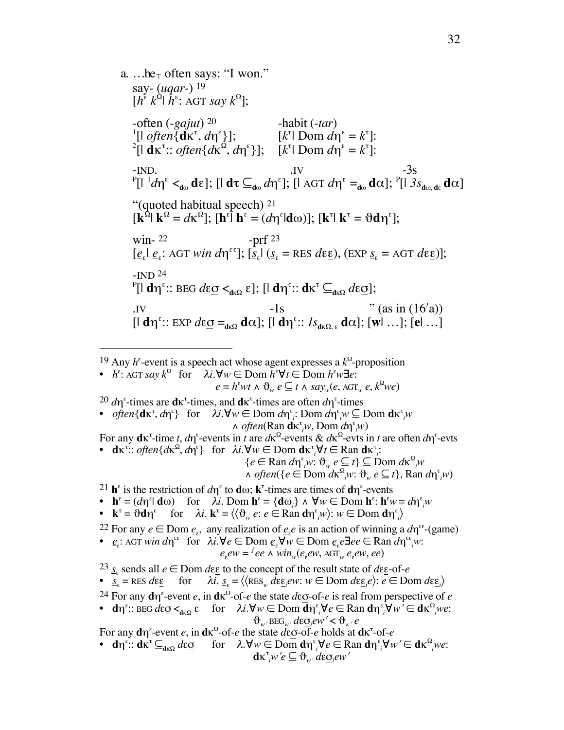a.  $\ldots$  he<sub> $\tau$ </sub> often says: "I won." say- (*uqar-*) 19  $[h^{\epsilon} k^{\Omega} | \hat{h}^{\epsilon}$ : AGT *say*  $k^{\Omega}$ ]; -often (-*gajut*) 20 -habit (*-tar*) <sup>1</sup>[| *often*{**d**κ<sup>τ</sup>, *d*η<sup>ε</sup>}]; [*k*<sup>τ</sup>| Dom *d*η<sup>ε</sup> = *k*<sup>τ</sup>]:<br><sup>2</sup>[| **d**κ<sup>τ</sup>:: *often*{*d*κ<sup>Ω</sup>, *d*η<sup>ε</sup>}]; [*k*<sup>τ</sup>| Dom *d*η<sup>ε</sup> = *k*<sup>τ</sup>]: -IND. .IV -3s P [| <sup>1</sup> *d*ηε <**<sup>d</sup>**<sup>ω</sup> **d**ε]; [| **d**τ ⊆**<sup>d</sup>**<sup>ω</sup> *d*η<sup>ε</sup> ]; [| AGT *d*η<sup>ε</sup> =**<sup>d</sup>**<sup>ω</sup> **d**α]; <sup>P</sup> [| *3s***<sup>d</sup>**ω, **d**<sup>ε</sup> **d**α] "(quoted habitual speech) 21  $[\mathbf{k}^{\Omega} | \mathbf{k}^{\Omega} = d\mathbf{k}^{\Omega}]$ ;  $[\mathbf{h}^{\varepsilon} | \mathbf{h}^{\varepsilon} = (d\eta^{\varepsilon} | \mathbf{d}\omega)]$ ;  $[\mathbf{k}^{\tau} | \mathbf{k}^{\tau} = \vartheta \mathbf{d}\eta^{\varepsilon}]$ ;  $\sin^{-22}$  -prf 23  $[\underline{e}_{\varepsilon} | \underline{e}_{\varepsilon}:$  AGT *win d* $\eta^{\varepsilon \varepsilon}$ ];  $[\underline{\overline{s}}_{\varepsilon} | (\underline{s}_{\varepsilon} = \text{RES} \ d\varepsilon \underline{\varepsilon})$ ,  $(\text{EXP } \underline{s}_{\varepsilon} = \text{AGT} \ d\varepsilon \underline{\varepsilon})$ ]; -IND 24 <sup>P</sup>[| **d**η<sup>ε</sup>:: ΒEG *d*ε<u>σ</u> <<sub>dκΩ</sub> ε]; [| **d**η<sup>ε</sup>:: **d**κ<sup>τ</sup> ⊆<sub>dκΩ</sub> *d*ε<u>σ</u>];  $\text{IV}$  -1s " (as in (16'a)) [| **d**η<sup>ε</sup> :: EXP *d*εσ =**<sup>d</sup>**κΩ **d**α]; [| **d**η<sup>ε</sup> :: *1s***<sup>d</sup>**κΩ, <sup>ε</sup> **d**α]; [**w**| …]; [**e**| …]

<sup>19</sup> Any *h*<sup>ε</sup>-event is a speech act whose agent expresses a *k*<sup>2</sup>-proposition

•  $h^{\varepsilon}$ : AGT *say*  $k^{\Omega}$  for  $\lambda i.\forall w \in \text{Dom } h^{\varepsilon}\forall t \in \text{Dom } h^{\varepsilon}w\exists e$ :

 $\overline{a}$ 

$$
e = h^{\varepsilon} wt \wedge \vartheta_{w} e \subseteq t \wedge say_{w}(e, \text{AGT}_{w} e, k^{\Omega} we)
$$

<sup>20</sup>  $dη<sup>ε</sup>$ -times are **d**κ<sup>τ</sup>-times, and **d**κ<sup>τ</sup>-times are often  $dη<sup>ε</sup>$ -times • *often*{ $d\kappa^{\tau}$ ,  $d\eta^{\epsilon}$ } for  $\lambda i.\forall w \in \text{Dom } d\eta^{\epsilon}$ ; Dom  $d\eta^{\epsilon}$ ; $w \subseteq \text{Dom } d\kappa^{\tau}$ ; $w$  $\wedge$  *often*(Ran  $\mathbf{d} \kappa^{\tau}$ <sub>*i</sub>w*, Dom  $d \eta^{\epsilon}$ <sub>*iw*</sub>)</sub>

For any  $\mathbf{d}\kappa^{\tau}$ -time *t*,  $d\eta^{\epsilon}$ -events in *t* are  $d\kappa^{\Omega}$ -events &  $d\kappa^{\Omega}$ -evts in *t* are often  $d\eta^{\epsilon}$ -evts • **d**κ<sup>τ</sup>:*: often*{*d*κ<sup>Ω</sup>, *d*η<sup>ε</sup>} for  $\lambda i.\forall w \in \text{Dom } d\kappa_i^{\tau}$ ; $\forall t \in \text{Ran } d\kappa_i^{\tau}$ ;

$$
\{e \in \text{Ran } d\eta^{\varepsilon} w : \vartheta_w e \subseteq t\} \subseteq \text{Dom } d\kappa^{\Omega} w
$$
  
 
$$
\wedge \text{ often } (\{e \in \text{Dom } d\kappa^{\Omega} w : \vartheta_w e \subseteq t\}, \text{Ran } d\eta^{\varepsilon} w \}
$$

<sup>21</sup> **h**<sup>ε</sup> is the restriction of  $dη^{\epsilon}$  to **d**ω; **k**<sup>τ</sup>-times are times of **d**η<sup>ε</sup>-events

- $\mathbf{h}^{\varepsilon} = (d\eta^{\varepsilon} | \mathbf{d}\omega)$  for  $\lambda i$ . Dom  $\mathbf{h}^{\varepsilon} = {\mathbf{d}\omega_i} \lambda \sqrt{w} \in \text{Dom } \mathbf{h}^{\varepsilon}$ :  $\mathbf{h}^{\varepsilon} w = d\eta^{\varepsilon} w$
- $\mathbf{k}^{\tau} = \mathbf{\vartheta} \mathbf{d} \eta^{\epsilon}$  for  $\lambda i. \ \mathbf{k}^{\tau} = \langle \langle \mathbf{\vartheta}_{w} e : e \in \mathbb{R} \text{an } \mathbf{d} \eta^{\epsilon}_{i} w \rangle : w \in \mathbb{D} \text{om } \mathbf{d} \eta^{\epsilon}_{i} \rangle$

<sup>22</sup> For any  $e \in \text{Dom } \underline{e}_{\epsilon}$ , any realization of  $\underline{e}_{\epsilon}e$  is an action of winning a  $d\eta^{\epsilon\epsilon}$ -(game)

• 
$$
\underline{e}_{\varepsilon}
$$
: AGT *win d* $\eta^{\varepsilon\varepsilon}$  for  $\lambda i. \forall e \in \text{Dom } \underline{e}_{\varepsilon} \forall w \in \text{Dom } \underline{e}_{\varepsilon} e \exists e e \in \text{Ran } d\eta^{\varepsilon\varepsilon} w$ :  
 $\underline{e}_{\varepsilon} e w = {^f e e \land win_w(\underline{e}_{\varepsilon} e w, \text{AGT}_w \underline{e}_{\varepsilon} e w, e e)}$ 

<sup>23</sup> *s*ε sends all *e* ∈ Dom *d*εε to the concept of the result state of *d*εε-of-*e*

• 
$$
\underline{s}_{\varepsilon} = \text{RES} \, d\varepsilon \underline{\underline{\epsilon}}
$$
 for  $\lambda i. \, \underline{s}_{\varepsilon} = \langle \langle \text{RES}_{w} \, d\varepsilon \underline{\underline{\epsilon}}_{i} e w : w \in \text{Dom} \, d\varepsilon \underline{\underline{\epsilon}}_{i} e \rangle : e \in \text{Dom} \, d\varepsilon \underline{\underline{\epsilon}}_{i} \rangle$ 

- 24 For any **d**η<sup>ε</sup> -event *e*, in **d**κΩ-of-*e* the state *d*εσ-of-*e* is real from perspective of *e*
- **d**η<sup>ε</sup>:: BEG *d*εσ <<sub>dκΩ</sub> ε for  $\lambda i.\forall w \in \text{Dom } d\eta^i$ ;  $\forall e \in \text{Ran } d\eta^i$ ;  $\forall w' \in d\kappa^{\Omega}$ *iwe*:  $\vartheta_{w'}$ BEG<sub>w′</sub> dε $\underline{\sigma}_{i}$ ew´ <  $\vartheta_{w'}$  e

For any **d**η<sup>ε</sup> -event *e*, in **d**κΩ-of-*e* the state *d*εσ-of-*e* holds at **d**κτ -of-*e*

•  $d\eta^{\epsilon}$ :  $d\kappa^{\tau} \subseteq_{d\kappa} d\varepsilon\sigma$ ::  $d\kappa^{\tau} \subseteq d_{\kappa\Omega} d\varepsilon_{\Omega}$  for  $\lambda \cdot \forall w \in \text{Dom } d\eta^{\epsilon}$ ,  $\forall e \in \text{Ran } d\eta^{\epsilon}$ ,  $\forall w' \in d\kappa^{\Omega}$ , we: **d**κ<sup>τ</sup> *i w*′*e* ⊆ ϑ*<sup>w</sup>*′  *d*εσ*<sup>i</sup> ew*′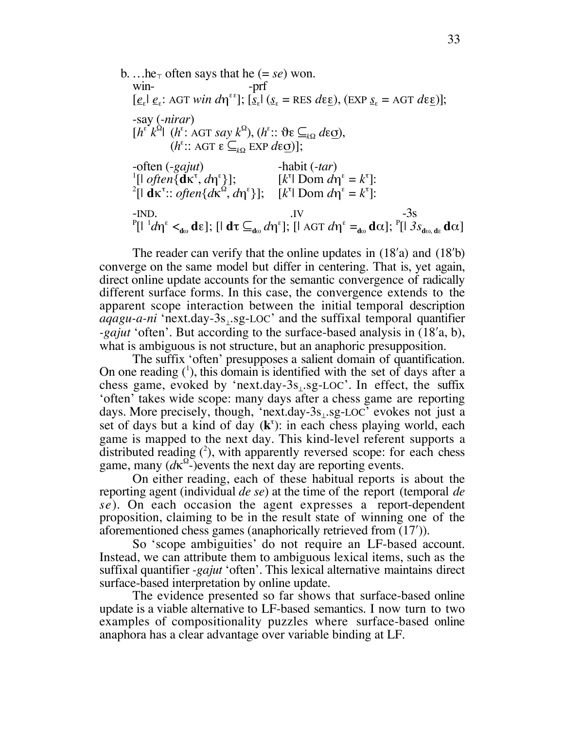b. ...he<sub>T</sub> often says that he (= se) won.  
\nwin--  
\n[
$$
\rho_{\varepsilon}
$$
|  $\rho_{\varepsilon}$ : AGT win  $d\eta^{\varepsilon_{\varepsilon}}$ ]; [ $\rho_{\varepsilon}$ | ( $\rho_{\varepsilon}$  = RES  $d\varepsilon_{\varepsilon}$ ), (EXP  $\rho_{\varepsilon}$  = AGT  $d\varepsilon_{\varepsilon}$ )];  
\n-say (-nirar)  
\n[ $h^{\varepsilon} k^{\Omega}$ | ( $h^{\varepsilon}$ : AGT say  $k^{\Omega}$ ), ( $h^{\varepsilon}$ ::  $\vartheta \varepsilon \subseteq_{k\Omega} d\varepsilon_{\Omega}$ ),  
\n( $h^{\varepsilon}$ :: AGT  $\varepsilon \subseteq_{k\Omega}$  EXP  $d\varepsilon_{\Omega}$ )];  
\n-often (-*gajut*) - habit (-tar)  
\n<sup>1</sup>[| *often*{**dx**<sup>\tau</sup>,  $d\eta^{\varepsilon}$ }]]; [ $k^{\tau}$ | Dom  $d\eta^{\varepsilon} = k^{\tau}$ ]:  
\n<sup>2</sup>[| **dx**<sup>\tau</sup>:: *often*{ $dx^{\Omega}$ ,  $d\eta^{\varepsilon}$ }]; [ $k^{\tau}$ | Dom  $d\eta^{\varepsilon} = k^{\tau}$ ]:  
\n-IND.  
\n<sup>P</sup>[|<sup>1</sup> $d\eta^{\varepsilon} <_{d\omega} d\varepsilon$ ]; [|  $d\tau \subseteq_{d\omega} d\eta^{\varepsilon}$ ]; [| AGT  $d\eta^{\varepsilon} =_{d\omega} d\alpha$ ]; <sup>P</sup>[|  $3s_{d\omega, d\varepsilon} d\alpha$ ]

The reader can verify that the online updates in (18′a) and (18′b) converge on the same model but differ in centering. That is, yet again, direct online update accounts for the semantic convergence of radically different surface forms. In this case, the convergence extends to the apparent scope interaction between the initial temporal description *aqagu-a-ni* 'next.day-3s<sub>⊥</sub>.sg-LOC' and the suffixal temporal quantifier *-gajut* 'often'. But according to the surface-based analysis in (18′a, b), what is ambiguous is not structure, but an anaphoric presupposition.

The suffix 'often' presupposes a salient domain of quantification. On one reading  $(1)$ , this domain is identified with the set of days after a chess game, evoked by 'next.day-3s<sub>⊥</sub>.sg-LOC'. In effect, the suffix 'often' takes wide scope: many days after a chess game are reporting days. More precisely, though, 'next.day-3s⊥.sg-LOC' evokes not just a set of days but a kind of day (**k**<sup>τ</sup> ): in each chess playing world, each game is mapped to the next day. This kind-level referent supports a distributed reading  $(2)$ , with apparently reversed scope: for each chess game, many  $(d\kappa^2)$ events the next day are reporting events.

On either reading, each of these habitual reports is about the reporting agent (individual *de se*) at the time of the report (temporal *de se*). On each occasion the agent expresses a report-dependent proposition, claiming to be in the result state of winning one of the aforementioned chess games (anaphorically retrieved from (17′)).

So 'scope ambiguities' do not require an LF-based account. Instead, we can attribute them to ambiguous lexical items, such as the suffixal quantifier *-gajut* 'often'. This lexical alternative maintains direct surface-based interpretation by online update.

The evidence presented so far shows that surface-based online update is a viable alternative to LF-based semantics. I now turn to two examples of compositionality puzzles where surface-based online anaphora has a clear advantage over variable binding at LF.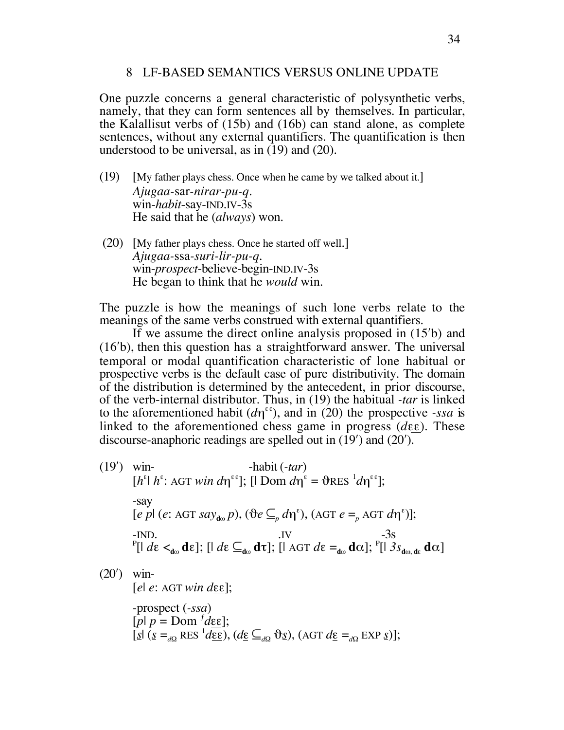#### 8 LF-BASED SEMANTICS VERSUS ONLINE UPDATE

One puzzle concerns a general characteristic of polysynthetic verbs, namely, that they can form sentences all by themselves. In particular, the Kalallisut verbs of (15b) and (16b) can stand alone, as complete sentences, without any external quantifiers. The quantification is then understood to be universal, as in (19) and (20).

- (19) [My father plays chess. Once when he came by we talked about it*.*] *Ajugaa-*sar*-nirar-pu-q.* win-*habit*-say-IND.IV-3s He said that he (*always*) won.
- (20) [My father plays chess. Once he started off well.] *Ajugaa-*ssa*-suri-lir-pu-q.* win-*prospect*-believe-begin-IND.IV-3s He began to think that he *would* win.

The puzzle is how the meanings of such lone verbs relate to the meanings of the same verbs construed with external quantifiers.

If we assume the direct online analysis proposed in (15′b) and (16′b), then this question has a straightforward answer. The universal temporal or modal quantification characteristic of lone habitual or prospective verbs is the default case of pure distributivity. The domain of the distribution is determined by the antecedent, in prior discourse, of the verb-internal distributor. Thus, in (19) the habitual *-tar* is linked to the aforementioned habit  $(d\eta^{\epsilon\epsilon})$ , and in (20) the prospective *-ssa* is linked to the aforementioned chess game in progress (*d*εε). These discourse-anaphoric readings are spelled out in (19′) and (20′).

(19') win-  
\n[
$$
h^{\epsilon}
$$
]  $h^{\epsilon}$ : AGT *win d* $\eta^{\epsilon^{\epsilon}}$ ]; [l Dom  $d\eta^{\epsilon} = \theta$ RES  ${}^{1}d\eta^{\epsilon^{\epsilon}}$ ];  
\n-say  
\n[*e p*l (*e*: AGT *say*<sub>do</sub>*p*), ( $\theta e \subseteq_p d\eta^{\epsilon}$ ), (AGT  $e =_p$  AGT  $d\eta^{\epsilon}$ )];  
\n-IND.  
\nIV  
\n<sup>P</sup>[l  $d\varepsilon <_{_{d\omega}}$  d\varepsilon]; [l  $d\varepsilon \subseteq_{_{d\omega}}$  d\tau]; [l AGT  $d\varepsilon =_{_{d\omega}}$  d\alpha]; <sup>P</sup>[l  $3s_{_{d\omega,d\varepsilon}}$  d\alpha]

(20′) win-

[*e*| *e*: AGT *win d*εε]; -prospect (*-ssa*)  $[p| p = \text{Dom} f d \le \epsilon];$  $[g]$   $(g =_{d\Omega} \text{RES}^{-1} d\underline{\epsilon}\underline{\epsilon})$ ,  $(d\underline{\epsilon} \subseteq_{d\Omega} \vartheta \underline{s})$ ,  $(\text{AGT } d\underline{\epsilon} =_{d\Omega} \text{EXP } \underline{s})$ ;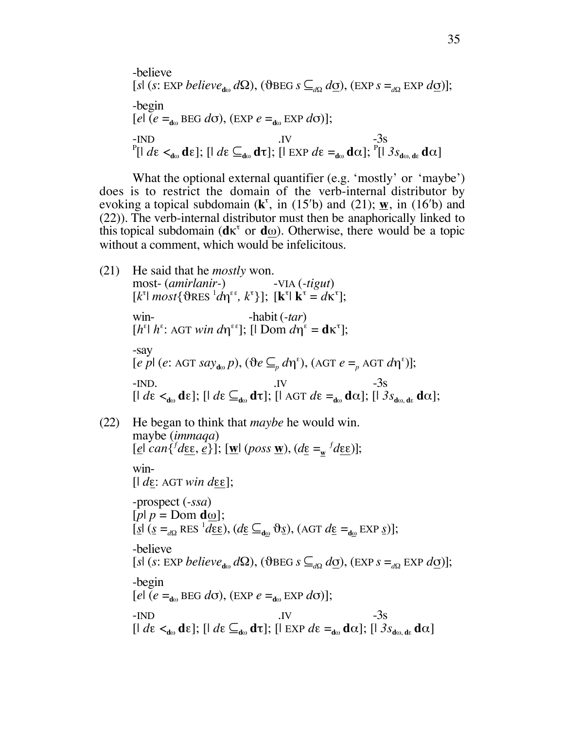-believe  $[s]$  (*s*: EXP *believe*<sub>d</sub>  $d\Omega$ ), ( $\theta$ BEG  $s \subseteq a$   $\partial$ ), (EXP  $s = a$  EXP  $d\sigma$ )]; -begin  $[e]$   $(e =_{\text{do}} \text{BEG } d\sigma)$ ,  $(\text{EXP } e =_{\text{do}} \text{EXP } d\sigma)$ ]; -IND .IV -3s P [| *d*ε <**<sup>d</sup>**<sup>ω</sup> **d**ε]; [| *d*ε ⊆**<sup>d</sup>**<sup>ω</sup> **d**τ]; [| EXP *d*ε =**<sup>d</sup>**<sup>ω</sup> **d**α]; <sup>P</sup> [| *3s***<sup>d</sup>**ω, **d**<sup>ε</sup> **d**α]

What the optional external quantifier (e.g. 'mostly' or 'maybe') does is to restrict the domain of the verb-internal distributor by evoking a topical subdomain (**k**<sup>τ</sup> , in (15′b) and (21); **w**, in (16′b) and (22)). The verb-internal distributor must then be anaphorically linked to this topical subdomain ( $d\kappa^{\tau}$  or  $d\omega$ ). Otherwise, there would be a topic without a comment, which would be infelicitous.

(21) He said that he *mostly* won. most- (*amirlanir-*) -VIA (*-tigut*)  $[k^{\tau}]$  *most*{ $\theta$ RES<sup>1</sup> $d\eta^{\epsilon\epsilon}$ ,  $k^{\tau}$ }]; [**k**<sup> $\tau$ </sup>|**k**<sup> $\tau$ </sup> =  $d\kappa^{\tau}$ ]; win-<br>habit (*-tar*)  $[h^{\varepsilon} \mid h^{\varepsilon} \text{: } AGT \text{ win } d\eta^{\varepsilon\varepsilon}]; \text{ [I Dom } d\eta^{\varepsilon} = \mathbf{d}\kappa^{\tau}];$ -say  $[e \ p]$   $(e \text{: } AGT \ say_{\text{d}\omega} p)$ ,  $(\vartheta e \subseteq_p d\eta^{\varepsilon})$ ,  $(AGT \ e =_p AGT \ d\eta^{\varepsilon})$ ];  $-1ND.$   $-3s$  $[| d \varepsilon <_{d\omega} d \varepsilon];$   $[| d \varepsilon \subseteq_{d\omega} d\tau];$   $[| AGT \, d\varepsilon =_{d\omega} d\alpha];$   $[| 3s_{d\omega, d\varepsilon} d\alpha];$ (22) He began to think that *maybe* he would win. maybe (*immaqa*)  $[e]$   $can\{\overline{f}d\underline{\epsilon}\underline{\epsilon}, \underline{\epsilon}\}$ ;  $[\underline{\mathbf{w}}]$   $(poss \underline{\mathbf{w}})$ ,  $(d\underline{\epsilon} = \underline{\mathbf{w}}^{\dagger}d\underline{\epsilon}\underline{\epsilon})$ ; win- [| *d*ε: AGT *win d*εε]; -prospect (*-ssa*)  $[p| p = Dom d\omega]$ ;  $[s]$   $(s =_{d\Omega} \text{RES}^{-1} d\underline{\epsilon}\underline{\epsilon})$ ,  $(d\underline{\epsilon} \subseteq_{d\Omega} \vartheta \underline{s})$ ,  $(\text{AGT } d\underline{\epsilon} =_{d\Omega} \text{EXP } \underline{s})$ ; -believe [*s*| (*s*: EXP *believe*<sub>dω</sub> *d*Ω), (θBEG *s* ⊆<sub>*d*Ω</sub> *d*<u>σ</u></u>), (EXP *s* =<sub>*d*Ω</sub> EXP *d*<u>σ</u>)];</u> -begin  $[e]$   $(e =_{d}$  BEG  $d\sigma)$ ,  $(\text{EXP } e =_{d\omega} \text{EXP } d\sigma)$ ;  $-IND$  . IV  $-3s$  $[| d \varepsilon <_{d\omega} d \varepsilon];$   $[| d \varepsilon \subseteq_{d\omega} d\tau];$   $[| \operatorname{EXP} d\varepsilon =_{d\omega} d\alpha];$   $[| \beta S_{d\omega, d\varepsilon} d\alpha]$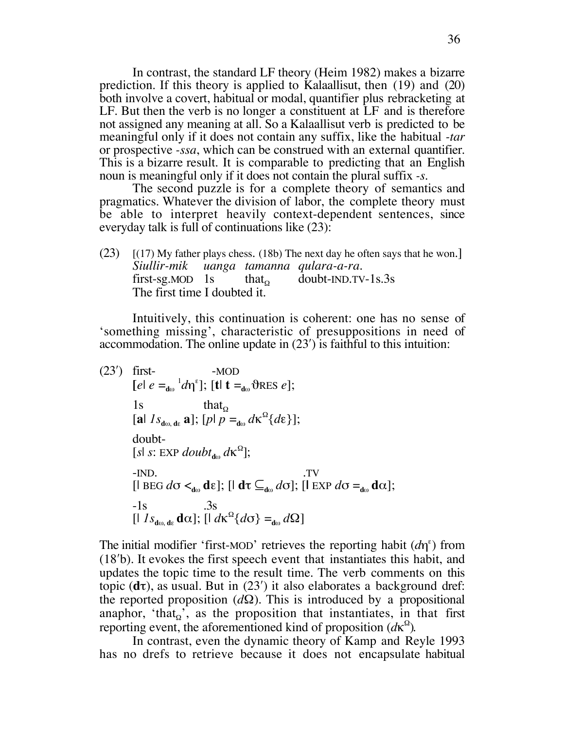In contrast, the standard LF theory (Heim 1982) makes a bizarre prediction. If this theory is applied to Kalaallisut, then (19) and (20) both involve a covert, habitual or modal, quantifier plus rebracketing at LF. But then the verb is no longer a constituent at LF and is therefore not assigned any meaning at all. So a Kalaallisut verb is predicted to be meaningful only if it does not contain any suffix, like the habitual *-tar* or prospective *-ssa*, which can be construed with an external quantifier. This is a bizarre result. It is comparable to predicting that an English noun is meaningful only if it does not contain the plural suffix *-s*. The second puzzle is for a complete theory of semantics and

pragmatics. Whatever the division of labor, the complete theory must be able to interpret heavily context-dependent sentences, since everyday talk is full of continuations like (23):

 $(23)$  [(17) My father plays chess. (18b) The next day he often says that he won.] *Siullir-mik uanga tamanna qulara-a-ra.*  $that<sub>o</sub>$  doubt-IND.TV-1s.3s The first time I doubted it.

Intuitively, this continuation is coherent: one has no sense of 'something missing', characteristic of presuppositions in need of accommodation. The online update in (23′) is faithful to this intuition:

 $(23')$  first-  $-MOD$  $[e \mid e =_{d\omega} \frac{1}{d\eta} e];$  [**t**| **t** =<sub>d $\omega$ </sub>  $\vartheta$ RES *e*]; 1s that<sub> $\Omega$ </sub>  $[\mathbf{a}| \, I_{S_{\mathbf{d}\omega,\mathbf{d}\varepsilon}} \mathbf{a}]; [\mathbf{p} | \, p =_{\mathbf{d}\omega} d\kappa^{\Omega} {\{d\varepsilon\}}];$ doubt-  $[s]$  *s*: EXP *doubt*<sub>d $\omega$ </sub>  $d\kappa^{\Omega}$ ]; -IND. .TV [| BEG *d*σ <**<sup>d</sup>**<sup>ω</sup> **d**ε]; [| **d**τ ⊆**<sup>d</sup>**<sup>ω</sup> *d*σ]; [**|** EXP *d*σ =**<sup>d</sup>**<sup>ω</sup> **d**α];  $-1s$  .3s  $[| Is_{\text{do}, \text{de}} \, \mathbf{d}\alpha]$ ;  $[| \, d\kappa^{\Omega} \{ d\sigma \} =_{\text{do}} d\Omega]$ 

The initial modifier 'first-MOD' retrieves the reporting habit (*d*η<sup>ε</sup>) from (18′b). It evokes the first speech event that instantiates this habit, and updates the topic time to the result time. The verb comments on this topic (**d**τ), as usual. But in (23′) it also elaborates a background dref: the reported proposition  $(d\Omega)$ . This is introduced by a propositional anaphor, 'that $\overline{C}$ ', as the proposition that instantiates, in that first reporting event, the aforementioned kind of proposition  $(d\kappa^{\Omega})$ .

In contrast, even the dynamic theory of Kamp and Reyle 1993 has no drefs to retrieve because it does not encapsulate habitual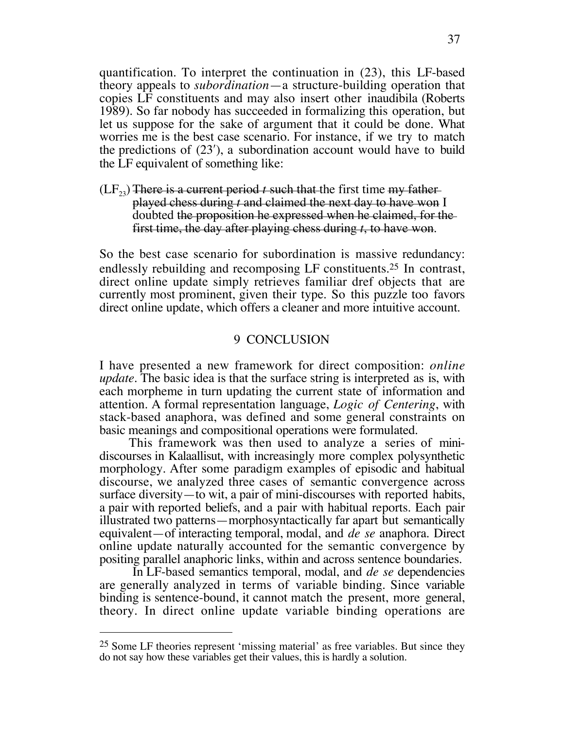quantification. To interpret the continuation in (23), this LF-based theory appeals to *subordination*—a structure-building operation that copies LF constituents and may also insert other inaudibila (Roberts 1989). So far nobody has succeeded in formalizing this operation, but let us suppose for the sake of argument that it could be done. What worries me is the best case scenario. For instance, if we try to match the predictions of (23′), a subordination account would have to build the LF equivalent of something like:

### $(LF_{23})$  There is a current period *t* such that the first time my fatherplayed chess during *t* and claimed the next day to have won I doubted the proposition he expressed when he claimed, for the first time, the day after playing chess during *t*, to have won.

So the best case scenario for subordination is massive redundancy: endlessly rebuilding and recomposing LF constituents.25 In contrast, direct online update simply retrieves familiar dref objects that are currently most prominent, given their type. So this puzzle too favors direct online update, which offers a cleaner and more intuitive account.

## 9 CONCLUSION

I have presented a new framework for direct composition: *online update.* The basic idea is that the surface string is interpreted as is, with each morpheme in turn updating the current state of information and attention. A formal representation language, *Logic of Centering*, with stack-based anaphora, was defined and some general constraints on basic meanings and compositional operations were formulated.

This framework was then used to analyze a series of minidiscourses in Kalaallisut, with increasingly more complex polysynthetic morphology. After some paradigm examples of episodic and habitual discourse, we analyzed three cases of semantic convergence across surface diversity—to wit, a pair of mini-discourses with reported habits, a pair with reported beliefs, and a pair with habitual reports. Each pair illustrated two patterns—morphosyntactically far apart but semantically equivalent—of interacting temporal, modal, and *de se* anaphora. Direct online update naturally accounted for the semantic convergence by positing parallel anaphoric links, within and across sentence boundaries.

In LF-based semantics temporal, modal, and *de se* dependencies are generally analyzed in terms of variable binding. Since variable binding is sentence-bound, it cannot match the present, more general, theory. In direct online update variable binding operations are

 $\overline{a}$ 

<sup>&</sup>lt;sup>25</sup> Some LF theories represent 'missing material' as free variables. But since they do not say how these variables get their values, this is hardly a solution.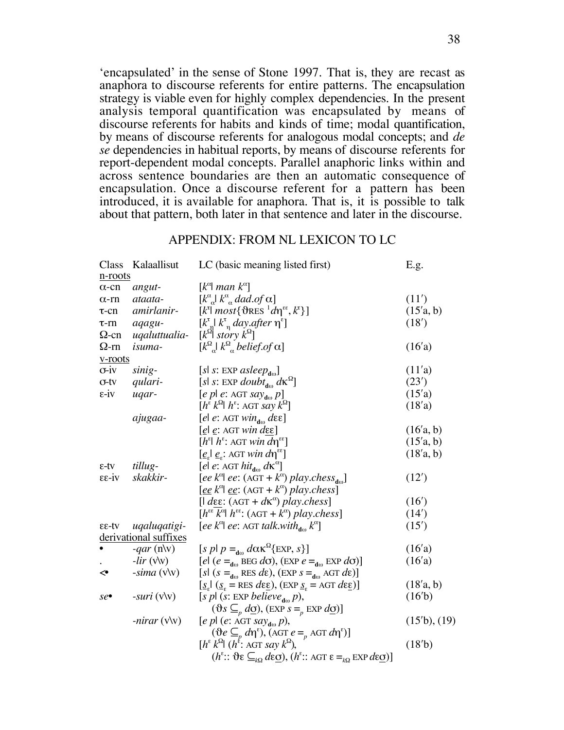'encapsulated' in the sense of Stone 1997. That is, they are recast as anaphora to discourse referents for entire patterns. The encapsulation strategy is viable even for highly complex dependencies. In the present analysis temporal quantification was encapsulated by means of discourse referents for habits and kinds of time; modal quantification, by means of discourse referents for analogous modal concepts; and *de se* dependencies in habitual reports, by means of discourse referents for report-dependent modal concepts. Parallel anaphoric links within and across sentence boundaries are then an automatic consequence of encapsulation. Once a discourse referent for a pattern has been introduced, it is available for anaphora. That is, it is possible to talk about that pattern, both later in that sentence and later in the discourse.

| Class                      | Kalaallisut             | LC (basic meaning listed first)                                                                                                                                                                                     | E.g.                   |
|----------------------------|-------------------------|---------------------------------------------------------------------------------------------------------------------------------------------------------------------------------------------------------------------|------------------------|
| $n$ -roots<br>$\alpha$ -cn | angut-                  | $[k^{\alpha}]$ man $k^{\alpha}]$                                                                                                                                                                                    |                        |
| $\alpha$ -rn               | ataata-                 | $[k^{\alpha}_{\alpha}]$ $k^{\alpha}_{\alpha}$ dad.of $\alpha]$                                                                                                                                                      | (11')                  |
| $\tau$ -cn                 | amirlanir-              | $[k^{\tau}]$ most $\{\theta$ RES $^1d\eta^{\epsilon\epsilon}, k^{\tau}\}]$                                                                                                                                          | (15'a, b)              |
| $\tau$ -rn                 | aqagu-                  | $[k_{\eta}^{\tau}] k_{\eta}^{\tau}$ day after $\eta^{\epsilon}]$                                                                                                                                                    | (18')                  |
| $\Omega$ -cn               | uqaluttualia-           | $[k^{\Omega}]$ story $k^{\Omega}$                                                                                                                                                                                   |                        |
| $\Omega$ -rn               | <i>isuma-</i>           | $[k_{\alpha}^{\Omega}]$ $k_{\alpha}^{\Omega}$ belief of $\alpha$ ]                                                                                                                                                  | (16'a)                 |
| v-roots                    |                         |                                                                                                                                                                                                                     |                        |
| $\sigma$ -iv               | sinig-                  | [sl s: EXP asleep <sub>d<math>\omega</math></sub> ]                                                                                                                                                                 | (11'a)                 |
| $\sigma$ -tv               | qulari-                 | [sl s: EXP doubt <sub>d<math>\omega</math></sub> d $\kappa^{\Omega}$ ]                                                                                                                                              | (23')                  |
| $\dot{\epsilon}$ -iv       | uqar-                   | $[e p   e: AGT \, say_{d\omega} p]$                                                                                                                                                                                 | (15'a)                 |
|                            |                         | $[h^{\epsilon} k^{\Omega}] h^{\epsilon}$ : AGT say $k^{\Omega}$                                                                                                                                                     | (18'a)                 |
|                            | ajugaa-                 | [el e: AGT win <sub>dω</sub> dεε]                                                                                                                                                                                   |                        |
|                            |                         | $[e]$ e: AGT win dee]                                                                                                                                                                                               | (16'a, b)              |
|                            |                         | $[h^{\varepsilon} \, h^{\varepsilon}: AGT \, win \, d\eta^{\varepsilon \varepsilon}]$                                                                                                                               | (15'a, b)              |
|                            |                         | $[\underline{e}_{\varepsilon}   \underline{e}_{\varepsilon} :$ AGT win $d\eta^{\varepsilon \varepsilon}]$                                                                                                           | (18'a, b)              |
| $\epsilon$ -tv             | tillug-                 | [el e: AGT $hit_{d\omega} d\kappa^{\alpha}$ ]                                                                                                                                                                       |                        |
| $E-1V$                     | skakkir-                | [ee $k^{\alpha}$ ] ee: (AGT + $k^{\alpha}$ ) play.chess <sub>d<math>\omega</math></sub> ]                                                                                                                           | (12')                  |
|                            |                         | [ee $k^{\alpha}$ ] ee: (AGT + $k^{\alpha}$ ) play.chess]                                                                                                                                                            |                        |
|                            |                         | $[  d \underline{\epsilon} \underline{\epsilon} : (AGT + d\mathbf{x}^{\alpha}) \text{ play.chess}]$                                                                                                                 | (16')                  |
|                            |                         | $[h^{\varepsilon\epsilon} k^{\alpha}] h^{\varepsilon\epsilon}$ : (AGT + $k^{\alpha}$ ) play.chess]                                                                                                                  | (14')                  |
| $E-EV$                     | uqaluqatigi-            | [ee $k^{\alpha}$ ] ee: AGT talk.with <sub>do</sub> $k^{\alpha}$ ]                                                                                                                                                   | (15')                  |
|                            | derivational suffixes   |                                                                                                                                                                                                                     |                        |
|                            | <i>-qar</i> (n\v)       | [s p  $p =_{d_{0}} d\alpha \kappa^{\Omega} {\text{EXP, s}}$ ]                                                                                                                                                       | (16'a)                 |
|                            | $-$ lir (v $\vee$       | $[e]$ $(e =_{d\omega}$ BEG $d\sigma)$ , $(\text{EXP } e =_{d\omega} \text{EXP } d\sigma)$                                                                                                                           | (16'a)                 |
| ⋖                          | $-sima$ (v $\forall$ v) | $[s( s =_{d\omega} \text{RES } d\varepsilon), (\text{EXP } s =_{d\omega} \text{AGT } d\varepsilon)]$                                                                                                                |                        |
|                            |                         | $[\underline{s}_{\varepsilon}   (\underline{s}_{\varepsilon} = \text{RES} \ d\varepsilon \underline{\varepsilon}), (\text{EXP} \ \underline{s}_{\varepsilon} = \text{AGT} \ d\varepsilon \underline{\varepsilon})]$ | (18'a, b)              |
| se•                        | $-suri(v)v)$            | [s pl (s: EXP believe <sub>d<math>\omega</math></sub> p),                                                                                                                                                           | (16'b)                 |
|                            |                         | $(\vartheta s \subseteq_p d\underline{\sigma})$ , (EXP $s =_p$ EXP $d\underline{\sigma})$ )                                                                                                                         |                        |
|                            | $\text{-}nirar$ (v\v)   | $[e p](e: \triangle G \triangle G \triangle G \triangle B)$                                                                                                                                                         | $(15^{\prime}b), (19)$ |
|                            |                         |                                                                                                                                                                                                                     |                        |
|                            |                         | $(\theta e \subseteq_p d\eta^{\epsilon}), (\text{AGT } e =_p \text{AGT } d\eta^{\epsilon})$<br>[ $h^{\epsilon} k^{\Omega}$ ] ( $h^{\epsilon}$ : AGT say $k^{\Omega}$ ),                                             | $(18^{\prime}b)$       |
|                            |                         | $(h^{\epsilon}$ :: $\vartheta \epsilon \subseteq_{k\Omega} d\varepsilon \underline{\sigma}$ , $(h^{\epsilon}$ :: AGT $\varepsilon =_{k\Omega}$ EXP $d\varepsilon \underline{\sigma}$ )]                             |                        |

#### APPENDIX: FROM NL LEXICON TO LC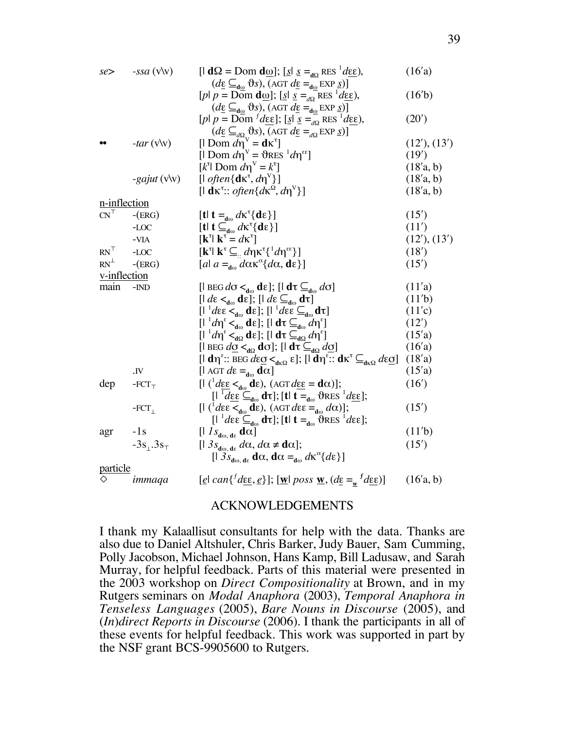| se               | $-ssa(v/v)$              | $[ \mathbf{d}\Omega = \text{Dom }\mathbf{d}\underline{\omega}]$ ; $[\underline{s}] \underline{s} =_{d\Omega} \text{RES }^{1}d\underline{\epsilon}\underline{\epsilon}$ ),                           | (16'a)       |
|------------------|--------------------------|-----------------------------------------------------------------------------------------------------------------------------------------------------------------------------------------------------|--------------|
|                  |                          | $(d\underline{\epsilon} \subseteq_{d\underline{\omega}} \theta s)$ , (AGT $d\underline{\epsilon} =_{d\underline{\omega}} EXP \underline{s})$ )                                                      |              |
|                  |                          | $[p p = \text{Dom } d\underline{\omega}]; [\underline{s}  \underline{s} =_{d\Omega} \text{RES}^{-1} d\underline{\epsilon} \underline{\epsilon}),$                                                   | (16'b)       |
|                  |                          | $(d\underline{\epsilon}\subseteq_{d\underline{\omega}}\vartheta s)$ , (AGT $d\underline{\epsilon} =_{d\underline{\omega}} \exp \underline{s})$ )                                                    |              |
|                  |                          | $[p   p = \overline{\text{Dom}}^f d\underline{\epsilon}\underline{\epsilon}]; [\underline{s}   \underline{s} = \overline{d\Omega} \text{RES}^1 d\underline{\epsilon}\underline{\epsilon}),$         | (20')        |
|                  |                          |                                                                                                                                                                                                     |              |
|                  | -tar $(v \wedge v)$      | $(d\underline{\epsilon} \subseteq_{d\Omega} \vartheta s), \overline{(AGT d\underline{\epsilon} =_{d\Omega} EXP g)}$<br>[[Dom $d\eta^V = d\kappa^T$ ]                                                | (12'), (13') |
|                  |                          | [ $\text{Dom } d\eta^{\text{V}} = \theta \text{RES } {}^{1} d\eta^{\text{ss}}$ ]                                                                                                                    | (19')        |
|                  |                          | $[k^{\dagger}]$ Dom $d\eta^{\vee} = k^{\dagger}$                                                                                                                                                    | (18'a, b)    |
|                  | -gajut (v\v)             | $[$ l often $\{d\kappa^{\tau}, d\eta^{\nu}\}]$                                                                                                                                                      | (18'a, b)    |
|                  |                          | [ $\mathbf{d} \kappa^{\tau}$ :: often $\{d\kappa^{\Omega}, d\eta^{\mathsf{V}}\}$ ]                                                                                                                  | (18'a, b)    |
| n-inflection     |                          |                                                                                                                                                                                                     |              |
| $\text{CN}^\top$ | $-(ERG)$                 | [t  $t =_{d\omega} d\kappa^{\tau}$ {d $\varepsilon$ }]                                                                                                                                              | (15')        |
|                  | $-LOC$                   | [t  $\mathbf{t} \subseteq_{_{\mathbf{d}\omega}} d\kappa^{\tau} {\mathbf{d}\varepsilon}$ ]                                                                                                           | (11')        |
|                  | -VIA                     | $[\mathbf{k}^{\tau} \mathbf{k}^{\tau} = d\mathbf{k}^{\tau}]$                                                                                                                                        | (12'), (13') |
| $\text{RN}^\top$ | $\textrm{-} \text{LOC}$  | $[\mathbf{k}^{\tau}   \mathbf{k}^{\tau} \subseteq_{\mathbb{H}} d\eta \kappa^{\tau} {\{\,}^{1}d\eta^{\epsilon\epsilon}{\}}]$                                                                         | (18')        |
| $RN^{\perp}$     | $-(ERG)$                 | $[a a =_{d\omega} d\alpha \kappa^{\alpha} \{d\alpha, d\varepsilon\}]$                                                                                                                               | (15')        |
| v-inflection     |                          |                                                                                                                                                                                                     |              |
| main             | $-IND$                   | $[ BEG d\sigma <_{d\omega} d\varepsilon];$ $[ d\tau \subseteq_{d\omega} d\sigma]$                                                                                                                   | (11'a)       |
|                  |                          | $[ d\varepsilon <_{d\omega} d\varepsilon]; [ d\varepsilon \subseteq_{d\omega} d\tau]$                                                                                                               | (11'b)       |
|                  |                          | $\left[\right] \frac{1}{d\epsilon} d\epsilon \leq_{d\omega} d\epsilon$ ; $\left[\right] \frac{1}{d\epsilon} d\epsilon \subseteq_{d\omega} d\tau$                                                    | (11'c)       |
|                  |                          | $\left[\left\lceil \frac{1}{2}d\eta^{\varepsilon}\right\rceil_{\text{d}\omega}\text{d}\varepsilon\right];\left[\left\lceil \text{d}\tau\right\rceil_{\text{d}\omega}d\eta^{\varepsilon}\right]$     | (12')        |
|                  |                          | $[  \, {}^1d\eta^{\varepsilon} <_{d\Omega} d\varepsilon];$ $[  \, d\tau \subseteq_{d\Omega} d\eta^{\varepsilon}]$                                                                                   | (15'a)       |
|                  |                          | [  BEG $d\underline{\sigma} <_{d\Omega} d\sigma$ ]; [  $d\tau \subseteq_{d\Omega} d\underline{\sigma}$ ]                                                                                            | (16'a)       |
|                  |                          | [  <b>d</b> η <sup>ε</sup> :: ΒΕG $d$ ε $\sigma$ < <sub>dκΩ</sub> ε]; [  <b>d</b> η <sup>ε</sup> :: <b>d</b> κ <sup>τ</sup> $\subseteq$ <sub>dκΩ</sub> $d$ ε $\underline{\sigma}$ ]                 | (18'a)       |
|                  | .IV                      | [ $AGT d\varepsilon =_{d\omega} d\alpha$ ]                                                                                                                                                          | (15'a)       |
| dep              | $-FCTT$                  | $[  (^1 d\underline{\epsilon} \underline{\epsilon} <_{d\omega} d\epsilon), (AGT d\underline{\epsilon} \underline{\epsilon} = d\alpha)];$                                                            | (16')        |
|                  |                          | $\left[\right]^{1}d\underline{\epsilon}\underline{\epsilon}\subseteq_{d\omega}d\tau\right];\left[t t=_{d\omega}\theta$ RES $^{1}d\underline{\epsilon}\underline{\epsilon}\right];$                  |              |
|                  | - $\text{FCT}_\perp$     | [ $\left[ \left( \int d\epsilon \epsilon \right) d\epsilon \right)$ , $(AGT d\epsilon \epsilon =_{d\omega} d\alpha)$ ];                                                                             | (15')        |
|                  |                          | $[1]^1 d \epsilon \epsilon \subseteq_{d \omega} d \tau$ ; [t  t = <sub>d<math>\omega</math></sub> $\vartheta$ RES <sup>1</sup> $d \epsilon \epsilon$ ];                                             |              |
| agr              | $-1s$                    | $[ I_{s_{d\omega, d\varepsilon}}d\alpha]$                                                                                                                                                           | (11'b)       |
|                  |                          |                                                                                                                                                                                                     |              |
|                  |                          |                                                                                                                                                                                                     |              |
|                  |                          |                                                                                                                                                                                                     |              |
| ♦                | immaqa                   | $[e  can\{^f d\underline{\epsilon}\underline{\epsilon}, \underline{e}\}]; [\underline{w}  poss \underline{w}, (d\underline{\epsilon} = \underline{w}^f d\underline{\epsilon}\underline{\epsilon})]$ | (16'a, b)    |
| particle         | $-3s_{\perp}.3s_{\perp}$ | [ $3s_{d\omega, d\varepsilon} d\alpha, d\alpha \neq d\alpha$ ];<br>$[ \mathcal{S}_{\mathcal{S}_{\text{d}\omega, \, d\varepsilon}} d\alpha, d\alpha =_{d\omega} d\kappa^{\alpha} \{d\varepsilon\}]$  | (15')        |

#### ACKNOWLEDGEMENTS

I thank my Kalaallisut consultants for help with the data. Thanks are also due to Daniel Altshuler, Chris Barker, Judy Bauer, Sam Cumming, Polly Jacobson, Michael Johnson, Hans Kamp, Bill Ladusaw, and Sarah Murray, for helpful feedback. Parts of this material were presented in the 2003 workshop on *Direct Compositionality* at Brown, and in my Rutgers seminars on *Modal Anaphora* (2003), *Temporal Anaphora in Tenseless Languages* (2005), *Bare Nouns in Discourse* (2005), and (*In*)*direct Reports in Discourse* (2006)*.* I thank the participants in all of these events for helpful feedback. This work was supported in part by the NSF grant BCS-9905600 to Rutgers.